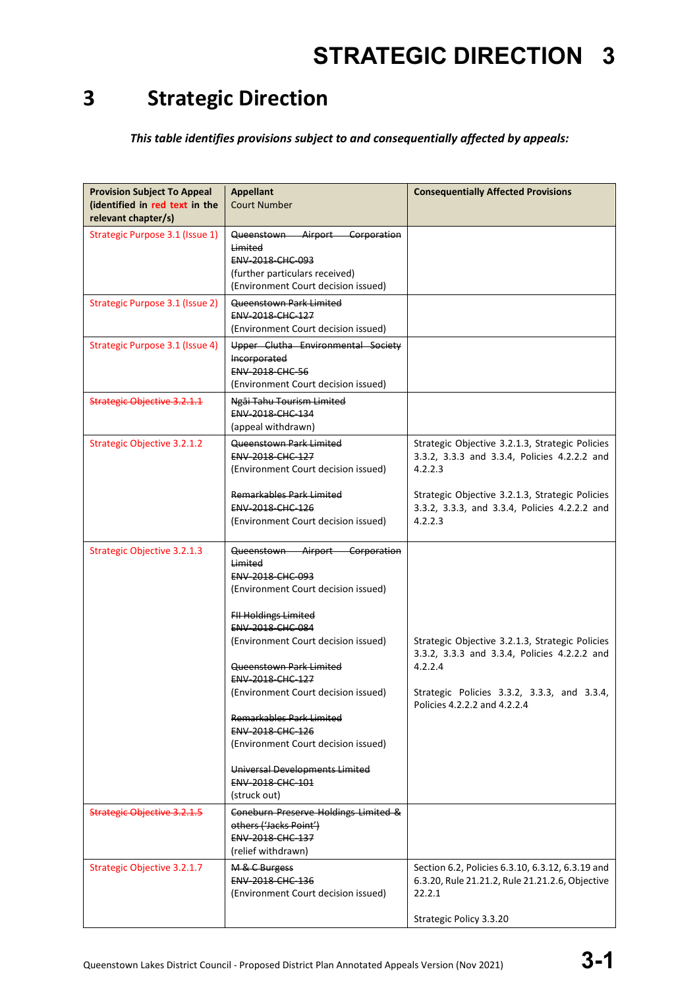### **3 Strategic Direction**

*This table identifies provisions subject to and consequentially affected by appeals:*

| <b>Provision Subject To Appeal</b><br>(identified in red text in the<br>relevant chapter/s) | <b>Appellant</b><br><b>Court Number</b>                                                                                                                                                                                                                                                                                                                                                                                                                         | <b>Consequentially Affected Provisions</b>                                                                                                                                                                                |
|---------------------------------------------------------------------------------------------|-----------------------------------------------------------------------------------------------------------------------------------------------------------------------------------------------------------------------------------------------------------------------------------------------------------------------------------------------------------------------------------------------------------------------------------------------------------------|---------------------------------------------------------------------------------------------------------------------------------------------------------------------------------------------------------------------------|
| Strategic Purpose 3.1 (Issue 1)                                                             | Airport Corporation<br><del>Queenstown</del><br><b>Limited</b><br>ENV-2018-CHC-093<br>(further particulars received)<br>(Environment Court decision issued)                                                                                                                                                                                                                                                                                                     |                                                                                                                                                                                                                           |
| <b>Strategic Purpose 3.1 (Issue 2)</b>                                                      | Queenstown Park Limited<br>ENV-2018-CHC-127<br>(Environment Court decision issued)                                                                                                                                                                                                                                                                                                                                                                              |                                                                                                                                                                                                                           |
| Strategic Purpose 3.1 (Issue 4)                                                             | Upper Clutha Environmental Society<br>Incorporated<br><b>ENV-2018-CHC-56</b><br>(Environment Court decision issued)                                                                                                                                                                                                                                                                                                                                             |                                                                                                                                                                                                                           |
| Strategic Objective 3.2.1.1                                                                 | <del>Ngāi Tahu Tourism Limited</del><br><b>ENV 2018 CHC 134</b><br>(appeal withdrawn)                                                                                                                                                                                                                                                                                                                                                                           |                                                                                                                                                                                                                           |
| <b>Strategic Objective 3.2.1.2</b>                                                          | Queenstown Park Limited<br>ENV-2018-CHC-127<br>(Environment Court decision issued)<br>Remarkables Park Limited<br>ENV-2018-CHC-126<br>(Environment Court decision issued)                                                                                                                                                                                                                                                                                       | Strategic Objective 3.2.1.3, Strategic Policies<br>3.3.2, 3.3.3 and 3.3.4, Policies 4.2.2.2 and<br>4.2.2.3<br>Strategic Objective 3.2.1.3, Strategic Policies<br>3.3.2, 3.3.3, and 3.3.4, Policies 4.2.2.2 and<br>4.2.2.3 |
| Strategic Objective 3.2.1.3                                                                 | Queenstown Airport Corporation<br><b>Limited</b><br>ENV-2018-CHC-093<br>(Environment Court decision issued)<br><b>FII Holdings Limited</b><br>ENV-2018-CHC-084<br>(Environment Court decision issued)<br>Queenstown Park Limited<br>ENV-2018-CHC-127<br>(Environment Court decision issued)<br>Remarkables Park Limited<br><b>ENV 2018 CHC 126</b><br>(Environment Court decision issued)<br>Universal Developments Limited<br>ENV-2018-CHC-101<br>(struck out) | Strategic Objective 3.2.1.3, Strategic Policies<br>3.3.2, 3.3.3 and 3.3.4, Policies 4.2.2.2 and<br>4.2.2.4<br>Strategic Policies 3.3.2, 3.3.3, and 3.3.4,<br>Policies 4.2.2.2 and 4.2.2.4                                 |
| <b>Strategic Objective 3.2.1.5</b>                                                          | Coneburn Preserve Holdings Limited &<br>others ('Jacks Point')<br>ENV-2018-CHC-137<br>(relief withdrawn)                                                                                                                                                                                                                                                                                                                                                        |                                                                                                                                                                                                                           |
| Strategic Objective 3.2.1.7                                                                 | M & C Burgess<br>ENV-2018-CHC-136<br>(Environment Court decision issued)                                                                                                                                                                                                                                                                                                                                                                                        | Section 6.2, Policies 6.3.10, 6.3.12, 6.3.19 and<br>6.3.20, Rule 21.21.2, Rule 21.21.2.6, Objective<br>22.2.1<br>Strategic Policy 3.3.20                                                                                  |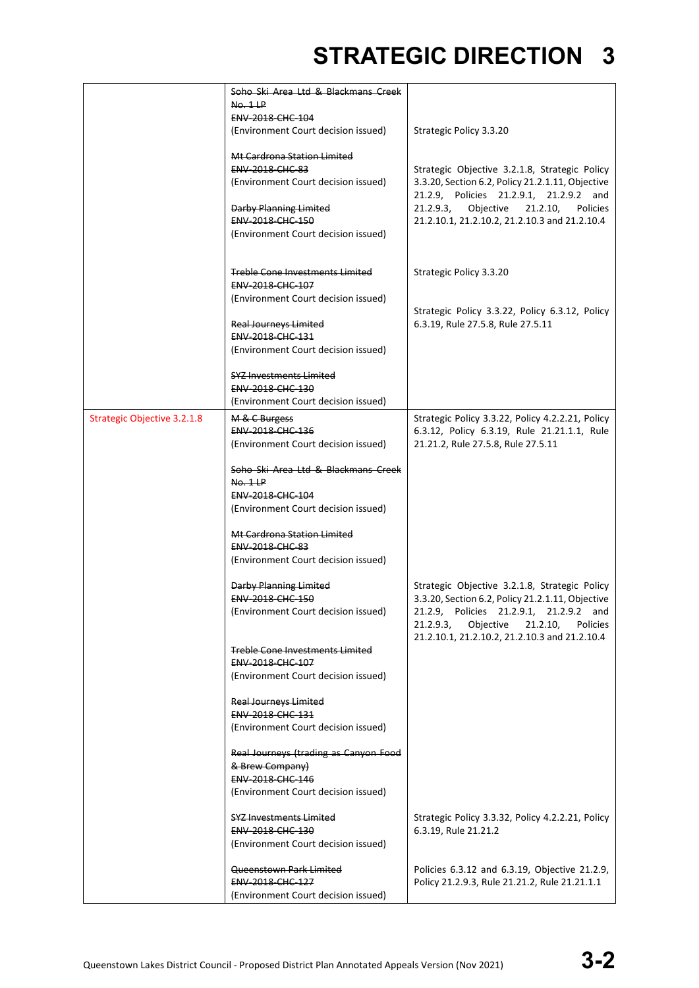|                                    | Soho Ski Area Ltd & Blackmans Creek<br>No. 1LP |                                                                                             |
|------------------------------------|------------------------------------------------|---------------------------------------------------------------------------------------------|
|                                    | <b>ENV 2018 CHC 104</b>                        |                                                                                             |
|                                    | (Environment Court decision issued)            | Strategic Policy 3.3.20                                                                     |
|                                    | Mt Cardrona Station Limited                    |                                                                                             |
|                                    | <b>ENV-2018-CHC-83</b>                         | Strategic Objective 3.2.1.8, Strategic Policy                                               |
|                                    | (Environment Court decision issued)            | 3.3.20, Section 6.2, Policy 21.2.1.11, Objective<br>21.2.9, Policies 21.2.9.1, 21.2.9.2 and |
|                                    | <b>Darby Planning Limited</b>                  | 21.2.9.3,<br>Objective<br>21.2.10,<br>Policies                                              |
|                                    | ENV-2018-CHC-150                               | 21.2.10.1, 21.2.10.2, 21.2.10.3 and 21.2.10.4                                               |
|                                    | (Environment Court decision issued)            |                                                                                             |
|                                    |                                                |                                                                                             |
|                                    | <b>Treble Cone Investments Limited</b>         | Strategic Policy 3.3.20                                                                     |
|                                    | ENV-2018-CHC-107                               |                                                                                             |
|                                    | (Environment Court decision issued)            |                                                                                             |
|                                    |                                                | Strategic Policy 3.3.22, Policy 6.3.12, Policy                                              |
|                                    | <b>Real Journeys Limited</b>                   | 6.3.19, Rule 27.5.8, Rule 27.5.11                                                           |
|                                    | ENV-2018-CHC-131                               |                                                                                             |
|                                    | (Environment Court decision issued)            |                                                                                             |
|                                    | <b>SYZ Investments Limited</b>                 |                                                                                             |
|                                    | ENV-2018-CHC-130                               |                                                                                             |
|                                    | (Environment Court decision issued)            |                                                                                             |
| <b>Strategic Objective 3.2.1.8</b> | M & C Burgess                                  | Strategic Policy 3.3.22, Policy 4.2.2.21, Policy                                            |
|                                    | <b>ENV 2018 CHC 136</b>                        | 6.3.12, Policy 6.3.19, Rule 21.21.1.1, Rule                                                 |
|                                    | (Environment Court decision issued)            | 21.21.2, Rule 27.5.8, Rule 27.5.11                                                          |
|                                    | Soho Ski Area Ltd & Blackmans Creek            |                                                                                             |
|                                    | No. 1LP                                        |                                                                                             |
|                                    | ENV-2018-CHC-104                               |                                                                                             |
|                                    | (Environment Court decision issued)            |                                                                                             |
|                                    |                                                |                                                                                             |
|                                    | Mt Cardrona Station Limited                    |                                                                                             |
|                                    | <b>ENV 2018 CHC 83</b>                         |                                                                                             |
|                                    | (Environment Court decision issued)            |                                                                                             |
|                                    | <b>Darby Planning Limited</b>                  | Strategic Objective 3.2.1.8, Strategic Policy                                               |
|                                    | <b>ENV 2018 CHC 150</b>                        | 3.3.20, Section 6.2, Policy 21.2.1.11, Objective                                            |
|                                    | (Environment Court decision issued)            | 21.2.9, Policies 21.2.9.1, 21.2.9.2 and                                                     |
|                                    |                                                | 21.2.9.3<br>Objective<br>21.2.10,<br>Policies                                               |
|                                    |                                                | 21.2.10.1, 21.2.10.2, 21.2.10.3 and 21.2.10.4                                               |
|                                    | <b>Treble Cone Investments Limited</b>         |                                                                                             |
|                                    | ENV-2018-CHC-107                               |                                                                                             |
|                                    | (Environment Court decision issued)            |                                                                                             |
|                                    | <b>Real Journeys Limited</b>                   |                                                                                             |
|                                    | ENV-2018-CHC-131                               |                                                                                             |
|                                    | (Environment Court decision issued)            |                                                                                             |
|                                    | Real Journeys (trading as Canyon Food          |                                                                                             |
|                                    | & Brew Company)                                |                                                                                             |
|                                    | ENV-2018-CHC-146                               |                                                                                             |
|                                    | (Environment Court decision issued)            |                                                                                             |
|                                    | <b>SYZ Investments Limited</b>                 | Strategic Policy 3.3.32, Policy 4.2.2.21, Policy                                            |
|                                    | ENV-2018-CHC-130                               | 6.3.19, Rule 21.21.2                                                                        |
|                                    | (Environment Court decision issued)            |                                                                                             |
|                                    | Queenstown Park Limited                        | Policies 6.3.12 and 6.3.19, Objective 21.2.9,                                               |
|                                    | ENV-2018-CHC-127                               | Policy 21.2.9.3, Rule 21.21.2, Rule 21.21.1.1                                               |
|                                    | (Environment Court decision issued)            |                                                                                             |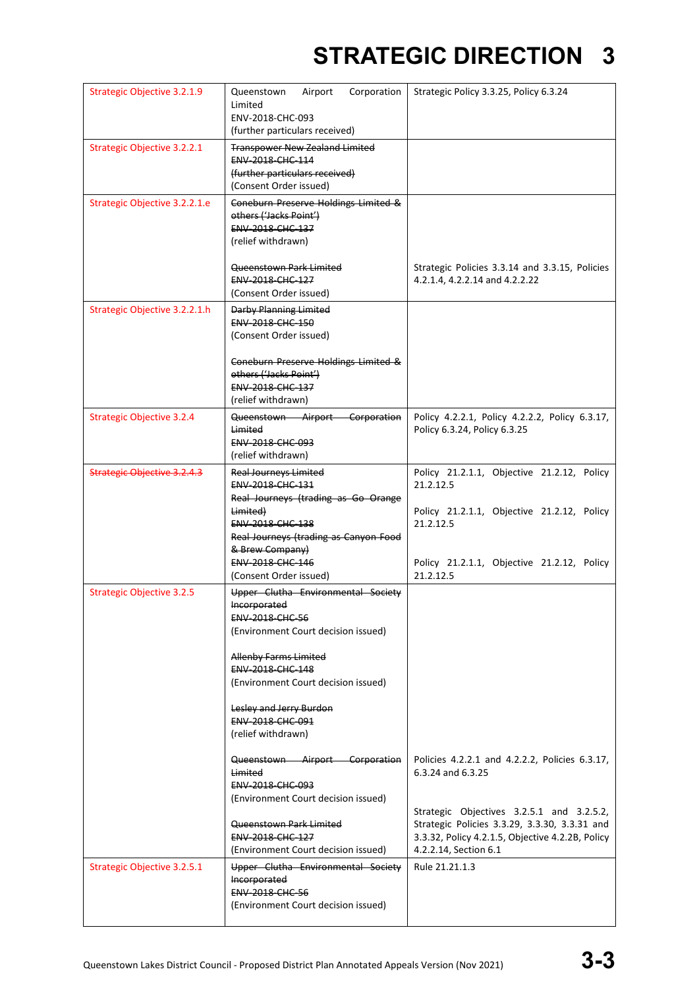| Strategic Objective 3.2.1.9        | Queenstown<br>Airport<br>Corporation<br>Limited<br>ENV-2018-CHC-093<br>(further particulars received)                                | Strategic Policy 3.3.25, Policy 6.3.24                                                                                                                                  |
|------------------------------------|--------------------------------------------------------------------------------------------------------------------------------------|-------------------------------------------------------------------------------------------------------------------------------------------------------------------------|
| <b>Strategic Objective 3.2.2.1</b> | <b>Transpower New Zealand Limited</b><br>ENV-2018-CHC-114<br>(further particulars received)<br>(Consent Order issued)                |                                                                                                                                                                         |
| Strategic Objective 3.2.2.1.e      | Coneburn Preserve Holdings Limited &<br>others ('Jacks Point')<br><b>ENV-2018-CHC-137</b><br>(relief withdrawn)                      |                                                                                                                                                                         |
|                                    | Queenstown Park Limited<br>ENV-2018-CHC-127<br>(Consent Order issued)                                                                | Strategic Policies 3.3.14 and 3.3.15, Policies<br>4.2.1.4, 4.2.2.14 and 4.2.2.22                                                                                        |
| Strategic Objective 3.2.2.1.h      | Darby Planning Limited<br><b>ENV 2018 CHC 150</b><br>(Consent Order issued)                                                          |                                                                                                                                                                         |
|                                    | Coneburn Preserve Holdings Limited &<br>others ('Jacks Point')<br>ENV-2018-CHC-137<br>(relief withdrawn)                             |                                                                                                                                                                         |
| <b>Strategic Objective 3.2.4</b>   | Queenstown Airport Corporation<br><b>Limited</b><br>ENV-2018-CHC-093<br>(relief withdrawn)                                           | Policy 4.2.2.1, Policy 4.2.2.2, Policy 6.3.17,<br>Policy 6.3.24, Policy 6.3.25                                                                                          |
| <b>Strategic Objective 3.2.4.3</b> | <b>Real Journeys Limited</b><br>ENV-2018-CHC-131<br>Real Journeys (trading as Go Orange                                              | Policy 21.2.1.1, Objective 21.2.12, Policy<br>21.2.12.5                                                                                                                 |
|                                    | Limited)<br><b>ENV 2018 CHC 138</b><br>Real Journeys (trading as Canyon Food<br>& Brew Company)                                      | Policy 21.2.1.1, Objective 21.2.12, Policy<br>21.2.12.5                                                                                                                 |
|                                    | <b>ENV 2018 CHC 146</b><br>(Consent Order issued)                                                                                    | Policy 21.2.1.1, Objective 21.2.12, Policy<br>21.2.12.5                                                                                                                 |
| <b>Strategic Objective 3.2.5</b>   | Upper Clutha Environmental Society<br>Incorporated<br><b>ENV-2018-CHC-56</b><br>(Environment Court decision issued)                  |                                                                                                                                                                         |
|                                    | <b>Allenby Farms Limited</b><br>ENV-2018-CHC-148<br>(Environment Court decision issued)                                              |                                                                                                                                                                         |
|                                    | Lesley and Jerry Burdon<br>ENV-2018-CHC-091<br>(relief withdrawn)                                                                    |                                                                                                                                                                         |
|                                    | Queenstown Airport Corporation<br>Limited<br><b>ENV 2018 CHC 093</b>                                                                 | Policies 4.2.2.1 and 4.2.2.2, Policies 6.3.17,<br>6.3.24 and 6.3.25                                                                                                     |
|                                    | (Environment Court decision issued)<br><del>Queenstown Park Limited</del><br>ENV-2018-CHC-127<br>(Environment Court decision issued) | Strategic Objectives 3.2.5.1 and 3.2.5.2,<br>Strategic Policies 3.3.29, 3.3.30, 3.3.31 and<br>3.3.32, Policy 4.2.1.5, Objective 4.2.2B, Policy<br>4.2.2.14, Section 6.1 |
| Strategic Objective 3.2.5.1        | Upper Clutha Environmental Society<br><b>Incorporated</b><br><b>ENV-2018-CHC-56</b><br>(Environment Court decision issued)           | Rule 21.21.1.3                                                                                                                                                          |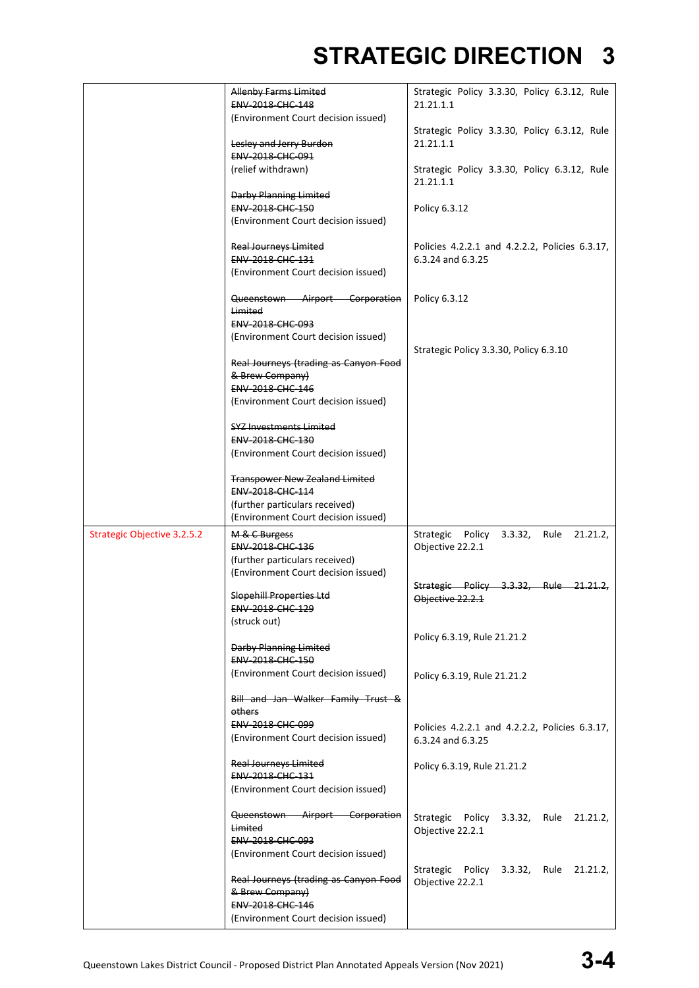|                                    | Allenby Farms Limited<br>ENV-2018-CHC-148                                    | Strategic Policy 3.3.30, Policy 6.3.12, Rule<br>21.21.1.1              |
|------------------------------------|------------------------------------------------------------------------------|------------------------------------------------------------------------|
|                                    | (Environment Court decision issued)<br>Lesley and Jerry Burdon               | Strategic Policy 3.3.30, Policy 6.3.12, Rule<br>21.21.1.1              |
|                                    | ENV 2018 CHC 091<br>(relief withdrawn)                                       | Strategic Policy 3.3.30, Policy 6.3.12, Rule<br>21.21.1.1              |
|                                    | <b>Darby Planning Limited</b><br><b>ENV 2018 CHC 150</b>                     | Policy 6.3.12                                                          |
|                                    | (Environment Court decision issued)<br><b>Real Journeys Limited</b>          | Policies 4.2.2.1 and 4.2.2.2, Policies 6.3.17,                         |
|                                    | ENV-2018-CHC-131<br>(Environment Court decision issued)                      | 6.3.24 and 6.3.25                                                      |
|                                    | Queenstown Airport Corporation<br>Limited<br><b>ENV 2018 CHC 093</b>         | Policy 6.3.12                                                          |
|                                    | (Environment Court decision issued)                                          | Strategic Policy 3.3.30, Policy 6.3.10                                 |
|                                    | Real Journeys (trading as Canyon Food<br>& Brew Company)<br>ENV-2018-CHC-146 |                                                                        |
|                                    | (Environment Court decision issued)<br><b>SYZ Investments Limited</b>        |                                                                        |
|                                    | ENV-2018-CHC-130<br>(Environment Court decision issued)                      |                                                                        |
|                                    | <b>Transpower New Zealand Limited</b><br>ENV-2018-CHC-114                    |                                                                        |
|                                    | (further particulars received)<br>(Environment Court decision issued)        |                                                                        |
| <b>Strategic Objective 3.2.5.2</b> | M & C Burgess<br><b>ENV 2018 CHC 136</b><br>(further particulars received)   | 21.21.2,<br>Strategic<br>Policy<br>3.3.32,<br>Rule<br>Objective 22.2.1 |
|                                    | (Environment Court decision issued)<br>Slopehill Properties Ltd              | Strategic Policy 3.3.32, Rule 21.21.2,<br>Objective 22.2.1             |
|                                    | ENV-2018-CHC-129<br>(struck out)                                             |                                                                        |
|                                    | Darby Planning Limited<br>ENV-2018-CHC-150                                   | Policy 6.3.19, Rule 21.21.2                                            |
|                                    | (Environment Court decision issued)<br>Bill and Jan Walker Family Trust &    | Policy 6.3.19, Rule 21.21.2                                            |
|                                    | others<br><b>ENV-2018-CHC-099</b><br>(Environment Court decision issued)     | Policies 4.2.2.1 and 4.2.2.2, Policies 6.3.17,<br>6.3.24 and 6.3.25    |
|                                    | <b>Real Journeys Limited</b><br><b>ENV 2018 CHC 131</b>                      | Policy 6.3.19, Rule 21.21.2                                            |
|                                    | (Environment Court decision issued)                                          |                                                                        |
|                                    | Queenstown Airport Corporation<br>Limited<br>ENV-2018-CHC-093                | Strategic Policy 3.3.32, Rule 21.21.2,<br>Objective 22.2.1             |
|                                    | (Environment Court decision issued)                                          | Strategic Policy 3.3.32, Rule 21.21.2,                                 |
|                                    | Real Journeys (trading as Canyon Food<br>& Brew Company)<br>ENV-2018-CHC-146 | Objective 22.2.1                                                       |
|                                    | (Environment Court decision issued)                                          |                                                                        |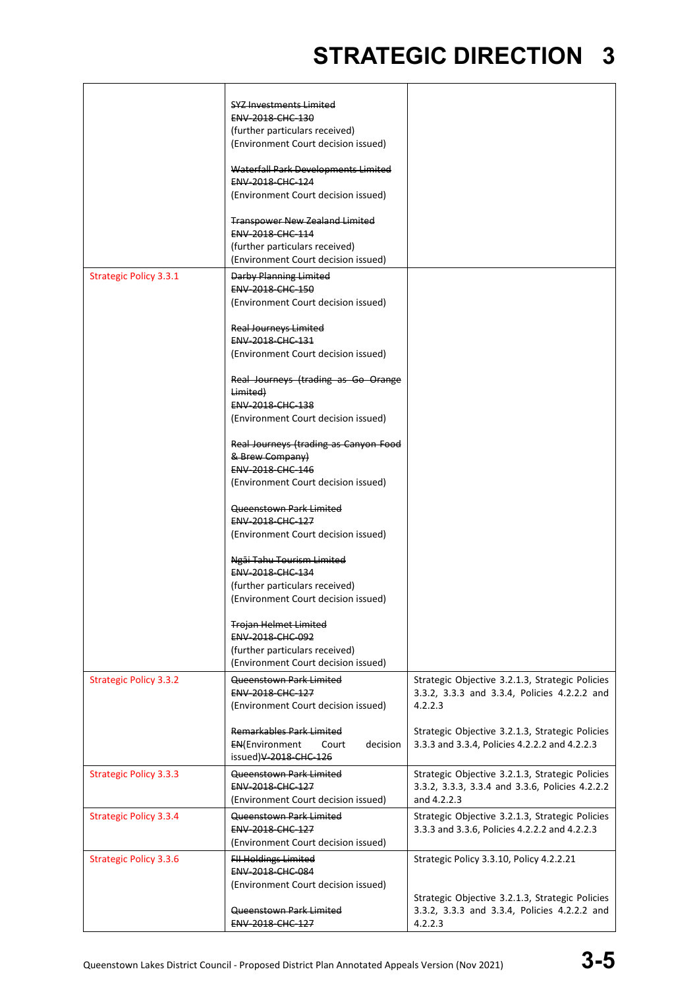|                               | <b>SYZ Investments Limited</b><br><b>ENV 2018 CHC 130</b><br>(further particulars received)<br>(Environment Court decision issued)<br>Waterfall Park Developments Limited<br>ENV-2018-CHC-124<br>(Environment Court decision issued)<br><b>Transpower New Zealand Limited</b><br>ENV-2018-CHC-114<br>(further particulars received)<br>(Environment Court decision issued) |                                                                                                                   |
|-------------------------------|----------------------------------------------------------------------------------------------------------------------------------------------------------------------------------------------------------------------------------------------------------------------------------------------------------------------------------------------------------------------------|-------------------------------------------------------------------------------------------------------------------|
| <b>Strategic Policy 3.3.1</b> | Darby Planning Limited<br>ENV-2018-CHC-150<br>(Environment Court decision issued)<br><b>Real Journeys Limited</b><br><b>ENV 2018 CHC 131</b><br>(Environment Court decision issued)                                                                                                                                                                                        |                                                                                                                   |
|                               | Real Journeys (trading as Go Orange<br>Limited)<br>ENV-2018-CHC-138<br>(Environment Court decision issued)<br>Real Journeys (trading as Canyon Food                                                                                                                                                                                                                        |                                                                                                                   |
|                               | & Brew Company)<br>ENV-2018-CHC-146<br>(Environment Court decision issued)<br>Queenstown Park Limited<br>ENV-2018-CHC-127                                                                                                                                                                                                                                                  |                                                                                                                   |
|                               | (Environment Court decision issued)<br>Ngāi Tahu Tourism Limited<br>ENV-2018-CHC-134<br>(further particulars received)<br>(Environment Court decision issued)                                                                                                                                                                                                              |                                                                                                                   |
|                               | <b>Trojan Helmet Limited</b><br><b>ENV 2018 CHC 092</b><br>(further particulars received)<br>(Environment Court decision issued)                                                                                                                                                                                                                                           |                                                                                                                   |
| <b>Strategic Policy 3.3.2</b> | Queenstown Park Limited<br>ENV-2018-CHC-127<br>(Environment Court decision issued)                                                                                                                                                                                                                                                                                         | Strategic Objective 3.2.1.3, Strategic Policies<br>3.3.2, 3.3.3 and 3.3.4, Policies 4.2.2.2 and<br>4.2.2.3        |
|                               | Remarkables Park Limited<br><b>EN(Environment</b><br>decision<br>Court<br>issued)V-2018-CHC-126                                                                                                                                                                                                                                                                            | Strategic Objective 3.2.1.3, Strategic Policies<br>3.3.3 and 3.3.4, Policies 4.2.2.2 and 4.2.2.3                  |
| <b>Strategic Policy 3.3.3</b> | Queenstown Park Limited<br><b>ENV 2018 CHC 127</b><br>(Environment Court decision issued)                                                                                                                                                                                                                                                                                  | Strategic Objective 3.2.1.3, Strategic Policies<br>3.3.2, 3.3.3, 3.3.4 and 3.3.6, Policies 4.2.2.2<br>and 4.2.2.3 |
| <b>Strategic Policy 3.3.4</b> | Queenstown Park Limited<br>ENV-2018-CHC-127<br>(Environment Court decision issued)                                                                                                                                                                                                                                                                                         | Strategic Objective 3.2.1.3, Strategic Policies<br>3.3.3 and 3.3.6, Policies 4.2.2.2 and 4.2.2.3                  |
| <b>Strategic Policy 3.3.6</b> | <b>FII Holdings Limited</b><br>ENV-2018-CHC-084<br>(Environment Court decision issued)                                                                                                                                                                                                                                                                                     | Strategic Policy 3.3.10, Policy 4.2.2.21                                                                          |
|                               | Queenstown Park Limited<br>ENV-2018-CHC-127                                                                                                                                                                                                                                                                                                                                | Strategic Objective 3.2.1.3, Strategic Policies<br>3.3.2, 3.3.3 and 3.3.4, Policies 4.2.2.2 and<br>4.2.2.3        |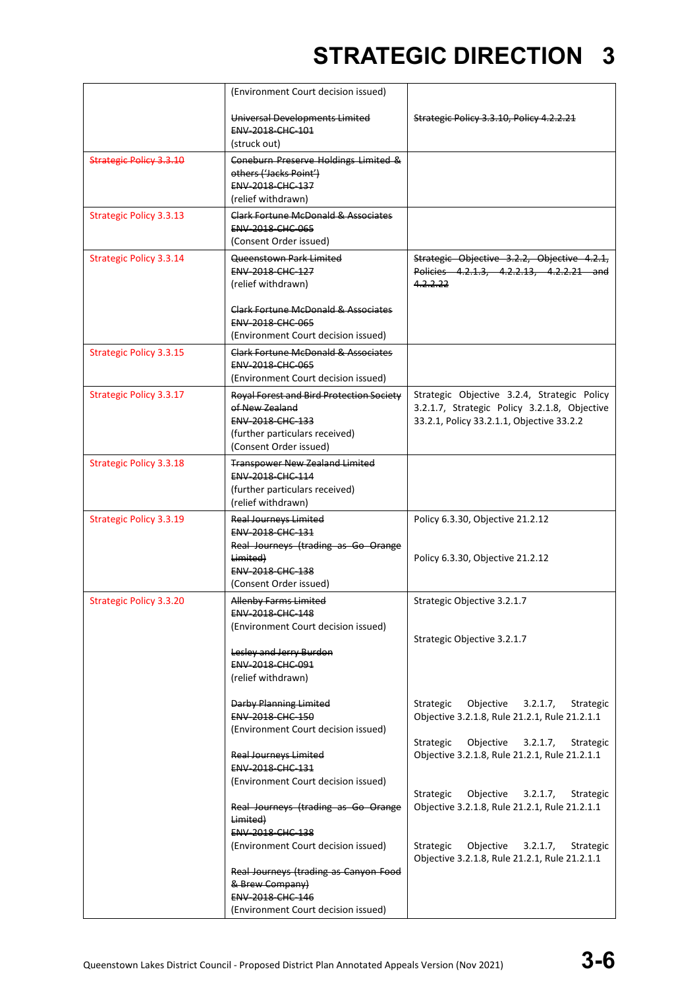|                                | (Environment Court decision issued)                                                                                                               |                                                                                                                                          |
|--------------------------------|---------------------------------------------------------------------------------------------------------------------------------------------------|------------------------------------------------------------------------------------------------------------------------------------------|
|                                | Universal Developments Limited<br>ENV-2018-CHC-101                                                                                                | Strategic Policy 3.3.10, Policy 4.2.2.21                                                                                                 |
|                                | (struck out)                                                                                                                                      |                                                                                                                                          |
| <b>Strategic Policy 3.3.10</b> | Coneburn Preserve Holdings Limited &<br>others ('Jacks Point')<br>ENV-2018-CHC-137                                                                |                                                                                                                                          |
|                                | (relief withdrawn)                                                                                                                                |                                                                                                                                          |
| <b>Strategic Policy 3.3.13</b> | Clark Fortune McDonald & Associates<br>ENV-2018-CHC-065<br>(Consent Order issued)                                                                 |                                                                                                                                          |
| <b>Strategic Policy 3.3.14</b> | Queenstown Park Limited<br>ENV-2018-CHC-127<br>(relief withdrawn)                                                                                 | Strategic Objective 3.2.2, Objective 4.2.1,<br>Policies 4.2.1.3, 4.2.2.13, 4.2.2.21 and<br>4.2.2.22                                      |
|                                | Clark Fortune McDonald & Associates<br><b>ENV 2018 CHC 065</b><br>(Environment Court decision issued)                                             |                                                                                                                                          |
| <b>Strategic Policy 3.3.15</b> | Clark Fortune McDonald & Associates<br>ENV-2018-CHC-065<br>(Environment Court decision issued)                                                    |                                                                                                                                          |
| <b>Strategic Policy 3.3.17</b> | Royal Forest and Bird Protection Society<br>of New Zealand<br><b>ENV 2018 CHC 133</b><br>(further particulars received)<br>(Consent Order issued) | Strategic Objective 3.2.4, Strategic Policy<br>3.2.1.7, Strategic Policy 3.2.1.8, Objective<br>33.2.1, Policy 33.2.1.1, Objective 33.2.2 |
| <b>Strategic Policy 3.3.18</b> | <b>Transpower New Zealand Limited</b><br>ENV-2018-CHC-114<br>(further particulars received)<br>(relief withdrawn)                                 |                                                                                                                                          |
| <b>Strategic Policy 3.3.19</b> | <b>Real Journeys Limited</b><br>ENV-2018-CHC-131<br>Real Journeys (trading as Go Orange<br>Limited)<br>ENV-2018-CHC-138<br>(Consent Order issued) | Policy 6.3.30, Objective 21.2.12<br>Policy 6.3.30, Objective 21.2.12                                                                     |
| <b>Strategic Policy 3.3.20</b> | Allenby Farms Limited<br><b>ENV 2018 CHC 148</b><br>(Environment Court decision issued)                                                           | Strategic Objective 3.2.1.7                                                                                                              |
|                                | Lesley and Jerry Burdon<br><b>ENV 2018 CHC 091</b><br>(relief withdrawn)                                                                          | Strategic Objective 3.2.1.7                                                                                                              |
|                                | <b>Darby Planning Limited</b><br>ENV-2018-CHC-150<br>(Environment Court decision issued)                                                          | Strategic<br>Objective $3.2.1.7$ ,<br>Strategic<br>Objective 3.2.1.8, Rule 21.2.1, Rule 21.2.1.1                                         |
|                                | <b>Real Journeys Limited</b><br>ENV-2018-CHC-131<br>(Environment Court decision issued)                                                           | Objective<br>3.2.1.7,<br>Strategic<br>Strategic<br>Objective 3.2.1.8, Rule 21.2.1, Rule 21.2.1.1                                         |
|                                | Real Journeys (trading as Go Orange<br>Limited)<br>ENV-2018-CHC-138                                                                               | Strategic<br>Objective $3.2.1.7$ ,<br>Strategic<br>Objective 3.2.1.8, Rule 21.2.1, Rule 21.2.1.1                                         |
|                                | (Environment Court decision issued)                                                                                                               | Strategic<br>Objective<br>3.2.1.7,<br>Strategic<br>Objective 3.2.1.8, Rule 21.2.1, Rule 21.2.1.1                                         |
|                                | Real Journeys (trading as Canyon Food<br>& Brew Company)                                                                                          |                                                                                                                                          |
|                                | ENV-2018-CHC-146                                                                                                                                  |                                                                                                                                          |
|                                | (Environment Court decision issued)                                                                                                               |                                                                                                                                          |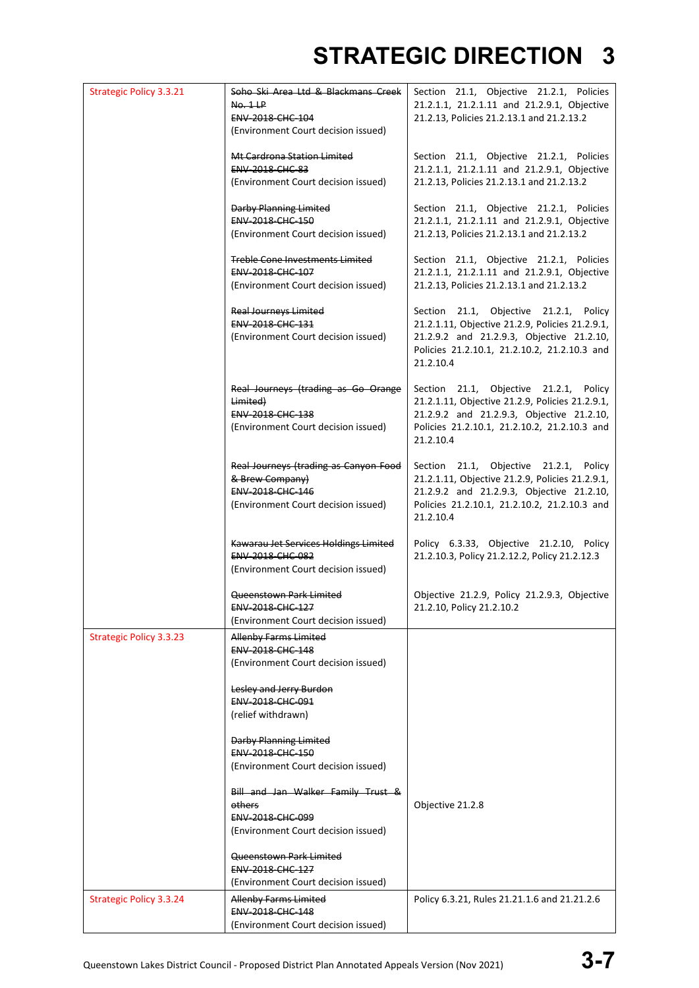| <b>Strategic Policy 3.3.21</b> | Soho Ski Area Ltd & Blackmans Creek   | Section 21.1, Objective 21.2.1, Policies        |
|--------------------------------|---------------------------------------|-------------------------------------------------|
|                                | No. 1LP                               | 21.2.1.1, 21.2.1.11 and 21.2.9.1, Objective     |
|                                | <b>ENV 2018 CHC 104</b>               | 21.2.13, Policies 21.2.13.1 and 21.2.13.2       |
|                                | (Environment Court decision issued)   |                                                 |
|                                |                                       |                                                 |
|                                | Mt Cardrona Station Limited           | Section 21.1, Objective 21.2.1, Policies        |
|                                | <b>ENV-2018-CHC-83</b>                | 21.2.1.1, 21.2.1.11 and 21.2.9.1, Objective     |
|                                | (Environment Court decision issued)   | 21.2.13, Policies 21.2.13.1 and 21.2.13.2       |
|                                |                                       |                                                 |
|                                | <b>Darby Planning Limited</b>         | Section 21.1, Objective 21.2.1, Policies        |
|                                | ENV-2018-CHC-150                      | 21.2.1.1, 21.2.1.11 and 21.2.9.1, Objective     |
|                                | (Environment Court decision issued)   | 21.2.13, Policies 21.2.13.1 and 21.2.13.2       |
|                                |                                       |                                                 |
|                                | Treble Cone Investments Limited       | Section 21.1, Objective 21.2.1, Policies        |
|                                | ENV-2018-CHC-107                      | 21.2.1.1, 21.2.1.11 and 21.2.9.1, Objective     |
|                                | (Environment Court decision issued)   | 21.2.13, Policies 21.2.13.1 and 21.2.13.2       |
|                                |                                       |                                                 |
|                                | <b>Real Journeys Limited</b>          | Section 21.1, Objective 21.2.1, Policy          |
|                                | <b>ENV 2018 CHC 131</b>               | 21.2.1.11, Objective 21.2.9, Policies 21.2.9.1, |
|                                | (Environment Court decision issued)   | 21.2.9.2 and 21.2.9.3, Objective 21.2.10,       |
|                                |                                       | Policies 21.2.10.1, 21.2.10.2, 21.2.10.3 and    |
|                                |                                       |                                                 |
|                                |                                       | 21.2.10.4                                       |
|                                |                                       |                                                 |
|                                | Real Journeys (trading as Go Orange   | Section 21.1, Objective 21.2.1, Policy          |
|                                | Limited)                              | 21.2.1.11, Objective 21.2.9, Policies 21.2.9.1, |
|                                | <b>ENV 2018 CHC 138</b>               | 21.2.9.2 and 21.2.9.3, Objective 21.2.10,       |
|                                | (Environment Court decision issued)   | Policies 21.2.10.1, 21.2.10.2, 21.2.10.3 and    |
|                                |                                       | 21.2.10.4                                       |
|                                |                                       |                                                 |
|                                | Real Journeys (trading as Canyon Food | Section 21.1, Objective 21.2.1, Policy          |
|                                | & Brew Company)                       | 21.2.1.11, Objective 21.2.9, Policies 21.2.9.1, |
|                                | ENV-2018-CHC-146                      | 21.2.9.2 and 21.2.9.3, Objective 21.2.10,       |
|                                | (Environment Court decision issued)   | Policies 21.2.10.1, 21.2.10.2, 21.2.10.3 and    |
|                                |                                       | 21.2.10.4                                       |
|                                |                                       |                                                 |
|                                | Kawarau Jet Services Holdings Limited | Policy 6.3.33, Objective 21.2.10, Policy        |
|                                | ENV-2018-CHC-082                      | 21.2.10.3, Policy 21.2.12.2, Policy 21.2.12.3   |
|                                | (Environment Court decision issued)   |                                                 |
|                                |                                       |                                                 |
|                                | Queenstown Park Limited               | Objective 21.2.9, Policy 21.2.9.3, Objective    |
|                                | ENV-2018-CHC-127                      | 21.2.10, Policy 21.2.10.2                       |
|                                | (Environment Court decision issued)   |                                                 |
| <b>Strategic Policy 3.3.23</b> | <b>Allenby Farms Limited</b>          |                                                 |
|                                | ENV-2018-CHC-148                      |                                                 |
|                                | (Environment Court decision issued)   |                                                 |
|                                |                                       |                                                 |
|                                | Lesley and Jerry Burdon               |                                                 |
|                                | ENV-2018-CHC-091                      |                                                 |
|                                | (relief withdrawn)                    |                                                 |
|                                |                                       |                                                 |
|                                | Darby Planning Limited                |                                                 |
|                                | ENV-2018-CHC-150                      |                                                 |
|                                | (Environment Court decision issued)   |                                                 |
|                                |                                       |                                                 |
|                                | Bill and Jan Walker Family Trust &    |                                                 |
|                                | others                                | Objective 21.2.8                                |
|                                | ENV-2018-CHC-099                      |                                                 |
|                                | (Environment Court decision issued)   |                                                 |
|                                |                                       |                                                 |
|                                | <del>Queenstown Park Limited</del>    |                                                 |
|                                | ENV-2018-CHC-127                      |                                                 |
|                                | (Environment Court decision issued)   |                                                 |
|                                |                                       |                                                 |
| <b>Strategic Policy 3.3.24</b> | <b>Allenby Farms Limited</b>          | Policy 6.3.21, Rules 21.21.1.6 and 21.21.2.6    |
|                                | ENV-2018-CHC-148                      |                                                 |
|                                | (Environment Court decision issued)   |                                                 |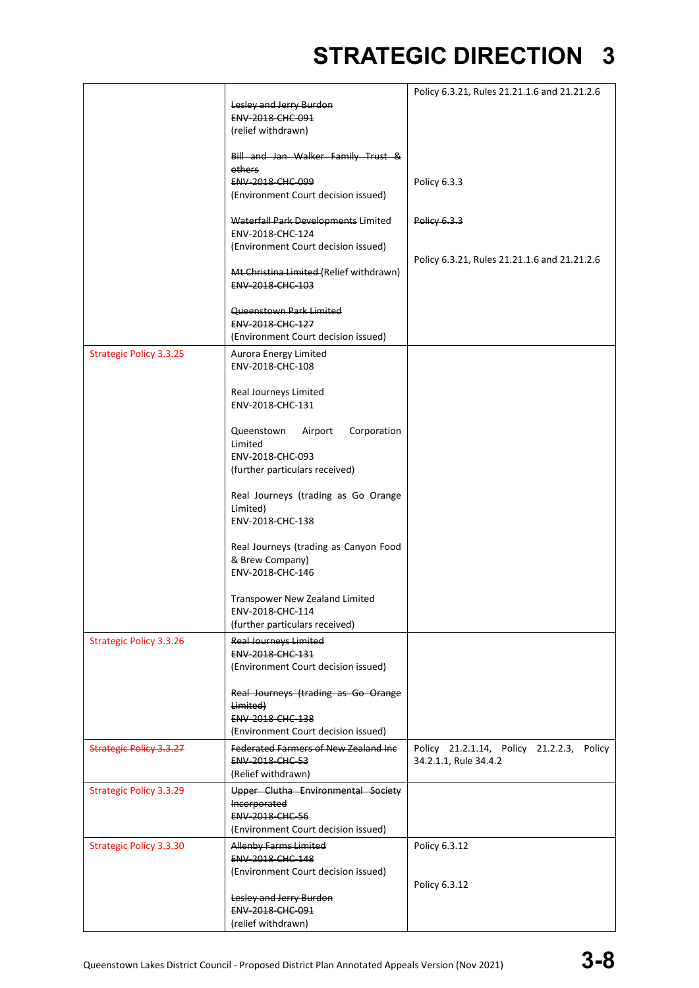|                                |                                                         | Policy 6.3.21, Rules 21.21.1.6 and 21.21.2.6 |
|--------------------------------|---------------------------------------------------------|----------------------------------------------|
|                                | Lesley and Jerry Burdon                                 |                                              |
|                                | <b>ENV 2018 CHC 091</b>                                 |                                              |
|                                | (relief withdrawn)                                      |                                              |
|                                |                                                         |                                              |
|                                | Bill and Jan Walker Family Trust &                      |                                              |
|                                | others                                                  |                                              |
|                                | <b>ENV-2018-CHC-099</b>                                 | Policy 6.3.3                                 |
|                                | (Environment Court decision issued)                     |                                              |
|                                | Waterfall Park Developments Limited                     | Policy 6.3.3                                 |
|                                | ENV-2018-CHC-124                                        |                                              |
|                                | (Environment Court decision issued)                     |                                              |
|                                |                                                         | Policy 6.3.21, Rules 21.21.1.6 and 21.21.2.6 |
|                                | Mt Christina Limited (Relief withdrawn)                 |                                              |
|                                | ENV-2018-CHC-103                                        |                                              |
|                                | Queenstown Park Limited                                 |                                              |
|                                | <b>ENV 2018 CHC 127</b>                                 |                                              |
|                                | (Environment Court decision issued)                     |                                              |
|                                |                                                         |                                              |
| <b>Strategic Policy 3.3.25</b> | Aurora Energy Limited<br>ENV-2018-CHC-108               |                                              |
|                                |                                                         |                                              |
|                                | Real Journeys Limited                                   |                                              |
|                                | ENV-2018-CHC-131                                        |                                              |
|                                |                                                         |                                              |
|                                | Corporation<br>Queenstown<br>Airport                    |                                              |
|                                | Limited                                                 |                                              |
|                                | ENV-2018-CHC-093                                        |                                              |
|                                | (further particulars received)                          |                                              |
|                                | Real Journeys (trading as Go Orange                     |                                              |
|                                | Limited)                                                |                                              |
|                                | ENV-2018-CHC-138                                        |                                              |
|                                |                                                         |                                              |
|                                | Real Journeys (trading as Canyon Food                   |                                              |
|                                | & Brew Company)                                         |                                              |
|                                | ENV-2018-CHC-146                                        |                                              |
|                                |                                                         |                                              |
|                                | Transpower New Zealand Limited<br>ENV-2018-CHC-114      |                                              |
|                                | (further particulars received)                          |                                              |
| <b>Strategic Policy 3.3.26</b> | <b>Real Journeys Limited</b>                            |                                              |
|                                | <b>ENV 2018 CHC 131</b>                                 |                                              |
|                                | (Environment Court decision issued)                     |                                              |
|                                |                                                         |                                              |
|                                | Real Journeys (trading as Go Orange                     |                                              |
|                                | Limited)                                                |                                              |
|                                | ENV-2018-CHC-138                                        |                                              |
|                                | (Environment Court decision issued)                     |                                              |
| <b>Strategic Policy 3.3.27</b> | <b>Federated Farmers of New Zealand Inc.</b>            | Policy 21.2.1.14, Policy 21.2.2.3, Policy    |
|                                | ENV-2018-CHC-53                                         | 34.2.1.1, Rule 34.4.2                        |
|                                | (Relief withdrawn)                                      |                                              |
| <b>Strategic Policy 3.3.29</b> | Upper Clutha Environmental Society                      |                                              |
|                                | Incorporated<br>ENV-2018-CHC-56                         |                                              |
|                                | (Environment Court decision issued)                     |                                              |
|                                |                                                         |                                              |
| <b>Strategic Policy 3.3.30</b> | <b>Allenby Farms Limited</b><br><b>ENV-2018-CHC-148</b> | Policy 6.3.12                                |
|                                | (Environment Court decision issued)                     |                                              |
|                                |                                                         | Policy 6.3.12                                |
|                                | Lesley and Jerry Burdon                                 |                                              |
|                                | ENV-2018-CHC-091                                        |                                              |
|                                | (relief withdrawn)                                      |                                              |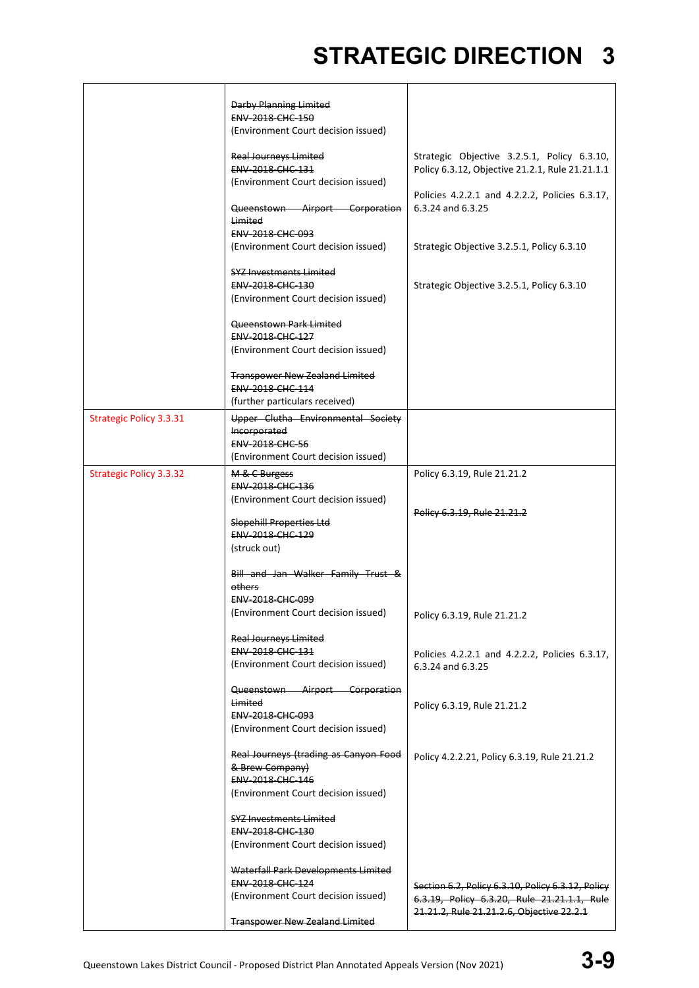|                                | <b>Darby Planning Limited</b><br><b>ENV 2018 CHC 150</b><br>(Environment Court decision issued)<br><b>Real Journeys Limited</b><br>ENV-2018-CHC-131<br>(Environment Court decision issued)<br>Queenstown Airport Corporation<br>Limited | Strategic Objective 3.2.5.1, Policy 6.3.10,<br>Policy 6.3.12, Objective 21.2.1, Rule 21.21.1.1<br>Policies 4.2.2.1 and 4.2.2.2, Policies 6.3.17,<br>6.3.24 and 6.3.25 |
|--------------------------------|-----------------------------------------------------------------------------------------------------------------------------------------------------------------------------------------------------------------------------------------|-----------------------------------------------------------------------------------------------------------------------------------------------------------------------|
|                                | ENV-2018-CHC-093<br>(Environment Court decision issued)                                                                                                                                                                                 | Strategic Objective 3.2.5.1, Policy 6.3.10                                                                                                                            |
|                                | <b>SYZ Investments Limited</b><br>ENV-2018-CHC-130<br>(Environment Court decision issued)                                                                                                                                               | Strategic Objective 3.2.5.1, Policy 6.3.10                                                                                                                            |
|                                | Queenstown Park Limited<br>ENV-2018-CHC-127<br>(Environment Court decision issued)                                                                                                                                                      |                                                                                                                                                                       |
|                                | <b>Transpower New Zealand Limited</b><br>ENV-2018-CHC-114<br>(further particulars received)                                                                                                                                             |                                                                                                                                                                       |
| <b>Strategic Policy 3.3.31</b> | Upper Clutha Environmental Society<br><b>Incorporated</b><br><b>ENV-2018-CHC-56</b><br>(Environment Court decision issued)                                                                                                              |                                                                                                                                                                       |
| <b>Strategic Policy 3.3.32</b> | M & C Burgess<br>ENV-2018-CHC-136<br>(Environment Court decision issued)<br>Slopehill Properties Ltd<br><b>ENV 2018 CHC 129</b>                                                                                                         | Policy 6.3.19, Rule 21.21.2<br>Policy 6.3.19, Rule 21.21.2                                                                                                            |
|                                | (struck out)<br>Bill and Jan Walker Family Trust &<br>others<br>ENV-2018-CHC-099<br>(Environment Court decision issued)                                                                                                                 | Policy 6.3.19, Rule 21.21.2                                                                                                                                           |
|                                | <b>Real Journeys Limited</b><br>ENV-2018-CHC-131<br>(Environment Court decision issued)                                                                                                                                                 | Policies 4.2.2.1 and 4.2.2.2, Policies 6.3.17,<br>6.3.24 and 6.3.25                                                                                                   |
|                                | Queenstown Airport Corporation<br>Limited<br><b>ENV 2018 CHC 093</b><br>(Environment Court decision issued)                                                                                                                             | Policy 6.3.19, Rule 21.21.2                                                                                                                                           |
|                                | Real Journeys (trading as Canyon Food<br>& Brew Company)<br>ENV-2018-CHC-146<br>(Environment Court decision issued)                                                                                                                     | Policy 4.2.2.21, Policy 6.3.19, Rule 21.21.2                                                                                                                          |
|                                | <b>SYZ Investments Limited</b><br>ENV-2018-CHC-130<br>(Environment Court decision issued)                                                                                                                                               |                                                                                                                                                                       |
|                                | Waterfall Park Developments Limited<br>ENV-2018-CHC-124<br>(Environment Court decision issued)                                                                                                                                          | Section 6.2, Policy 6.3.10, Policy 6.3.12, Policy<br>6.3.19, Policy 6.3.20, Rule 21.21.1.1, Rule<br>21.21.2, Rule 21.21.2.6, Objective 22.2.1                         |
|                                | <b>Transpower New Zealand Limited</b>                                                                                                                                                                                                   |                                                                                                                                                                       |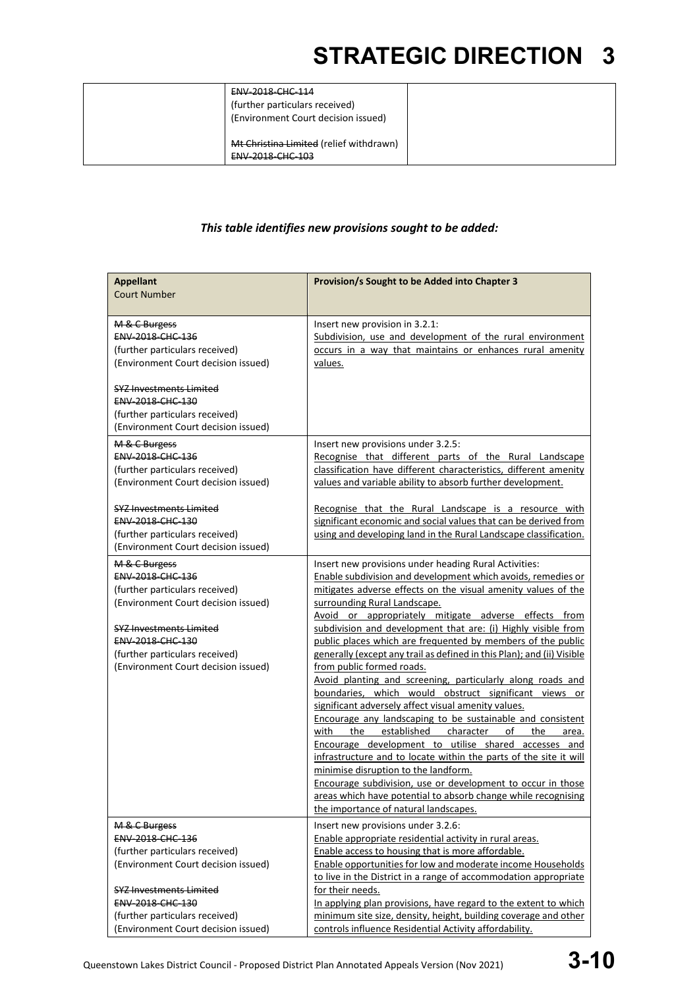| $FNN-2018$ -CHC-114<br>----------------<br>(further particulars received)<br>(Environment Court decision issued) |  |
|------------------------------------------------------------------------------------------------------------------|--|
| Mt Christina Limited (relief withdrawn)<br>$FNN$ 2019 $FUT$ 102<br><del>ENV 2010 CHC 105</del>                   |  |

### *This table identifies new provisions sought to be added:*

| <b>Appellant</b><br><b>Court Number</b>                                                                                                                                                                                                          | Provision/s Sought to be Added into Chapter 3                                                                                                                                                                                                                                                                                                                                                                                                                                                                                                                                                                                                                                                                                                                                                                                                                                                  |
|--------------------------------------------------------------------------------------------------------------------------------------------------------------------------------------------------------------------------------------------------|------------------------------------------------------------------------------------------------------------------------------------------------------------------------------------------------------------------------------------------------------------------------------------------------------------------------------------------------------------------------------------------------------------------------------------------------------------------------------------------------------------------------------------------------------------------------------------------------------------------------------------------------------------------------------------------------------------------------------------------------------------------------------------------------------------------------------------------------------------------------------------------------|
| M & C Burgess<br>ENV-2018-CHC-136<br>(further particulars received)<br>(Environment Court decision issued)<br><b>SYZ Investments Limited</b><br><b>ENV 2018 CHC 130</b><br>(further particulars received)<br>(Environment Court decision issued) | Insert new provision in 3.2.1:<br>Subdivision, use and development of the rural environment<br>occurs in a way that maintains or enhances rural amenity<br>values.                                                                                                                                                                                                                                                                                                                                                                                                                                                                                                                                                                                                                                                                                                                             |
| M & C Burgess<br>ENV-2018-CHC-136<br>(further particulars received)<br>(Environment Court decision issued)                                                                                                                                       | Insert new provisions under 3.2.5:<br>Recognise that different parts of the Rural Landscape<br>classification have different characteristics, different amenity<br>values and variable ability to absorb further development.                                                                                                                                                                                                                                                                                                                                                                                                                                                                                                                                                                                                                                                                  |
| <b>SYZ Investments Limited</b><br>ENV-2018-CHC-130<br>(further particulars received)<br>(Environment Court decision issued)                                                                                                                      | Recognise that the Rural Landscape is a resource with<br>significant economic and social values that can be derived from<br>using and developing land in the Rural Landscape classification.                                                                                                                                                                                                                                                                                                                                                                                                                                                                                                                                                                                                                                                                                                   |
| M & C Burgess<br>ENV-2018-CHC-136<br>(further particulars received)<br>(Environment Court decision issued)                                                                                                                                       | Insert new provisions under heading Rural Activities:<br>Enable subdivision and development which avoids, remedies or<br>mitigates adverse effects on the visual amenity values of the<br>surrounding Rural Landscape.<br>Avoid or appropriately mitigate adverse effects from                                                                                                                                                                                                                                                                                                                                                                                                                                                                                                                                                                                                                 |
| <b>SYZ Investments Limited</b><br>ENV-2018-CHC-130<br>(further particulars received)<br>(Environment Court decision issued)                                                                                                                      | subdivision and development that are: (i) Highly visible from<br>public places which are frequented by members of the public<br>generally (except any trail as defined in this Plan); and (ii) Visible<br>from public formed roads.<br>Avoid planting and screening, particularly along roads and<br>boundaries, which would obstruct significant views or<br>significant adversely affect visual amenity values.<br>Encourage any landscaping to be sustainable and consistent<br>with<br>the<br>established<br>character<br>of<br>the<br>area.<br>Encourage development to utilise shared accesses and<br>infrastructure and to locate within the parts of the site it will<br>minimise disruption to the landform.<br>Encourage subdivision, use or development to occur in those<br>areas which have potential to absorb change while recognising<br>the importance of natural landscapes. |
| M & C Burgess<br><b>ENV 2018 CHC 136</b><br>(further particulars received)<br>(Environment Court decision issued)<br><b>SYZ Investments Limited</b><br>ENV-2018-CHC-130                                                                          | Insert new provisions under 3.2.6:<br>Enable appropriate residential activity in rural areas.<br>Enable access to housing that is more affordable.<br>Enable opportunities for low and moderate income Households<br>to live in the District in a range of accommodation appropriate<br>for their needs.<br>In applying plan provisions, have regard to the extent to which                                                                                                                                                                                                                                                                                                                                                                                                                                                                                                                    |
| (further particulars received)<br>(Environment Court decision issued)                                                                                                                                                                            | minimum site size, density, height, building coverage and other<br>controls influence Residential Activity affordability.                                                                                                                                                                                                                                                                                                                                                                                                                                                                                                                                                                                                                                                                                                                                                                      |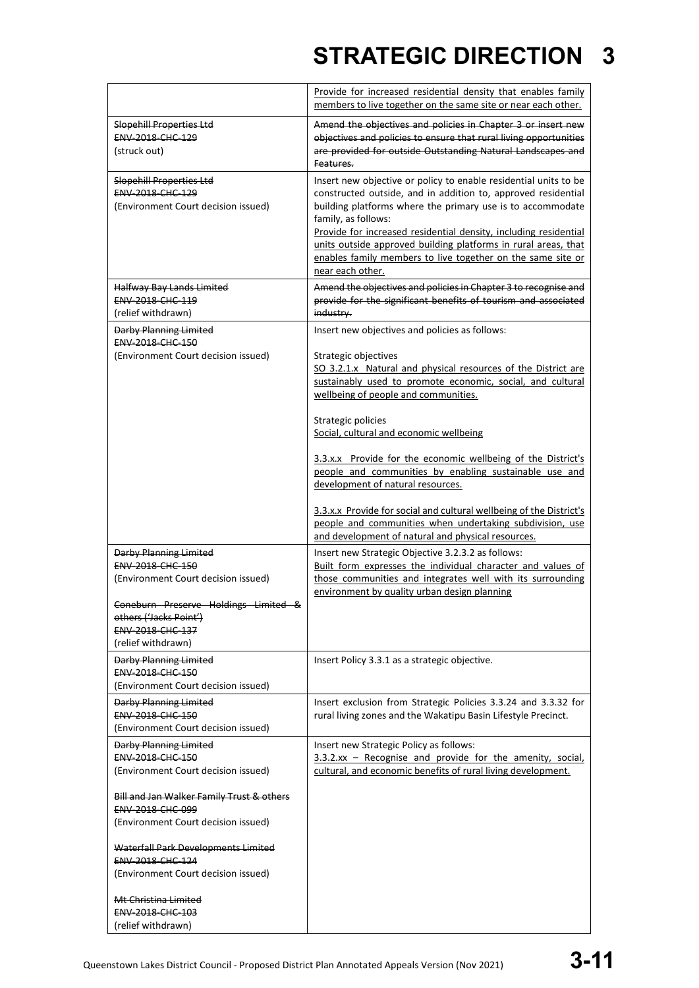|                                                         | Provide for increased residential density that enables family<br>members to live together on the same site or near each other. |
|---------------------------------------------------------|--------------------------------------------------------------------------------------------------------------------------------|
| <b>Slopehill Properties Ltd</b>                         | Amend the objectives and policies in Chapter 3 or insert new                                                                   |
| ENV-2018-CHC-129                                        | objectives and policies to ensure that rural living opportunities                                                              |
| (struck out)                                            | are provided for outside Outstanding Natural Landscapes and                                                                    |
|                                                         | Features.                                                                                                                      |
| <b>Slopehill Properties Ltd</b>                         | Insert new objective or policy to enable residential units to be                                                               |
| ENV-2018-CHC-129                                        | constructed outside, and in addition to, approved residential                                                                  |
| (Environment Court decision issued)                     | building platforms where the primary use is to accommodate                                                                     |
|                                                         | family, as follows:                                                                                                            |
|                                                         | Provide for increased residential density, including residential                                                               |
|                                                         | units outside approved building platforms in rural areas, that                                                                 |
|                                                         | enables family members to live together on the same site or                                                                    |
|                                                         | near each other.                                                                                                               |
| Halfway Bay Lands Limited                               | Amend the objectives and policies in Chapter 3 to recognise and                                                                |
| ENV-2018-CHC-119                                        | provide for the significant benefits of tourism and associated                                                                 |
| (relief withdrawn)                                      | industry.                                                                                                                      |
|                                                         |                                                                                                                                |
| Darby Planning Limited<br>ENV-2018-CHC-150              | Insert new objectives and policies as follows:                                                                                 |
| (Environment Court decision issued)                     | Strategic objectives                                                                                                           |
|                                                         | SO 3.2.1.x Natural and physical resources of the District are                                                                  |
|                                                         | sustainably used to promote economic, social, and cultural                                                                     |
|                                                         | wellbeing of people and communities.                                                                                           |
|                                                         |                                                                                                                                |
|                                                         | Strategic policies                                                                                                             |
|                                                         | Social, cultural and economic wellbeing                                                                                        |
|                                                         | 3.3.x.x Provide for the economic wellbeing of the District's                                                                   |
|                                                         | people and communities by enabling sustainable use and                                                                         |
|                                                         | development of natural resources.                                                                                              |
|                                                         |                                                                                                                                |
|                                                         | 3.3.x.x Provide for social and cultural wellbeing of the District's                                                            |
|                                                         | people and communities when undertaking subdivision, use                                                                       |
|                                                         | and development of natural and physical resources.                                                                             |
| <b>Darby Planning Limited</b>                           | Insert new Strategic Objective 3.2.3.2 as follows:                                                                             |
| ENV-2018-CHC-150                                        | Built form expresses the individual character and values of                                                                    |
| (Environment Court decision issued)                     | those communities and integrates well with its surrounding                                                                     |
|                                                         | environment by quality urban design planning                                                                                   |
| Coneburn Preserve Holdings Limited<br>Ω.                |                                                                                                                                |
| others ('Jacks Point')                                  |                                                                                                                                |
| <b>ENV 2018 CHC 137</b>                                 |                                                                                                                                |
| (relief withdrawn)                                      |                                                                                                                                |
| <b>Darby Planning Limited</b>                           | Insert Policy 3.3.1 as a strategic objective.                                                                                  |
| ENV-2018-CHC-150                                        |                                                                                                                                |
| (Environment Court decision issued)                     |                                                                                                                                |
| Darby Planning Limited                                  | Insert exclusion from Strategic Policies 3.3.24 and 3.3.32 for                                                                 |
| ENV-2018-CHC-150                                        | rural living zones and the Wakatipu Basin Lifestyle Precinct.                                                                  |
| (Environment Court decision issued)                     |                                                                                                                                |
| <b>Darby Planning Limited</b>                           | Insert new Strategic Policy as follows:                                                                                        |
| <b>ENV 2018 CHC 150</b>                                 | $3.3.2.xx$ – Recognise and provide for the amenity, social,                                                                    |
| (Environment Court decision issued)                     | cultural, and economic benefits of rural living development.                                                                   |
|                                                         |                                                                                                                                |
| Bill and Jan Walker Family Trust & others               |                                                                                                                                |
| ENV-2018-CHC-099<br>(Environment Court decision issued) |                                                                                                                                |
|                                                         |                                                                                                                                |
| Waterfall Park Developments Limited                     |                                                                                                                                |
| ENV-2018-CHC-124                                        |                                                                                                                                |
| (Environment Court decision issued)                     |                                                                                                                                |
|                                                         |                                                                                                                                |
| Mt Christina Limited<br>ENV-2018-CHC-103                |                                                                                                                                |
|                                                         |                                                                                                                                |
| (relief withdrawn)                                      |                                                                                                                                |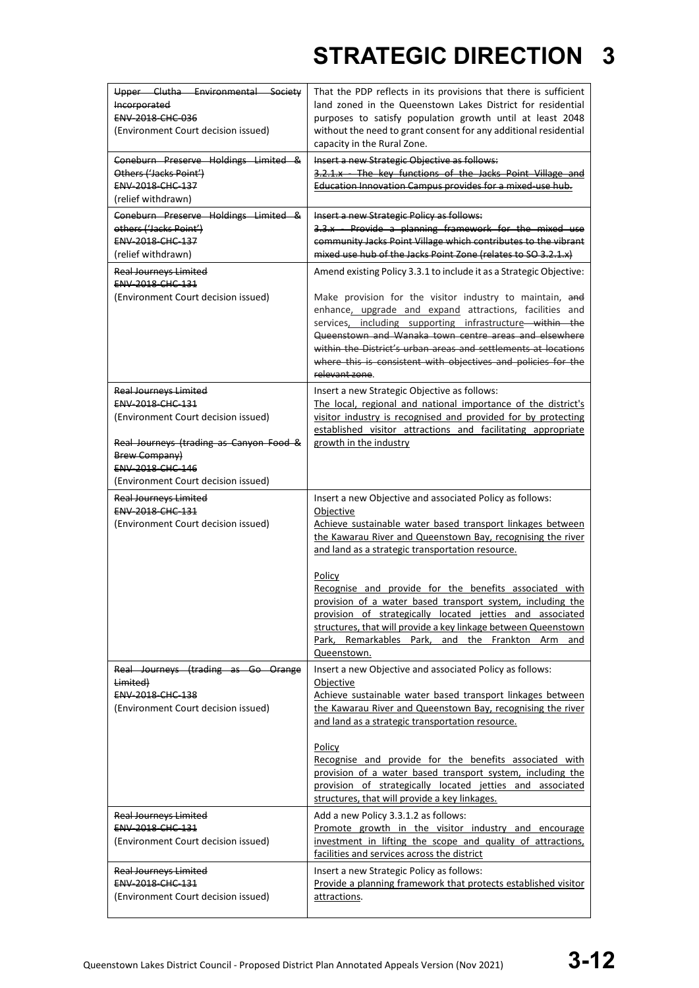| Upper Clutha Environmental Society<br>Incorporated<br><b>ENV 2018 CHC 036</b><br>(Environment Court decision issued)                                                                                                  | That the PDP reflects in its provisions that there is sufficient<br>land zoned in the Queenstown Lakes District for residential<br>purposes to satisfy population growth until at least 2048<br>without the need to grant consent for any additional residential<br>capacity in the Rural Zone.                                                                                                                                                                                                                                                                                               |  |
|-----------------------------------------------------------------------------------------------------------------------------------------------------------------------------------------------------------------------|-----------------------------------------------------------------------------------------------------------------------------------------------------------------------------------------------------------------------------------------------------------------------------------------------------------------------------------------------------------------------------------------------------------------------------------------------------------------------------------------------------------------------------------------------------------------------------------------------|--|
| Coneburn Preserve Holdings Limited &<br>Others ('Jacks Point')<br>ENV-2018-CHC-137<br>(relief withdrawn)                                                                                                              | Insert a new Strategic Objective as follows:<br>3.2.1.x The key functions of the Jacks Point Village and<br>Education Innovation Campus provides for a mixed-use hub.                                                                                                                                                                                                                                                                                                                                                                                                                         |  |
| Coneburn Preserve Holdings Limited &<br>others ('Jacks Point')<br>ENV-2018-CHC-137<br>(relief withdrawn)                                                                                                              | Insert a new Strategic Policy as follows:<br>3.3.x - Provide a planning framework for the mixed use<br>community Jacks Point Village which contributes to the vibrant<br>mixed use hub of the Jacks Point Zone (relates to SO 3.2.1.x)                                                                                                                                                                                                                                                                                                                                                        |  |
| <b>Real Journeys Limited</b><br><b>ENV 2018 CHC 131</b><br>(Environment Court decision issued)                                                                                                                        | Amend existing Policy 3.3.1 to include it as a Strategic Objective:<br>Make provision for the visitor industry to maintain, and<br>enhance, upgrade and expand attractions, facilities and<br>services, including supporting infrastructure within the<br>Queenstown and Wanaka town centre areas and elsewhere<br>within the District's urban areas and settlements at locations<br>where this is consistent with objectives and policies for the<br>relevant zone.                                                                                                                          |  |
| <b>Real Journeys Limited</b><br>ENV-2018-CHC-131<br>(Environment Court decision issued)<br>Real Journeys (trading as Canyon Food &<br><b>Brew Company)</b><br>ENV-2018-CHC-146<br>(Environment Court decision issued) | Insert a new Strategic Objective as follows:<br>The local, regional and national importance of the district's<br>visitor industry is recognised and provided for by protecting<br>established visitor attractions and facilitating appropriate<br>growth in the industry                                                                                                                                                                                                                                                                                                                      |  |
| <b>Real Journeys Limited</b><br><b>ENV 2018 CHC 131</b><br>(Environment Court decision issued)                                                                                                                        | Insert a new Objective and associated Policy as follows:<br>Objective<br>Achieve sustainable water based transport linkages between<br>the Kawarau River and Queenstown Bay, recognising the river<br>and land as a strategic transportation resource.<br>Policy<br>Recognise and provide for the benefits associated with<br>provision of a water based transport system, including the<br>provision of strategically located jetties and associated<br>structures, that will provide a key linkage between Queenstown<br>Park, Remarkables Park, and the Frankton Arm<br>and<br>Queenstown. |  |
| Real Journeys (trading as Go Orange<br>Limited)<br><b>ENV 2018 CHC 138</b><br>(Environment Court decision issued)                                                                                                     | Insert a new Objective and associated Policy as follows:<br>Objective<br>Achieve sustainable water based transport linkages between<br>the Kawarau River and Queenstown Bay, recognising the river<br>and land as a strategic transportation resource.<br>Policy<br>Recognise and provide for the benefits associated with<br>provision of a water based transport system, including the<br>provision of strategically located jetties and associated<br>structures, that will provide a key linkages.                                                                                        |  |
| <b>Real Journeys Limited</b><br>ENV-2018-CHC-131<br>(Environment Court decision issued)                                                                                                                               | Add a new Policy 3.3.1.2 as follows:<br>Promote growth in the visitor industry and encourage<br>investment in lifting the scope and quality of attractions,<br>facilities and services across the district                                                                                                                                                                                                                                                                                                                                                                                    |  |
| <b>Real Journeys Limited</b><br><b>ENV 2018 CHC 131</b><br>(Environment Court decision issued)                                                                                                                        | Insert a new Strategic Policy as follows:<br>Provide a planning framework that protects established visitor<br>attractions.                                                                                                                                                                                                                                                                                                                                                                                                                                                                   |  |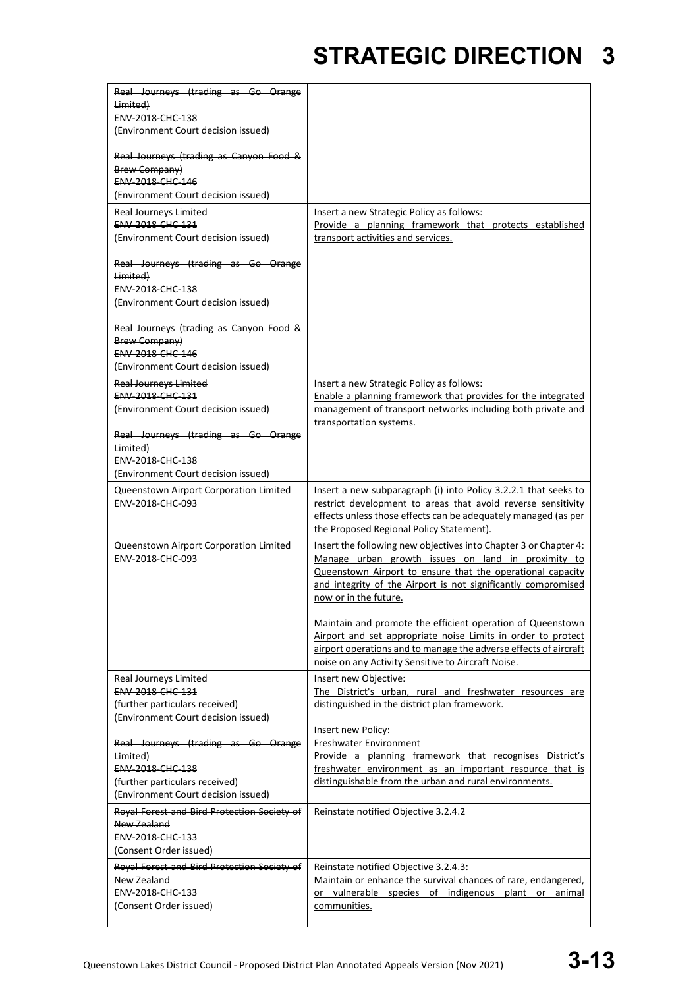| Real Journeys (trading as Go Orange              |                                                                                          |
|--------------------------------------------------|------------------------------------------------------------------------------------------|
|                                                  |                                                                                          |
| Limited)                                         |                                                                                          |
| <b>ENV 2018 CHC 138</b>                          |                                                                                          |
| (Environment Court decision issued)              |                                                                                          |
| Real Journeys (trading as Canyon Food &          |                                                                                          |
| Brew Company)                                    |                                                                                          |
| ENV-2018-CHC-146                                 |                                                                                          |
| (Environment Court decision issued)              |                                                                                          |
| <b>Real Journeys Limited</b>                     | Insert a new Strategic Policy as follows:                                                |
| ENV-2018-CHC-131                                 | Provide a planning framework that protects established                                   |
| (Environment Court decision issued)              | transport activities and services.                                                       |
| Real Journeys (trading as Go Orange              |                                                                                          |
| Limited)                                         |                                                                                          |
| ENV-2018-CHC-138                                 |                                                                                          |
| (Environment Court decision issued)              |                                                                                          |
|                                                  |                                                                                          |
| Real Journeys (trading as Canyon Food &          |                                                                                          |
| <b>Brew Company</b> )                            |                                                                                          |
| ENV-2018-CHC-146                                 |                                                                                          |
| (Environment Court decision issued)              |                                                                                          |
| <b>Real Journeys Limited</b>                     | Insert a new Strategic Policy as follows:                                                |
| <b>ENV 2018 CHC 131</b>                          | Enable a planning framework that provides for the integrated                             |
| (Environment Court decision issued)              | management of transport networks including both private and                              |
|                                                  | transportation systems.                                                                  |
| Real Journeys (trading as Go Orange              |                                                                                          |
| Limited)                                         |                                                                                          |
| ENV-2018-CHC-138                                 |                                                                                          |
| (Environment Court decision issued)              |                                                                                          |
| Queenstown Airport Corporation Limited           | Insert a new subparagraph (i) into Policy 3.2.2.1 that seeks to                          |
| ENV-2018-CHC-093                                 | restrict development to areas that avoid reverse sensitivity                             |
|                                                  | effects unless those effects can be adequately managed (as per                           |
|                                                  |                                                                                          |
|                                                  | the Proposed Regional Policy Statement).                                                 |
| Queenstown Airport Corporation Limited           | Insert the following new objectives into Chapter 3 or Chapter 4:                         |
| ENV-2018-CHC-093                                 | Manage urban growth issues on land in proximity to                                       |
|                                                  | Queenstown Airport to ensure that the operational capacity                               |
|                                                  | and integrity of the Airport is not significantly compromised                            |
|                                                  | now or in the future.                                                                    |
|                                                  | Maintain and promote the efficient operation of Queenstown                               |
|                                                  | Airport and set appropriate noise Limits in order to protect                             |
|                                                  | airport operations and to manage the adverse effects of aircraft                         |
|                                                  | noise on any Activity Sensitive to Aircraft Noise.                                       |
|                                                  |                                                                                          |
| <b>Real Journeys Limited</b><br>ENV-2018-CHC-131 | Insert new Objective:<br>The District's urban, rural and freshwater resources are        |
|                                                  |                                                                                          |
| (further particulars received)                   | distinguished in the district plan framework.                                            |
| (Environment Court decision issued)              |                                                                                          |
|                                                  | Insert new Policy:                                                                       |
| Real Journeys (trading as Go Orange<br>Limited)  | <b>Freshwater Environment</b><br>Provide a planning framework that recognises District's |
| ENV-2018-CHC-138                                 |                                                                                          |
| (further particulars received)                   | freshwater environment as an important resource that is                                  |
|                                                  | distinguishable from the urban and rural environments.                                   |
| (Environment Court decision issued)              |                                                                                          |
| Royal Forest and Bird Protection Society of      | Reinstate notified Objective 3.2.4.2                                                     |
| New Zealand                                      |                                                                                          |
| ENV-2018-CHC-133                                 |                                                                                          |
| (Consent Order issued)                           |                                                                                          |
| Royal Forest and Bird Protection Society of      | Reinstate notified Objective 3.2.4.3:                                                    |
| New Zealand                                      | Maintain or enhance the survival chances of rare, endangered,                            |
| ENV-2018-CHC-133                                 | or vulnerable species of indigenous plant or animal                                      |
| (Consent Order issued)                           | communities.                                                                             |
|                                                  |                                                                                          |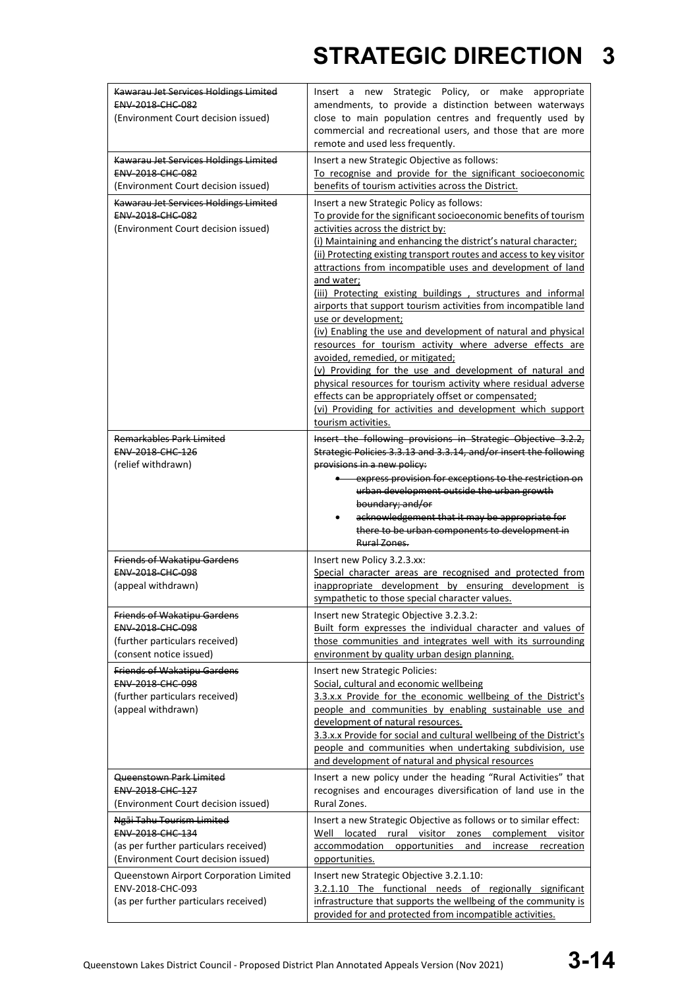| Kawarau Jet Services Holdings Limited<br>ENV-2018-CHC-082<br>(Environment Court decision issued)                              | Insert a new Strategic Policy, or make appropriate<br>amendments, to provide a distinction between waterways<br>close to main population centres and frequently used by<br>commercial and recreational users, and those that are more<br>remote and used less frequently.                                                                                                                                                                                                                                                                                                                                                                                                                                                                                                                                                                                                                                                                                                                                                                        |  |
|-------------------------------------------------------------------------------------------------------------------------------|--------------------------------------------------------------------------------------------------------------------------------------------------------------------------------------------------------------------------------------------------------------------------------------------------------------------------------------------------------------------------------------------------------------------------------------------------------------------------------------------------------------------------------------------------------------------------------------------------------------------------------------------------------------------------------------------------------------------------------------------------------------------------------------------------------------------------------------------------------------------------------------------------------------------------------------------------------------------------------------------------------------------------------------------------|--|
| Kawarau Jet Services Holdings Limited<br><b>ENV 2018 CHC 082</b><br>(Environment Court decision issued)                       | Insert a new Strategic Objective as follows:<br>To recognise and provide for the significant socioeconomic<br>benefits of tourism activities across the District.                                                                                                                                                                                                                                                                                                                                                                                                                                                                                                                                                                                                                                                                                                                                                                                                                                                                                |  |
| Kawarau Jet Services Holdings Limited<br>ENV-2018-CHC-082<br>(Environment Court decision issued)<br>Remarkables Park Limited  | Insert a new Strategic Policy as follows:<br>To provide for the significant socioeconomic benefits of tourism<br>activities across the district by:<br>(i) Maintaining and enhancing the district's natural character;<br>(ii) Protecting existing transport routes and access to key visitor<br>attractions from incompatible uses and development of land<br>and water;<br>(iii) Protecting existing buildings, structures and informal<br>airports that support tourism activities from incompatible land<br>use or development;<br>(iv) Enabling the use and development of natural and physical<br>resources for tourism activity where adverse effects are<br>avoided, remedied, or mitigated;<br>(v) Providing for the use and development of natural and<br>physical resources for tourism activity where residual adverse<br>effects can be appropriately offset or compensated;<br>(vi) Providing for activities and development which support<br>tourism activities.<br>Insert the following provisions in Strategic Objective 3.2.2, |  |
| ENV-2018-CHC-126<br>(relief withdrawn)                                                                                        | Strategic Policies 3.3.13 and 3.3.14, and/or insert the following<br>provisions in a new policy:<br>express provision for exceptions to the restriction on<br>urban development outside the urban growth<br>boundary; and/or<br>acknowledgement that it may be appropriate for<br>$\bullet$<br>there to be urban components to development in<br>Rural Zones                                                                                                                                                                                                                                                                                                                                                                                                                                                                                                                                                                                                                                                                                     |  |
| <b>Friends of Wakatipu Gardens</b><br><b>ENV 2018 CHC 098</b><br>(appeal withdrawn)                                           | Insert new Policy 3.2.3.xx:<br>Special character areas are recognised and protected from<br>inappropriate development by ensuring development is<br>sympathetic to those special character values.                                                                                                                                                                                                                                                                                                                                                                                                                                                                                                                                                                                                                                                                                                                                                                                                                                               |  |
| <b>Friends of Wakatipu Gardens</b><br>ENV-2018-CHC-098<br>(further particulars received)<br>(consent notice issued)           | Insert new Strategic Objective 3.2.3.2:<br>Built form expresses the individual character and values of<br>those communities and integrates well with its surrounding<br>environment by quality urban design planning.                                                                                                                                                                                                                                                                                                                                                                                                                                                                                                                                                                                                                                                                                                                                                                                                                            |  |
| <b>Friends of Wakatipu Gardens</b><br>ENV-2018-CHC-098<br>(further particulars received)                                      | Insert new Strategic Policies:<br>Social, cultural and economic wellbeing                                                                                                                                                                                                                                                                                                                                                                                                                                                                                                                                                                                                                                                                                                                                                                                                                                                                                                                                                                        |  |
| (appeal withdrawn)                                                                                                            | 3.3.x.x Provide for the economic wellbeing of the District's<br>people and communities by enabling sustainable use and<br>development of natural resources.<br>3.3.x.x Provide for social and cultural wellbeing of the District's<br>people and communities when undertaking subdivision, use<br>and development of natural and physical resources                                                                                                                                                                                                                                                                                                                                                                                                                                                                                                                                                                                                                                                                                              |  |
| Queenstown Park Limited<br>ENV-2018-CHC-127<br>(Environment Court decision issued)                                            | Insert a new policy under the heading "Rural Activities" that<br>recognises and encourages diversification of land use in the<br>Rural Zones.                                                                                                                                                                                                                                                                                                                                                                                                                                                                                                                                                                                                                                                                                                                                                                                                                                                                                                    |  |
| Ngāi Tahu Tourism Limited<br>ENV-2018-CHC-134<br>(as per further particulars received)<br>(Environment Court decision issued) | Insert a new Strategic Objective as follows or to similar effect:<br>Well located rural visitor zones complement visitor<br>accommodation<br>opportunities<br>increase recreation<br>and<br>opportunities.                                                                                                                                                                                                                                                                                                                                                                                                                                                                                                                                                                                                                                                                                                                                                                                                                                       |  |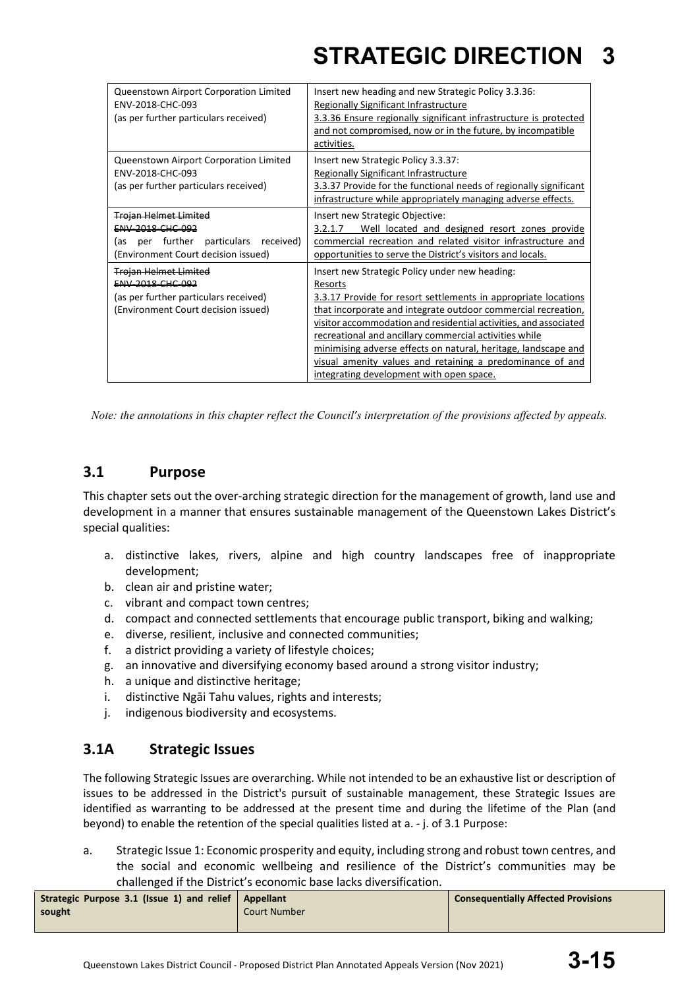| Queenstown Airport Corporation Limited<br>ENV-2018-CHC-093<br>(as per further particulars received)                                     | Insert new heading and new Strategic Policy 3.3.36:<br>Regionally Significant Infrastructure<br>3.3.36 Ensure regionally significant infrastructure is protected<br>and not compromised, now or in the future, by incompatible<br>activities.                                                                                                                                                                                                                                                         |
|-----------------------------------------------------------------------------------------------------------------------------------------|-------------------------------------------------------------------------------------------------------------------------------------------------------------------------------------------------------------------------------------------------------------------------------------------------------------------------------------------------------------------------------------------------------------------------------------------------------------------------------------------------------|
| Queenstown Airport Corporation Limited<br>ENV-2018-CHC-093<br>(as per further particulars received)                                     | Insert new Strategic Policy 3.3.37:<br>Regionally Significant Infrastructure<br>3.3.37 Provide for the functional needs of regionally significant<br>infrastructure while appropriately managing adverse effects.                                                                                                                                                                                                                                                                                     |
| <b>Trojan Helmet Limited</b><br>ENV-2018-CHC-092<br>per further<br>particulars received)<br>las.<br>(Environment Court decision issued) | Insert new Strategic Objective:<br>Well located and designed resort zones provide<br>3.2.1.7<br>commercial recreation and related visitor infrastructure and<br>opportunities to serve the District's visitors and locals.                                                                                                                                                                                                                                                                            |
| <b>Trojan Helmet Limited</b><br><b>ENV 2018 CHC 092</b><br>(as per further particulars received)<br>(Environment Court decision issued) | Insert new Strategic Policy under new heading:<br>Resorts<br>3.3.17 Provide for resort settlements in appropriate locations<br>that incorporate and integrate outdoor commercial recreation,<br>visitor accommodation and residential activities, and associated<br>recreational and ancillary commercial activities while<br>minimising adverse effects on natural, heritage, landscape and<br>visual amenity values and retaining a predominance of and<br>integrating development with open space. |

*Note: the annotations in this chapter reflect the Council's interpretation of the provisions affected by appeals.*

### **3.1 Purpose**

This chapter sets out the over-arching strategic direction for the management of growth, land use and development in a manner that ensures sustainable management of the Queenstown Lakes District's special qualities:

- a. distinctive lakes, rivers, alpine and high country landscapes free of inappropriate development;
- b. clean air and pristine water;
- c. vibrant and compact town centres;
- d. compact and connected settlements that encourage public transport, biking and walking;
- e. diverse, resilient, inclusive and connected communities;
- f. a district providing a variety of lifestyle choices;
- g. an innovative and diversifying economy based around a strong visitor industry;
- h. a unique and distinctive heritage;
- i. distinctive Ngāi Tahu values, rights and interests;
- j. indigenous biodiversity and ecosystems.

### **3.1A Strategic Issues**

The following Strategic Issues are overarching. While not intended to be an exhaustive list or description of issues to be addressed in the District's pursuit of sustainable management, these Strategic Issues are identified as warranting to be addressed at the present time and during the lifetime of the Plan (and beyond) to enable the retention of the special qualities listed at a. - j. of 3.1 Purpose:

a. Strategic Issue 1: Economic prosperity and equity, including strong and robust town centres, and the social and economic wellbeing and resilience of the District's communities may be challenged if the District's economic base lacks diversification.

| Strategic Purpose 3.1 (Issue 1) and relief   Appellant |                     | <b>Consequentially Affected Provisions</b> |
|--------------------------------------------------------|---------------------|--------------------------------------------|
| sought                                                 | <b>Court Number</b> |                                            |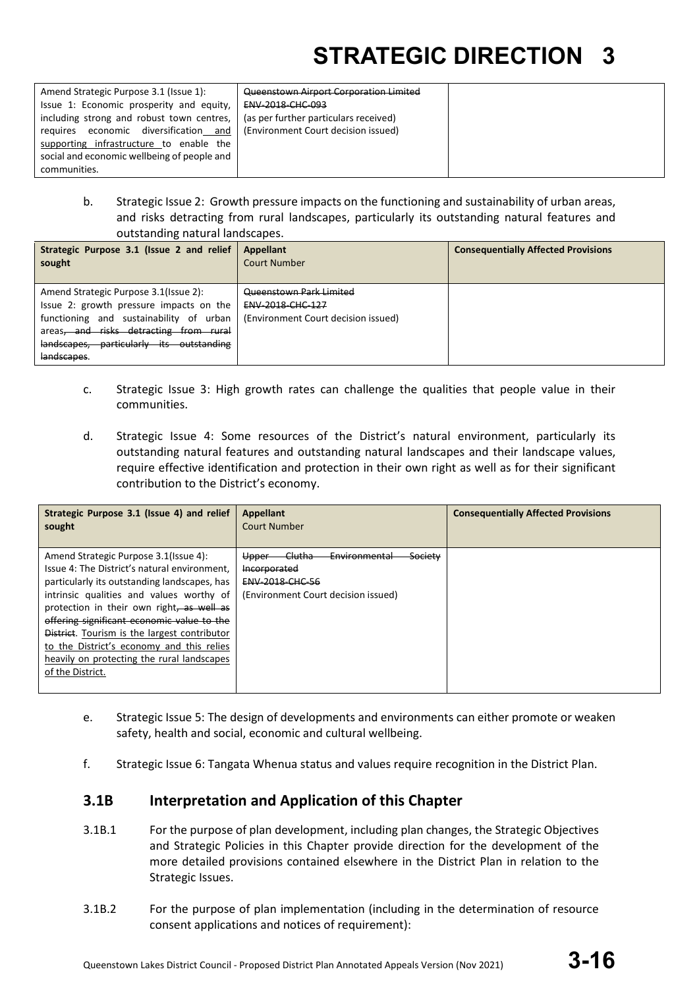| Amend Strategic Purpose 3.1 (Issue 1):      | Queenstown Airport Corporation Limited |  |
|---------------------------------------------|----------------------------------------|--|
| Issue 1: Economic prosperity and equity,    | ENV-2018-CHC-093                       |  |
| including strong and robust town centres,   | (as per further particulars received)  |  |
| economic diversification and<br>reguires    | (Environment Court decision issued)    |  |
| supporting infrastructure to enable the     |                                        |  |
| social and economic wellbeing of people and |                                        |  |
| communities.                                |                                        |  |

b. Strategic Issue 2: Growth pressure impacts on the functioning and sustainability of urban areas, and risks detracting from rural landscapes, particularly its outstanding natural features and outstanding natural landscapes.

| Strategic Purpose 3.1 (Issue 2 and relief<br>sought                                                                                                                                                                              | Appellant<br>Court Number                                                                 | <b>Consequentially Affected Provisions</b> |
|----------------------------------------------------------------------------------------------------------------------------------------------------------------------------------------------------------------------------------|-------------------------------------------------------------------------------------------|--------------------------------------------|
| Amend Strategic Purpose 3.1(Issue 2):<br>Issue 2: growth pressure impacts on the<br>functioning and sustainability of urban<br>areas, and risks detracting from rural<br>landscapes, particularly its outstanding<br>landscapes. | Queenstown Park Limited<br><b>ENV 2018 CHC 127</b><br>(Environment Court decision issued) |                                            |

- c. Strategic Issue 3: High growth rates can challenge the qualities that people value in their communities.
- d. Strategic Issue 4: Some resources of the District's natural environment, particularly its outstanding natural features and outstanding natural landscapes and their landscape values, require effective identification and protection in their own right as well as for their significant contribution to the District's economy.

| Strategic Purpose 3.1 (Issue 4) and relief<br>sought                                                                                                                                                                                                                                                                                                                                                                                                | <b>Appellant</b><br>Court Number                                                                                                                      | <b>Consequentially Affected Provisions</b> |
|-----------------------------------------------------------------------------------------------------------------------------------------------------------------------------------------------------------------------------------------------------------------------------------------------------------------------------------------------------------------------------------------------------------------------------------------------------|-------------------------------------------------------------------------------------------------------------------------------------------------------|--------------------------------------------|
| Amend Strategic Purpose 3.1 (Issue 4):<br>Issue 4: The District's natural environment,<br>particularly its outstanding landscapes, has<br>intrinsic qualities and values worthy of<br>protection in their own right, as well as<br>offering significant economic value to the<br><b>District.</b> Tourism is the largest contributor<br>to the District's economy and this relies<br>heavily on protecting the rural landscapes<br>of the District. | <del>Clutha</del><br><b>Society</b><br><b>Environmental</b><br>Upper<br>Incorporated<br><b>ENV 2018 CHC 56</b><br>(Environment Court decision issued) |                                            |

- e. Strategic Issue 5: The design of developments and environments can either promote or weaken safety, health and social, economic and cultural wellbeing.
- f. Strategic Issue 6: Tangata Whenua status and values require recognition in the District Plan.

### **3.1B Interpretation and Application of this Chapter**

- 3.1B.1 For the purpose of plan development, including plan changes, the Strategic Objectives and Strategic Policies in this Chapter provide direction for the development of the more detailed provisions contained elsewhere in the District Plan in relation to the Strategic Issues.
- 3.1B.2 For the purpose of plan implementation (including in the determination of resource consent applications and notices of requirement):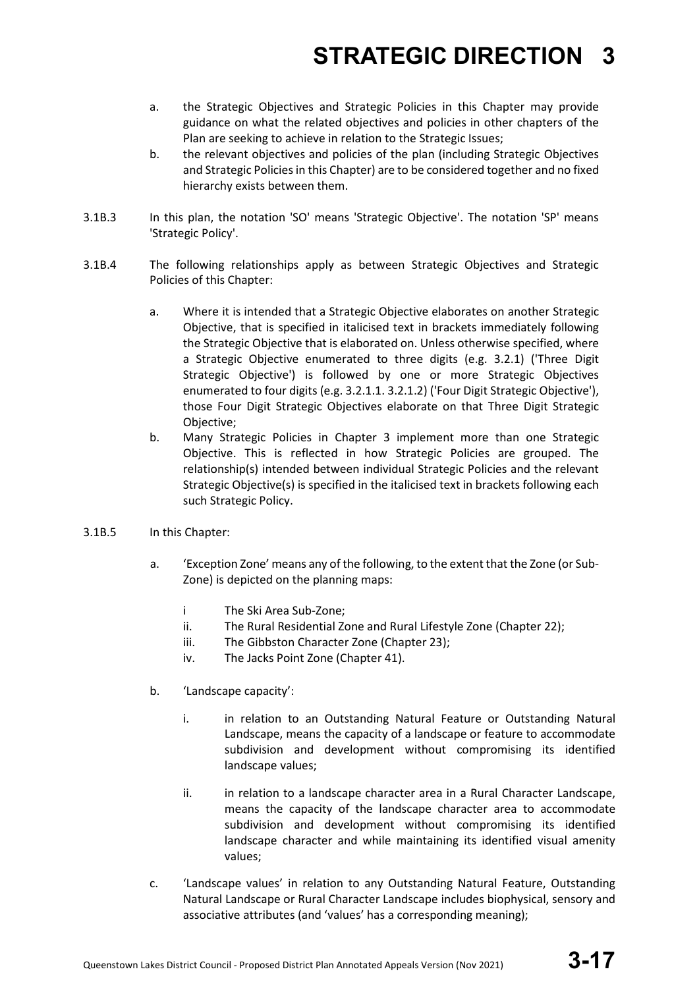- a. the Strategic Objectives and Strategic Policies in this Chapter may provide guidance on what the related objectives and policies in other chapters of the Plan are seeking to achieve in relation to the Strategic Issues;
- b. the relevant objectives and policies of the plan (including Strategic Objectives and Strategic Policies in this Chapter) are to be considered together and no fixed hierarchy exists between them.
- 3.1B.3 In this plan, the notation 'SO' means 'Strategic Objective'. The notation 'SP' means 'Strategic Policy'.
- 3.1B.4 The following relationships apply as between Strategic Objectives and Strategic Policies of this Chapter:
	- a. Where it is intended that a Strategic Objective elaborates on another Strategic Objective, that is specified in italicised text in brackets immediately following the Strategic Objective that is elaborated on. Unless otherwise specified, where a Strategic Objective enumerated to three digits (e.g. 3.2.1) ('Three Digit Strategic Objective') is followed by one or more Strategic Objectives enumerated to four digits (e.g. 3.2.1.1. 3.2.1.2) ('Four Digit Strategic Objective'), those Four Digit Strategic Objectives elaborate on that Three Digit Strategic Objective;
	- b. Many Strategic Policies in Chapter 3 implement more than one Strategic Objective. This is reflected in how Strategic Policies are grouped. The relationship(s) intended between individual Strategic Policies and the relevant Strategic Objective(s) is specified in the italicised text in brackets following each such Strategic Policy.
- 3.1B.5 In this Chapter:
	- a. 'Exception Zone' means any of the following, to the extent that the Zone (or Sub-Zone) is depicted on the planning maps:
		- i The Ski Area Sub-Zone;
		- ii. The Rural Residential Zone and Rural Lifestyle Zone (Chapter 22);
		- iii. The Gibbston Character Zone (Chapter 23);
		- iv. The Jacks Point Zone (Chapter 41).
	- b. 'Landscape capacity':
		- i. in relation to an Outstanding Natural Feature or Outstanding Natural Landscape, means the capacity of a landscape or feature to accommodate subdivision and development without compromising its identified landscape values;
		- ii. in relation to a landscape character area in a Rural Character Landscape, means the capacity of the landscape character area to accommodate subdivision and development without compromising its identified landscape character and while maintaining its identified visual amenity values;
	- c. 'Landscape values' in relation to any Outstanding Natural Feature, Outstanding Natural Landscape or Rural Character Landscape includes biophysical, sensory and associative attributes (and 'values' has a corresponding meaning);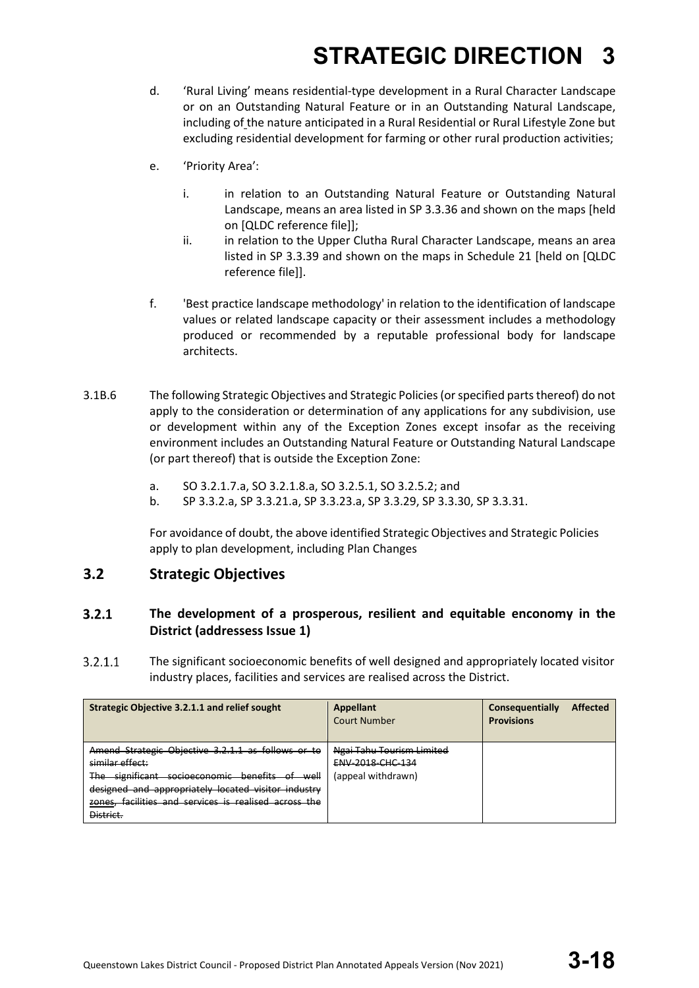- d. 'Rural Living' means residential-type development in a Rural Character Landscape or on an Outstanding Natural Feature or in an Outstanding Natural Landscape, including of the nature anticipated in a Rural Residential or Rural Lifestyle Zone but excluding residential development for farming or other rural production activities;
- e. 'Priority Area':
	- i. in relation to an Outstanding Natural Feature or Outstanding Natural Landscape, means an area listed in SP 3.3.36 and shown on the maps [held on [QLDC reference file]];
	- ii. in relation to the Upper Clutha Rural Character Landscape, means an area listed in SP 3.3.39 and shown on the maps in Schedule 21 [held on [QLDC reference file]].
- f. 'Best practice landscape methodology' in relation to the identification of landscape values or related landscape capacity or their assessment includes a methodology produced or recommended by a reputable professional body for landscape architects.
- 3.1B.6 The following Strategic Objectives and Strategic Policies (or specified parts thereof) do not apply to the consideration or determination of any applications for any subdivision, use or development within any of the Exception Zones except insofar as the receiving environment includes an Outstanding Natural Feature or Outstanding Natural Landscape (or part thereof) that is outside the Exception Zone:
	- a. SO 3.2.1.7.a, SO 3.2.1.8.a, SO 3.2.5.1, SO 3.2.5.2; and
	- b. SP 3.3.2.a, SP 3.3.21.a, SP 3.3.23.a, SP 3.3.29, SP 3.3.30, SP 3.3.31.

For avoidance of doubt, the above identified Strategic Objectives and Strategic Policies apply to plan development, including Plan Changes

### **3.2 Strategic Objectives**

#### $3.2.1$ **The development of a prosperous, resilient and equitable enconomy in the District (addressess Issue 1)**

 $3.2.1.1$ The significant socioeconomic benefits of well designed and appropriately located visitor industry places, facilities and services are realised across the District.

| Strategic Objective 3.2.1.1 and relief sought                                                                                                                                                                                                        | Appellant<br><b>Court Number</b>                                    | <b>Affected</b><br>Consequentially<br><b>Provisions</b> |
|------------------------------------------------------------------------------------------------------------------------------------------------------------------------------------------------------------------------------------------------------|---------------------------------------------------------------------|---------------------------------------------------------|
| Amend Strategic Objective 3.2.1.1 as follows or to<br>similar effect:<br>The significant socioeconomic benefits of well<br>designed and appropriately located visitor industry<br>zones, facilities and services is realised across the<br>District. | Ngai Tahu Tourism Limited<br>ENV-2018-CHC-134<br>(appeal withdrawn) |                                                         |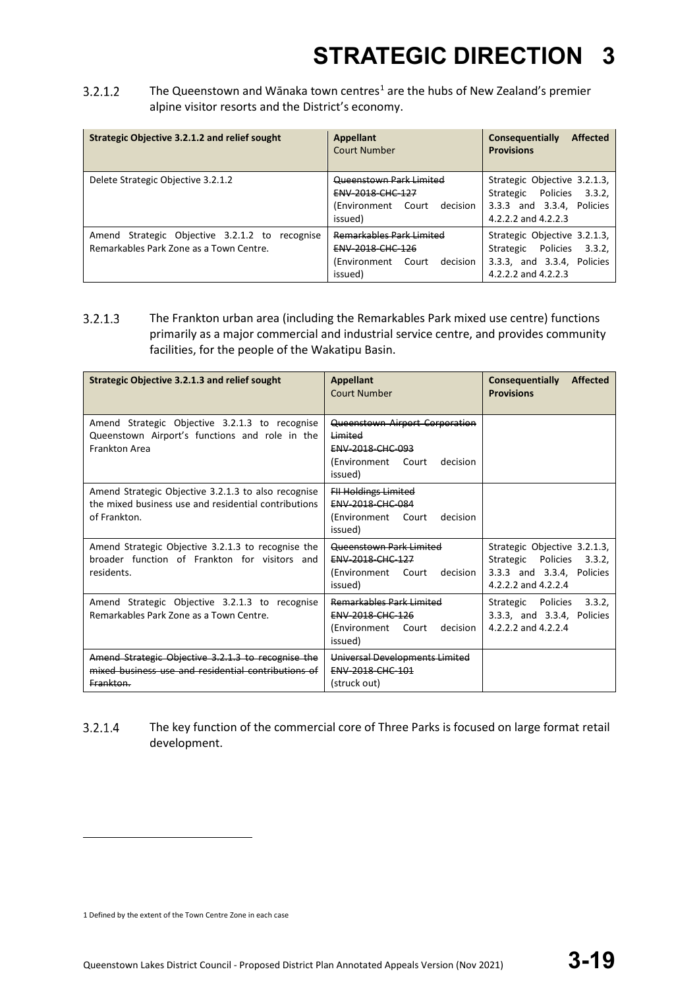$3.2.1.2$ The Queenstown and Wānaka town centres<sup>[1](#page-18-0)</sup> are the hubs of New Zealand's premier alpine visitor resorts and the District's economy.

| Strategic Objective 3.2.1.2 and relief sought                                                | <b>Appellant</b><br><b>Court Number</b>                                                                     | <b>Affected</b><br>Consequentially<br><b>Provisions</b>                                                              |
|----------------------------------------------------------------------------------------------|-------------------------------------------------------------------------------------------------------------|----------------------------------------------------------------------------------------------------------------------|
| Delete Strategic Objective 3.2.1.2                                                           | Queenstown Park Limited<br>ENV-2018-CHC-127<br>(Environment)<br>Court<br>decision<br>issued)                | Strategic Objective 3.2.1.3,<br>Strategic Policies<br>3.3.2,<br>3.3.3 and 3.3.4, Policies<br>4.2.2.2 and 4.2.2.3     |
| Amend Strategic Objective 3.2.1.2 to<br>recognise<br>Remarkables Park Zone as a Town Centre. | <b>Remarkables Park Limited</b><br><b>ENV 2018 CHC 126</b><br>(Environment)<br>decision<br>Court<br>issued) | Strategic Objective 3.2.1.3,<br>Policies<br>3.3.2,<br>Strategic<br>3.3.3, and 3.3.4, Policies<br>4.2.2.2 and 4.2.2.3 |

 $3.2.1.3$ The Frankton urban area (including the Remarkables Park mixed use centre) functions primarily as a major commercial and industrial service centre, and provides community facilities, for the people of the Wakatipu Basin.

| Strategic Objective 3.2.1.3 and relief sought                                                                               | <b>Appellant</b><br>Court Number                                                                           | Consequentially<br><b>Affected</b><br><b>Provisions</b>                                                          |
|-----------------------------------------------------------------------------------------------------------------------------|------------------------------------------------------------------------------------------------------------|------------------------------------------------------------------------------------------------------------------|
| Amend Strategic Objective 3.2.1.3 to recognise<br>Queenstown Airport's functions and role in the<br>Frankton Area           | Queenstown Airport Corporation<br>Limited<br>ENV-2018-CHC-093<br>(Environment Court<br>decision<br>issued) |                                                                                                                  |
| Amend Strategic Objective 3.2.1.3 to also recognise<br>the mixed business use and residential contributions<br>of Frankton. | <b>FII Holdings Limited</b><br>ENV-2018-CHC-084<br>(Environment<br>Court<br>decision<br>issued)            |                                                                                                                  |
| Amend Strategic Objective 3.2.1.3 to recognise the<br>broader function of Frankton for visitors and<br>residents.           | Queenstown Park Limited<br>ENV-2018-CHC-127<br>(Environment Court<br>decision<br>issued)                   | Strategic Objective 3.2.1.3,<br>Strategic Policies<br>3.3.2.<br>3.3.3 and 3.3.4, Policies<br>4.2.2.2 and 4.2.2.4 |
| Amend Strategic Objective 3.2.1.3 to recognise<br>Remarkables Park Zone as a Town Centre.                                   | <b>Remarkables Park Limited</b><br>ENV-2018-CHC-126<br>(Environment<br>Court<br>decision<br>issued)        | Strategic Policies<br>3.3.2.<br>3.3.3, and 3.3.4, Policies<br>4.2.2.2 and 4.2.2.4                                |
| Amend Strategic Objective 3.2.1.3 to recognise the<br>mixed business use and residential contributions of<br>Frankton.      | Universal Developments Limited<br><b>ENV-2018-CHC-101</b><br>(struck out)                                  |                                                                                                                  |

#### $3.2.1.4$ The key function of the commercial core of Three Parks is focused on large format retail development.

<span id="page-18-0"></span>1 Defined by the extent of the Town Centre Zone in each case

**.**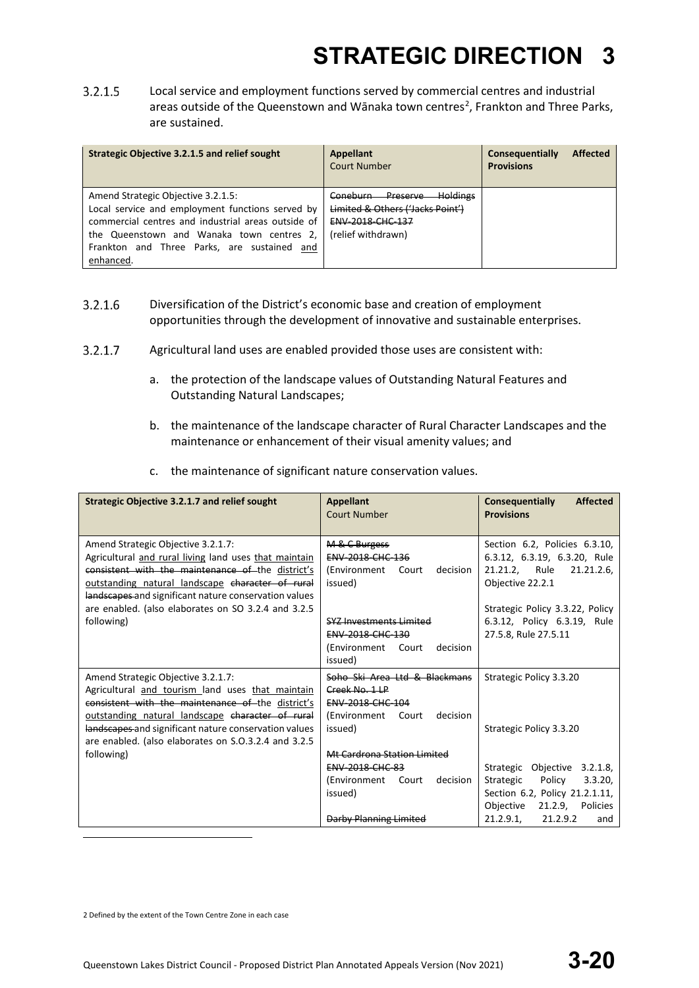$3.2.1.5$ Local service and employment functions served by commercial centres and industrial areas outside of the Queenstown and Wānaka town centres<sup>[2](#page-19-0)</sup>, Frankton and Three Parks, are sustained.

| Strategic Objective 3.2.1.5 and relief sought                                                                                                                                                                                                         | <b>Appellant</b><br>Court Number                                                                                                          | <b>Affected</b><br>Consequentially<br><b>Provisions</b> |
|-------------------------------------------------------------------------------------------------------------------------------------------------------------------------------------------------------------------------------------------------------|-------------------------------------------------------------------------------------------------------------------------------------------|---------------------------------------------------------|
| Amend Strategic Objective 3.2.1.5:<br>Local service and employment functions served by<br>commercial centres and industrial areas outside of<br>the Queenstown and Wanaka town centres 2,<br>Frankton and Three Parks, are sustained and<br>enhanced. | <b>Holdings</b><br><b>Preserve</b><br><del>Coneburn -</del><br>Limited & Others ('Jacks Point')<br>ENV-2018-CHC-137<br>(relief withdrawn) |                                                         |

- $3.2.1.6$ Diversification of the District's economic base and creation of employment opportunities through the development of innovative and sustainable enterprises.
- $3.2.1.7$ Agricultural land uses are enabled provided those uses are consistent with:
	- a. the protection of the landscape values of Outstanding Natural Features and Outstanding Natural Landscapes;
	- b. the maintenance of the landscape character of Rural Character Landscapes and the maintenance or enhancement of their visual amenity values; and
	- c. the maintenance of significant nature conservation values.

| Strategic Objective 3.2.1.7 and relief sought                                                                                                                                                                                                                                                                                      | <b>Appellant</b><br><b>Court Number</b>                                                                                                                                          | Consequentially<br><b>Affected</b><br><b>Provisions</b>                                                                                                                                                    |
|------------------------------------------------------------------------------------------------------------------------------------------------------------------------------------------------------------------------------------------------------------------------------------------------------------------------------------|----------------------------------------------------------------------------------------------------------------------------------------------------------------------------------|------------------------------------------------------------------------------------------------------------------------------------------------------------------------------------------------------------|
| Amend Strategic Objective 3.2.1.7:<br>Agricultural and rural living land uses that maintain<br>consistent with the maintenance of the district's<br>outstanding natural landscape character of rural<br>landscapes and significant nature conservation values<br>are enabled. (also elaborates on SO 3.2.4 and 3.2.5<br>following) | M & C Burgess<br>ENV-2018-CHC-136<br>(Environment<br>decision<br>Court<br>issued)<br>SYZ Investments Limited<br>ENV-2018-CHC-130<br>decision<br>(Environment<br>Court<br>issued) | Section 6.2, Policies 6.3.10,<br>6.3.12, 6.3.19, 6.3.20, Rule<br>21.21.2, Rule<br>21.21.2.6,<br>Objective 22.2.1<br>Strategic Policy 3.3.22, Policy<br>6.3.12, Policy 6.3.19, Rule<br>27.5.8, Rule 27.5.11 |
| Amend Strategic Objective 3.2.1.7:<br>Agricultural and tourism land uses that maintain<br>consistent with the maintenance of the district's<br>outstanding natural landscape character of rural<br>landscapes and significant nature conservation values<br>are enabled. (also elaborates on S.O.3.2.4 and 3.2.5                   | Soho Ski Area Ltd & Blackmans<br>Creek No. 1 LP<br><b>ENV 2018 CHC 104</b><br>decision<br>(Environment<br>Court<br>issued)                                                       | Strategic Policy 3.3.20<br>Strategic Policy 3.3.20                                                                                                                                                         |
| following)                                                                                                                                                                                                                                                                                                                         | Mt Cardrona Station Limited<br><b>ENV-2018-CHC-83</b><br>(Environment<br>decision<br>Court<br>issued)<br><b>Darby Planning Limited</b>                                           | Strategic<br>Objective 3.2.1.8,<br>3.3.20<br>Strategic<br>Policy<br>Section 6.2, Policy 21.2.1.11,<br>Objective<br>21.2.9, Policies<br>21.2.9.1<br>21.2.9.2<br>and                                         |

<span id="page-19-0"></span>2 Defined by the extent of the Town Centre Zone in each case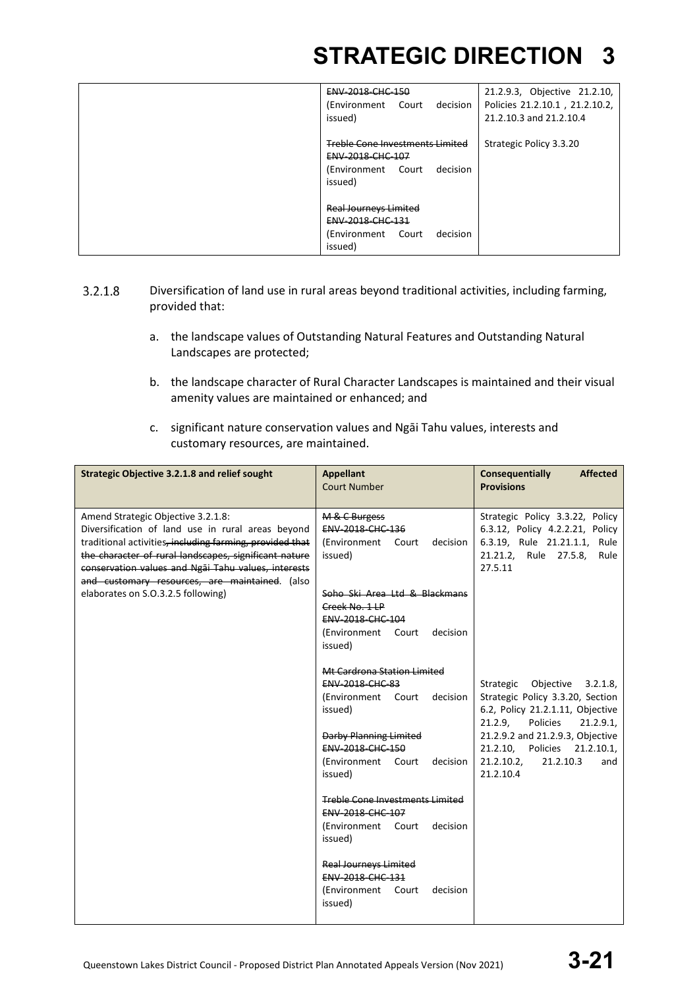| ENV-2018-CHC-150<br>(Environment Court<br>decision<br>issued)                                                   | 21.2.9.3, Objective 21.2.10,<br>Policies 21.2.10.1, 21.2.10.2,<br>21.2.10.3 and 21.2.10.4 |
|-----------------------------------------------------------------------------------------------------------------|-------------------------------------------------------------------------------------------|
| <b>Treble Cone Investments Limited</b><br><b>ENV 2018 CHC 107</b><br>(Environment Court)<br>decision<br>issued) | Strategic Policy 3.3.20                                                                   |
| <b>Real Journeys Limited</b><br>ENV-2018-CHC-131<br>(Environment Court)<br>decision<br>issued)                  |                                                                                           |

- $3.2.1.8$ Diversification of land use in rural areas beyond traditional activities, including farming, provided that:
	- a. the landscape values of Outstanding Natural Features and Outstanding Natural Landscapes are protected;
	- b. the landscape character of Rural Character Landscapes is maintained and their visual amenity values are maintained or enhanced; and
	- c. significant nature conservation values and Ngāi Tahu values, interests and customary resources, are maintained.

| <b>Strategic Objective 3.2.1.8 and relief sought</b>                                                                                                                                                                                                                                                                                                        | <b>Appellant</b><br><b>Court Number</b>                                                                         | <b>Consequentially</b><br><b>Affected</b><br><b>Provisions</b>                                                                                      |
|-------------------------------------------------------------------------------------------------------------------------------------------------------------------------------------------------------------------------------------------------------------------------------------------------------------------------------------------------------------|-----------------------------------------------------------------------------------------------------------------|-----------------------------------------------------------------------------------------------------------------------------------------------------|
| Amend Strategic Objective 3.2.1.8:<br>Diversification of land use in rural areas beyond<br>traditional activities, including farming, provided that<br>the character of rural landscapes, significant nature<br>conservation values and Ngai Tahu values, interests<br>and customary resources, are maintained. (also<br>elaborates on S.O.3.2.5 following) | M & C Burgess<br>ENV-2018-CHC-136<br>(Environment Court<br>decision<br>issued)<br>Soho Ski Area Ltd & Blackmans | Strategic Policy 3.3.22, Policy<br>6.3.12, Policy 4.2.2.21, Policy<br>6.3.19, Rule 21.21.1.1, Rule<br>21.21.2, Rule 27.5.8,<br>Rule<br>27.5.11      |
|                                                                                                                                                                                                                                                                                                                                                             | Creek No. 1 LP<br>ENV-2018-CHC-104                                                                              |                                                                                                                                                     |
|                                                                                                                                                                                                                                                                                                                                                             | (Environment Court<br>decision<br>issued)                                                                       |                                                                                                                                                     |
|                                                                                                                                                                                                                                                                                                                                                             | Mt Cardrona Station Limited<br>ENV-2018-CHC-83<br>decision<br>(Environment Court<br>issued)                     | Strategic Objective 3.2.1.8,<br>Strategic Policy 3.3.20, Section<br>6.2, Policy 21.2.1.11, Objective                                                |
|                                                                                                                                                                                                                                                                                                                                                             | <b>Darby Planning Limited</b><br><b>ENV 2018 CHC 150</b><br>(Environment Court<br>decision<br>issued)           | 21.2.9,<br>Policies<br>21.2.9.1,<br>21.2.9.2 and 21.2.9.3, Objective<br>21.2.10, Policies 21.2.10.1,<br>21.2.10.2,<br>21.2.10.3<br>and<br>21.2.10.4 |
|                                                                                                                                                                                                                                                                                                                                                             | <b>Treble Cone Investments Limited</b><br>ENV-2018-CHC-107<br>(Environment Court<br>decision<br>issued)         |                                                                                                                                                     |
|                                                                                                                                                                                                                                                                                                                                                             | Real Journeys Limited<br>ENV-2018-CHC-131<br>(Environment Court<br>decision<br>issued)                          |                                                                                                                                                     |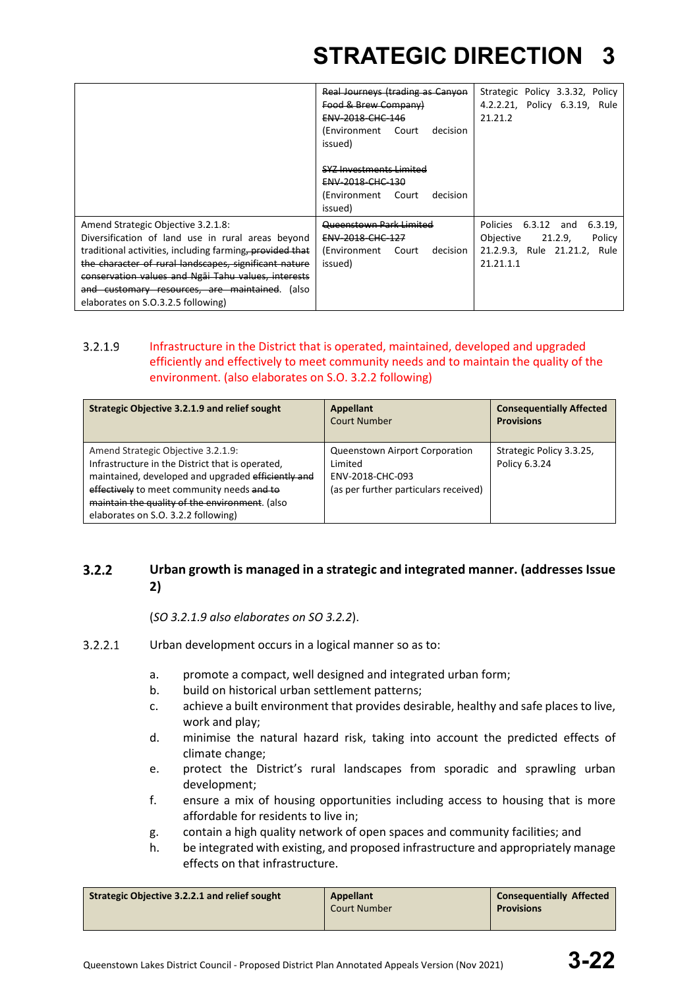|                                                                                                                                                                                                                                                                                                                                                                | Real Journeys (trading as Canyon<br>Food & Brew Company)<br><b>ENV 2018 CHC 146</b><br>(Environment Court<br>decision<br>issued) | Strategic Policy 3.3.32, Policy<br>4.2.2.21, Policy 6.3.19, Rule<br>21.21.2                                  |
|----------------------------------------------------------------------------------------------------------------------------------------------------------------------------------------------------------------------------------------------------------------------------------------------------------------------------------------------------------------|----------------------------------------------------------------------------------------------------------------------------------|--------------------------------------------------------------------------------------------------------------|
|                                                                                                                                                                                                                                                                                                                                                                | <u>SYZ Investments Limited</u><br>ENV-2018-CHC-130<br>(Environment Court<br>decision<br>issued)                                  |                                                                                                              |
| Amend Strategic Objective 3.2.1.8:<br>Diversification of land use in rural areas beyond<br>traditional activities, including farming, provided that<br>the character of rural landscapes, significant nature<br>conservation values and Ngai Tahu values, interests<br>and customary resources, are maintained.<br>(also<br>elaborates on S.O.3.2.5 following) | Queenstown Park Limited<br>ENV-2018-CHC-127<br>(Environment<br>Court<br>decision<br>issued)                                      | Policies 6.3.12 and<br>6.3.19<br>Objective<br>21.2.9,<br>Policy<br>21.2.9.3, Rule 21.21.2, Rule<br>21.21.1.1 |

#### $3.2.1.9$ Infrastructure in the District that is operated, maintained, developed and upgraded efficiently and effectively to meet community needs and to maintain the quality of the environment. (also elaborates on S.O. 3.2.2 following)

| <b>Strategic Objective 3.2.1.9 and relief sought</b>                                                                                                                                                                                                                                | <b>Appellant</b><br>Court Number                                                                       | <b>Consequentially Affected</b><br><b>Provisions</b> |
|-------------------------------------------------------------------------------------------------------------------------------------------------------------------------------------------------------------------------------------------------------------------------------------|--------------------------------------------------------------------------------------------------------|------------------------------------------------------|
| Amend Strategic Objective 3.2.1.9:<br>Infrastructure in the District that is operated,<br>maintained, developed and upgraded efficiently and<br>effectively to meet community needs and to<br>maintain the quality of the environment. (also<br>elaborates on S.O. 3.2.2 following) | Queenstown Airport Corporation<br>Limited<br>ENV-2018-CHC-093<br>(as per further particulars received) | Strategic Policy 3.3.25,<br>Policy 6.3.24            |

#### $3.2.2$ **Urban growth is managed in a strategic and integrated manner. (addresses Issue 2)**

(*SO 3.2.1.9 also elaborates on SO 3.2.2*).

- $3.2.2.1$ Urban development occurs in a logical manner so as to:
	- a. promote a compact, well designed and integrated urban form;
	- b. build on historical urban settlement patterns;
	- c. achieve a built environment that provides desirable, healthy and safe places to live, work and play;
	- d. minimise the natural hazard risk, taking into account the predicted effects of climate change;
	- e. protect the District's rural landscapes from sporadic and sprawling urban development;
	- f. ensure a mix of housing opportunities including access to housing that is more affordable for residents to live in;
	- g. contain a high quality network of open spaces and community facilities; and
	- h. be integrated with existing, and proposed infrastructure and appropriately manage effects on that infrastructure.

| Strategic Objective 3.2.2.1 and relief sought | Appellant<br><b>Court Number</b> | <b>Consequentially Affected</b><br><b>Provisions</b> |
|-----------------------------------------------|----------------------------------|------------------------------------------------------|
|                                               |                                  |                                                      |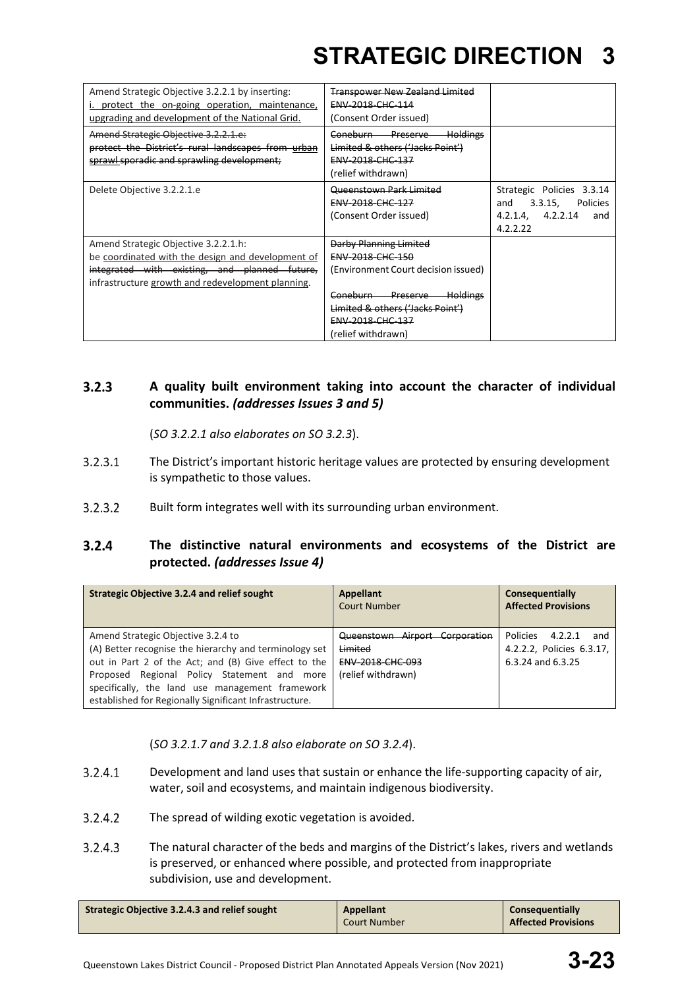| Amend Strategic Objective 3.2.2.1 by inserting:<br>protect the on-going operation, maintenance,<br>upgrading and development of the National Grid.                                              | <b>Transpower New Zealand Limited</b><br>ENV-2018-CHC-114<br>(Consent Order issued)                                                                                                                            |                                                                                                    |
|-------------------------------------------------------------------------------------------------------------------------------------------------------------------------------------------------|----------------------------------------------------------------------------------------------------------------------------------------------------------------------------------------------------------------|----------------------------------------------------------------------------------------------------|
| Amend Strategic Objective 3.2.2.1.e:<br>protect the District's rural landscapes from urban<br>sprawl sporadic and sprawling development;                                                        | <del>Holdings</del><br>Coneburn Preserve<br>Limited & others ('Jacks Point')<br>ENV-2018-CHC-137<br>(relief withdrawn)                                                                                         |                                                                                                    |
| Delete Objective 3.2.2.1.e                                                                                                                                                                      | Queenstown Park Limited<br>ENV-2018-CHC-127<br>(Consent Order issued)                                                                                                                                          | Strategic Policies<br>3.3.14<br>3.3.15,<br>Policies<br>and<br>4.2.1.4. 4.2.2.14<br>and<br>4.2.2.22 |
| Amend Strategic Objective 3.2.2.1.h:<br>be coordinated with the design and development of<br>integrated with existing, and planned future,<br>infrastructure growth and redevelopment planning. | Darby Planning Limited<br><b>ENV 2018 CHC 150</b><br>(Environment Court decision issued)<br><b>Holdings</b><br>Coneburn Preserve<br>Limited & others ('Jacks Point')<br>ENV-2018-CHC-137<br>(relief withdrawn) |                                                                                                    |

#### $3.2.3$ **A quality built environment taking into account the character of individual communities.** *(addresses Issues 3 and 5)*

(*SO 3.2.2.1 also elaborates on SO 3.2.3*).

- $3.2.3.1$ The District's important historic heritage values are protected by ensuring development is sympathetic to those values.
- $3.2.3.2$ Built form integrates well with its surrounding urban environment.

#### $3.2.4$ **The distinctive natural environments and ecosystems of the District are protected.** *(addresses Issue 4)*

| <b>Strategic Objective 3.2.4 and relief sought</b>                                                                                                                                                                                                                                                                  | <b>Appellant</b><br>Court Number                                                           | Consequentially<br><b>Affected Provisions</b>                                       |
|---------------------------------------------------------------------------------------------------------------------------------------------------------------------------------------------------------------------------------------------------------------------------------------------------------------------|--------------------------------------------------------------------------------------------|-------------------------------------------------------------------------------------|
| Amend Strategic Objective 3.2.4 to<br>(A) Better recognise the hierarchy and terminology set<br>out in Part 2 of the Act; and (B) Give effect to the<br>Regional Policy Statement and more<br>Proposed<br>specifically, the land use management framework<br>established for Regionally Significant Infrastructure. | Queenstown Airport Corporation<br>Limited<br><b>ENV-2018-CHC-093</b><br>(relief withdrawn) | <b>Policies</b><br>4.2.2.1<br>and<br>4.2.2.2, Policies 6.3.17,<br>6.3.24 and 6.3.25 |

(*SO 3.2.1.7 and 3.2.1.8 also elaborate on SO 3.2.4*).

- $3.2.4.1$ Development and land uses that sustain or enhance the life-supporting capacity of air, water, soil and ecosystems, and maintain indigenous biodiversity.
- $3.2.4.2$ The spread of wilding exotic vegetation is avoided.
- $3.2.4.3$ The natural character of the beds and margins of the District's lakes, rivers and wetlands is preserved, or enhanced where possible, and protected from inappropriate subdivision, use and development.

| Strategic Objective 3.2.4.3 and relief sought<br>Appellant<br><b>Consequentially</b><br><b>Affected Provisions</b><br>L Court Number |
|--------------------------------------------------------------------------------------------------------------------------------------|
|--------------------------------------------------------------------------------------------------------------------------------------|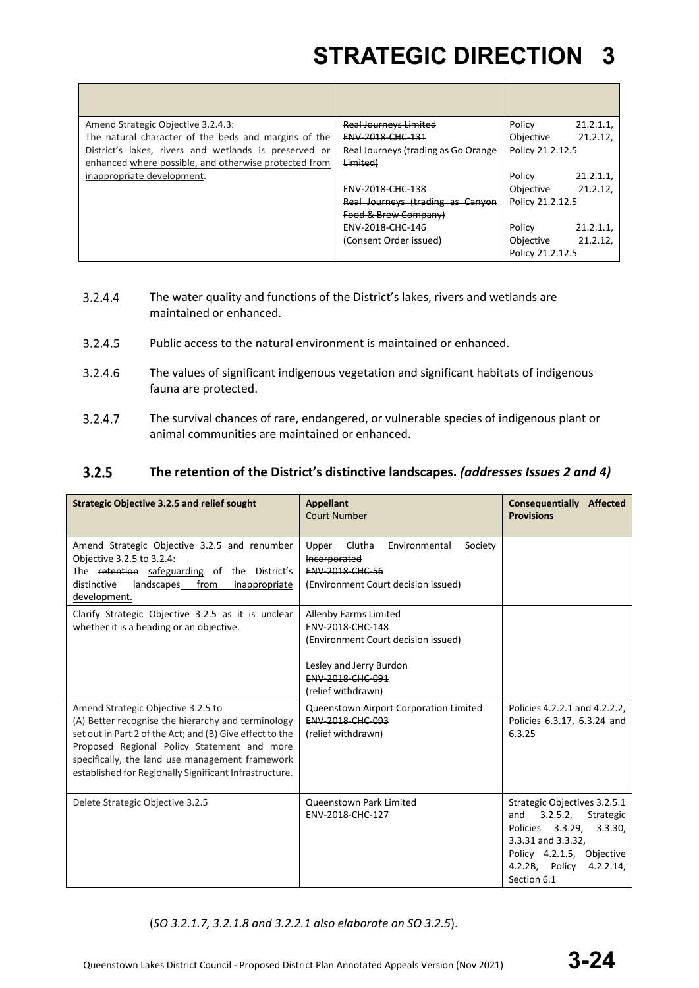| Amend Strategic Objective 3.2.4.3:                    | <b>Real Journeys Limited</b>        | Policy           | 21.2.1.1 |
|-------------------------------------------------------|-------------------------------------|------------------|----------|
| The natural character of the beds and margins of the  | ENV-2018-CHC-131                    | Objective        | 21.2.12, |
| District's lakes, rivers and wetlands is preserved or | Real Journeys (trading as Go Orange | Policy 21.2.12.5 |          |
| enhanced where possible, and otherwise protected from | Limited)                            |                  |          |
| inappropriate development.                            |                                     | Policy           | 21.2.1.1 |
|                                                       | ENV-2018-CHC-138                    | Objective        | 21.2.12, |
|                                                       | Real Journeys (trading as Canyon    | Policy 21.2.12.5 |          |
|                                                       | Food & Brew Company)                |                  |          |
|                                                       | ENV-2018-CHC-146                    | Policy           | 21.2.1.1 |
|                                                       | (Consent Order issued)              | Objective        | 21.2.12, |
|                                                       |                                     | Policy 21.2.12.5 |          |

- 3.2.4.4 The water quality and functions of the District's lakes, rivers and wetlands are maintained or enhanced.
- $3.2.4.5$ Public access to the natural environment is maintained or enhanced.
- $3.2.4.6$ The values of significant indigenous vegetation and significant habitats of indigenous fauna are protected.
- $3.2.4.7$ The survival chances of rare, endangered, or vulnerable species of indigenous plant or animal communities are maintained or enhanced.

#### $3.2.5$ **The retention of the District's distinctive landscapes.** *(addresses Issues 2 and 4)*

| <b>Strategic Objective 3.2.5 and relief sought</b>                                                                                                                                                                                                                                                               | <b>Appellant</b><br><b>Court Number</b>                                                                                                                             | <b>Consequentially Affected</b><br><b>Provisions</b>                                                                                                                                      |
|------------------------------------------------------------------------------------------------------------------------------------------------------------------------------------------------------------------------------------------------------------------------------------------------------------------|---------------------------------------------------------------------------------------------------------------------------------------------------------------------|-------------------------------------------------------------------------------------------------------------------------------------------------------------------------------------------|
| Amend Strategic Objective 3.2.5 and renumber<br>Objective 3.2.5 to 3.2.4:<br>The retention safeguarding of the District's<br>distinctive<br>landscapes from<br>inappropriate<br>development.                                                                                                                     | Upper Clutha Environmental<br>Society<br>Incorporated<br><b>ENV-2018-CHC-56</b><br>(Environment Court decision issued)                                              |                                                                                                                                                                                           |
| Clarify Strategic Objective 3.2.5 as it is unclear<br>whether it is a heading or an objective.                                                                                                                                                                                                                   | <b>Allenby Farms Limited</b><br>ENV-2018-CHC-148<br>(Environment Court decision issued)<br>Lesley and Jerry Burdon<br><b>ENV-2018-CHC-091</b><br>(relief withdrawn) |                                                                                                                                                                                           |
| Amend Strategic Objective 3.2.5 to<br>(A) Better recognise the hierarchy and terminology<br>set out in Part 2 of the Act; and (B) Give effect to the<br>Proposed Regional Policy Statement and more<br>specifically, the land use management framework<br>established for Regionally Significant Infrastructure. | Queenstown Airport Corporation Limited<br><b>ENV-2018-CHC-093</b><br>(relief withdrawn)                                                                             | Policies 4.2.2.1 and 4.2.2.2.<br>Policies 6.3.17, 6.3.24 and<br>6.3.25                                                                                                                    |
| Delete Strategic Objective 3.2.5                                                                                                                                                                                                                                                                                 | <b>Oueenstown Park Limited</b><br>ENV-2018-CHC-127                                                                                                                  | Strategic Objectives 3.2.5.1<br>3.2.5.2,<br>Strategic<br>and<br>Policies 3.3.29, 3.3.30,<br>3.3.31 and 3.3.32,<br>Policy 4.2.1.5, Objective<br>4.2.2B, Policy<br>4.2.2.14,<br>Section 6.1 |

(*SO 3.2.1.7, 3.2.1.8 and 3.2.2.1 also elaborate on SO 3.2.5*).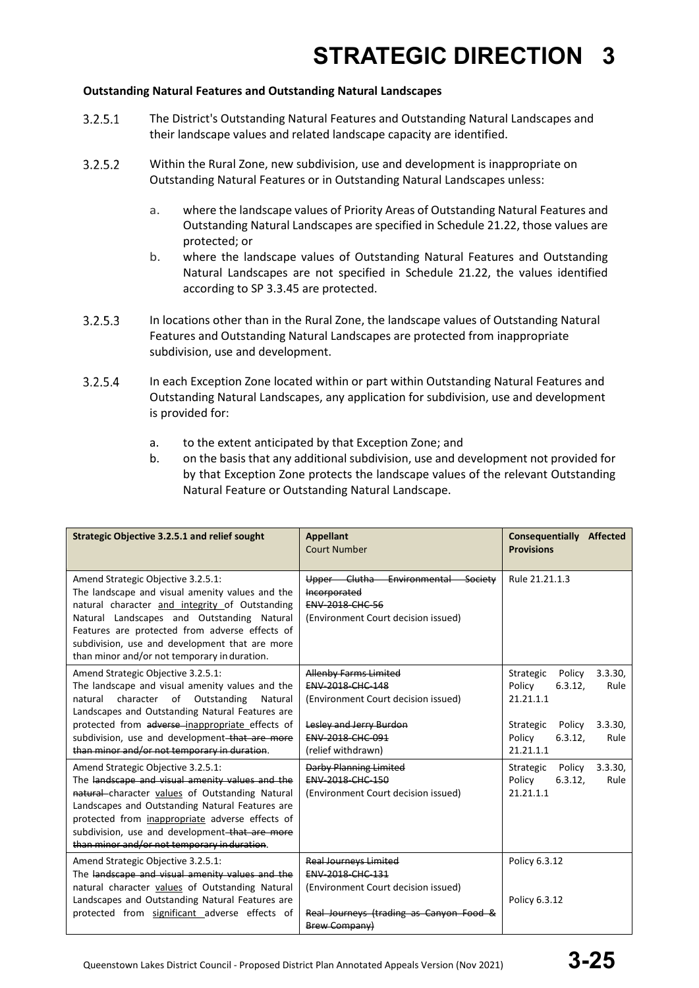### **Outstanding Natural Features and Outstanding Natural Landscapes**

- $3.2.5.1$ The District's Outstanding Natural Features and Outstanding Natural Landscapes and their landscape values and related landscape capacity are identified.
- $3.2.5.2$ Within the Rural Zone, new subdivision, use and development is inappropriate on Outstanding Natural Features or in Outstanding Natural Landscapes unless:
	- a. where the landscape values of Priority Areas of Outstanding Natural Features and Outstanding Natural Landscapes are specified in Schedule 21.22, those values are protected; or
	- b. where the landscape values of Outstanding Natural Features and Outstanding Natural Landscapes are not specified in Schedule 21.22, the values identified according to SP 3.3.45 are protected.
- $3.2.5.3$ In locations other than in the Rural Zone, the landscape values of Outstanding Natural Features and Outstanding Natural Landscapes are protected from inappropriate subdivision, use and development.
- $3.2.5.4$ In each Exception Zone located within or part within Outstanding Natural Features and Outstanding Natural Landscapes, any application for subdivision, use and development is provided for:
	- a. to the extent anticipated by that Exception Zone; and
	- b. on the basis that any additional subdivision, use and development not provided for by that Exception Zone protects the landscape values of the relevant Outstanding Natural Feature or Outstanding Natural Landscape.

| Strategic Objective 3.2.5.1 and relief sought                                                                                                                                                                                                                                                                                                    | <b>Appellant</b><br><b>Court Number</b>                                                                                                                      | <b>Consequentially Affected</b><br><b>Provisions</b>                                                                                                |
|--------------------------------------------------------------------------------------------------------------------------------------------------------------------------------------------------------------------------------------------------------------------------------------------------------------------------------------------------|--------------------------------------------------------------------------------------------------------------------------------------------------------------|-----------------------------------------------------------------------------------------------------------------------------------------------------|
| Amend Strategic Objective 3.2.5.1:<br>The landscape and visual amenity values and the<br>natural character and integrity of Outstanding<br>Natural Landscapes and Outstanding Natural<br>Features are protected from adverse effects of<br>subdivision, use and development that are more<br>than minor and/or not temporary in duration.        | Upper Clutha Environmental<br>Society<br>Incorporated<br><b>ENV 2018 CHC 56</b><br>(Environment Court decision issued)                                       | Rule 21.21.1.3                                                                                                                                      |
| Amend Strategic Objective 3.2.5.1:<br>The landscape and visual amenity values and the<br>character of Outstanding<br>natural<br>Natural<br>Landscapes and Outstanding Natural Features are<br>protected from adverse-inappropriate effects of<br>subdivision, use and development that are more<br>than minor and/or not temporary in duration.  | Allenby Farms Limited<br>ENV-2018-CHC-148<br>(Environment Court decision issued)<br>Lesley and Jerry Burdon<br><b>ENV 2018 CHC 091</b><br>(relief withdrawn) | 3.3.30.<br>Strategic<br>Policy<br>Policy<br>6.3.12,<br>Rule<br>21.21.1.1<br>3.3.30<br>Strategic<br>Policy<br>Policy<br>6.3.12,<br>Rule<br>21.21.1.1 |
| Amend Strategic Objective 3.2.5.1:<br>The landscape and visual amenity values and the<br>natural character values of Outstanding Natural<br>Landscapes and Outstanding Natural Features are<br>protected from inappropriate adverse effects of<br>subdivision, use and development-that are more<br>than minor and/or not temporary in duration. | Darby Planning Limited<br><b>ENV 2018 CHC 150</b><br>(Environment Court decision issued)                                                                     | Strategic<br>3.3.30<br>Policy<br>Policy<br>6.3.12.<br>Rule<br>21.21.1.1                                                                             |
| Amend Strategic Objective 3.2.5.1:<br>The landscape and visual amenity values and the<br>natural character values of Outstanding Natural<br>Landscapes and Outstanding Natural Features are<br>protected from significant adverse effects of                                                                                                     | <b>Real Journeys Limited</b><br>ENV-2018-CHC-131<br>(Environment Court decision issued)<br>Real Journeys (trading as Canyon Food &<br><b>Brew Company)</b>   | Policy 6.3.12<br>Policy 6.3.12                                                                                                                      |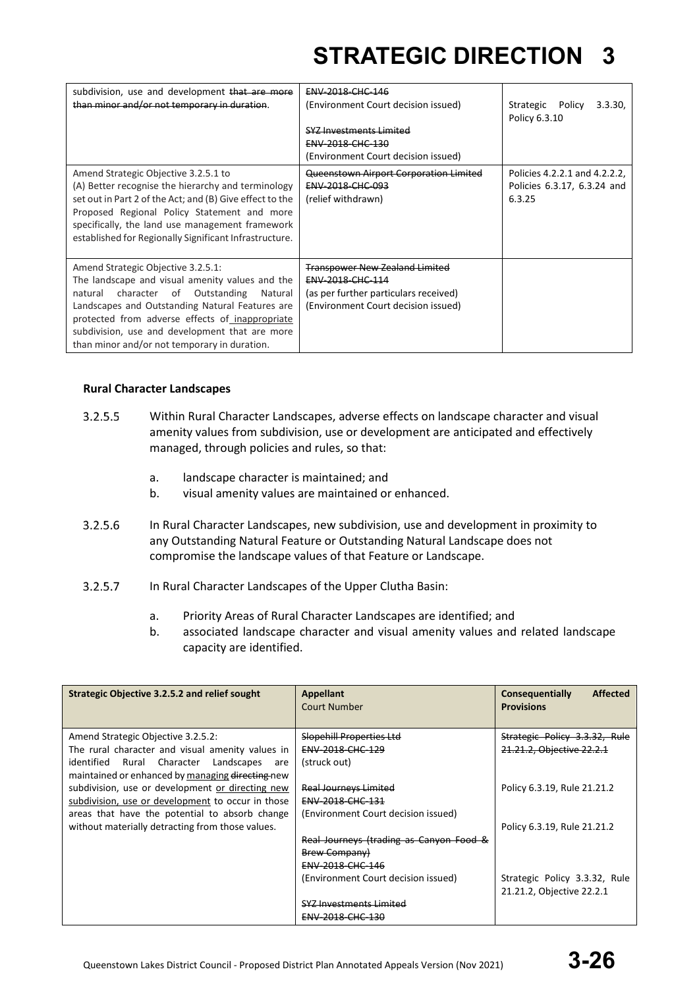| subdivision, use and development that are more<br>than minor and/or not temporary in duration.                                                                                                                                                                                                                                               | ENV-2018-CHC-146<br>(Environment Court decision issued)<br><b>SYZ Investments Limited</b><br>ENV-2018-CHC-130<br>(Environment Court decision issued) | Strategic Policy<br>3.3.30.<br>Policy 6.3.10                           |
|----------------------------------------------------------------------------------------------------------------------------------------------------------------------------------------------------------------------------------------------------------------------------------------------------------------------------------------------|------------------------------------------------------------------------------------------------------------------------------------------------------|------------------------------------------------------------------------|
| Amend Strategic Objective 3.2.5.1 to<br>(A) Better recognise the hierarchy and terminology<br>set out in Part 2 of the Act; and (B) Give effect to the<br>Proposed Regional Policy Statement and more<br>specifically, the land use management framework<br>established for Regionally Significant Infrastructure.                           | Queenstown Airport Corporation Limited<br><b>ENV-2018-CHC-093</b><br>(relief withdrawn)                                                              | Policies 4.2.2.1 and 4.2.2.2.<br>Policies 6.3.17, 6.3.24 and<br>6.3.25 |
| Amend Strategic Objective 3.2.5.1:<br>The landscape and visual amenity values and the<br>natural character of Outstanding<br>Natural<br>Landscapes and Outstanding Natural Features are<br>protected from adverse effects of inappropriate<br>subdivision, use and development that are more<br>than minor and/or not temporary in duration. | <b>Transpower New Zealand Limited</b><br>ENV-2018-CHC-114<br>(as per further particulars received)<br>(Environment Court decision issued)            |                                                                        |

### **Rural Character Landscapes**

- $3.2.5.5$ Within Rural Character Landscapes, adverse effects on landscape character and visual amenity values from subdivision, use or development are anticipated and effectively managed, through policies and rules, so that:
	- a. landscape character is maintained; and
	- b. visual amenity values are maintained or enhanced.
- $3.2.5.6$ In Rural Character Landscapes, new subdivision, use and development in proximity to any Outstanding Natural Feature or Outstanding Natural Landscape does not compromise the landscape values of that Feature or Landscape.
- $3.2.5.7$ In Rural Character Landscapes of the Upper Clutha Basin:
	- a. Priority Areas of Rural Character Landscapes are identified; and
	- b. associated landscape character and visual amenity values and related landscape capacity are identified.

| Strategic Objective 3.2.5.2 and relief sought     | Appellant<br>Court Number               | <b>Affected</b><br>Consequentially<br><b>Provisions</b> |
|---------------------------------------------------|-----------------------------------------|---------------------------------------------------------|
| Amend Strategic Objective 3.2.5.2:                | Slopehill Properties Ltd                | Strategic Policy 3.3.32, Rule                           |
| The rural character and visual amenity values in  | ENV-2018-CHC-129                        | 21.21.2, Objective 22.2.1                               |
| identified Rural Character<br>Landscapes<br>are   | (struck out)                            |                                                         |
| maintained or enhanced by managing directing new  |                                         |                                                         |
| subdivision, use or development or directing new  | <b>Real Journeys Limited</b>            | Policy 6.3.19, Rule 21.21.2                             |
| subdivision, use or development to occur in those | <b>ENV 2018 CHC 131</b>                 |                                                         |
| areas that have the potential to absorb change    | (Environment Court decision issued)     |                                                         |
| without materially detracting from those values.  |                                         | Policy 6.3.19, Rule 21.21.2                             |
|                                                   | Real Journeys (trading as Canyon Food & |                                                         |
|                                                   | <b>Brew Company)</b>                    |                                                         |
|                                                   | ENV-2018-CHC-146                        |                                                         |
|                                                   | (Environment Court decision issued)     | Strategic Policy 3.3.32, Rule                           |
|                                                   |                                         | 21.21.2, Objective 22.2.1                               |
|                                                   | <b>SYZ Investments Limited</b>          |                                                         |
|                                                   | ENV-2018-CHC-130                        |                                                         |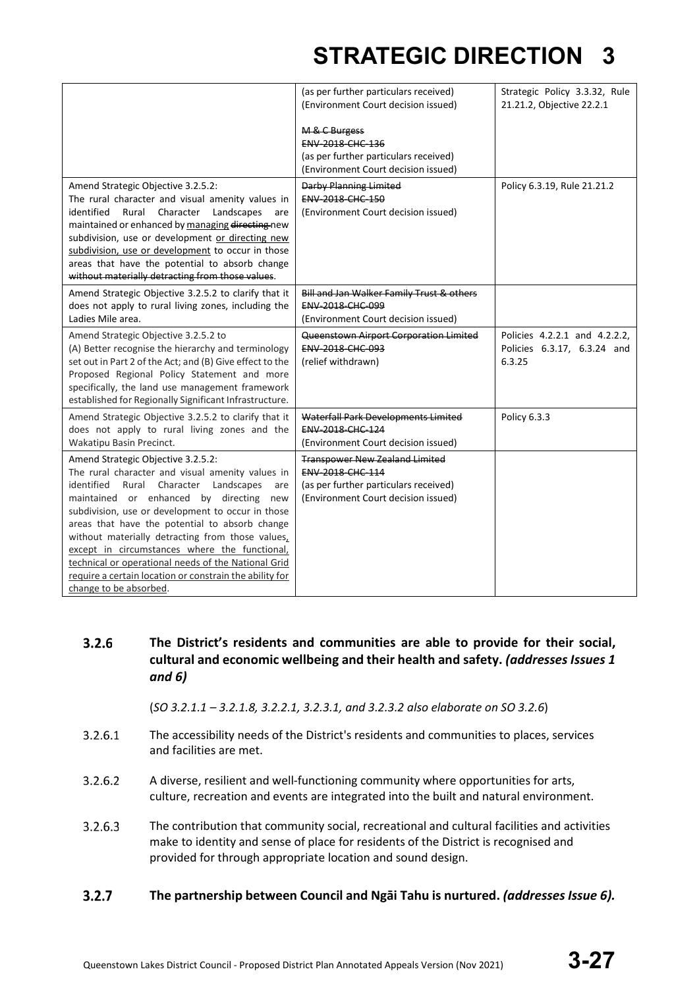|                                                                                                                                                                                                                                                                                                                                                                                                                                                                                                                                              | (as per further particulars received)<br>(Environment Court decision issued)<br>M & C Burgess<br>ENV-2018-CHC-136<br>(as per further particulars received)<br>(Environment Court decision issued) | Strategic Policy 3.3.32, Rule<br>21.21.2, Objective 22.2.1             |
|----------------------------------------------------------------------------------------------------------------------------------------------------------------------------------------------------------------------------------------------------------------------------------------------------------------------------------------------------------------------------------------------------------------------------------------------------------------------------------------------------------------------------------------------|---------------------------------------------------------------------------------------------------------------------------------------------------------------------------------------------------|------------------------------------------------------------------------|
| Amend Strategic Objective 3.2.5.2:<br>The rural character and visual amenity values in<br>identified<br>Rural Character<br>Landscapes<br>are<br>maintained or enhanced by managing directing new<br>subdivision, use or development or directing new<br>subdivision, use or development to occur in those<br>areas that have the potential to absorb change<br>without materially detracting from those values.                                                                                                                              | <b>Darby Planning Limited</b><br>ENV-2018-CHC-150<br>(Environment Court decision issued)                                                                                                          | Policy 6.3.19, Rule 21.21.2                                            |
| Amend Strategic Objective 3.2.5.2 to clarify that it<br>does not apply to rural living zones, including the<br>Ladies Mile area.                                                                                                                                                                                                                                                                                                                                                                                                             | Bill and Jan Walker Family Trust & others<br><b>ENV 2018 CHC 099</b><br>(Environment Court decision issued)                                                                                       |                                                                        |
| Amend Strategic Objective 3.2.5.2 to<br>(A) Better recognise the hierarchy and terminology<br>set out in Part 2 of the Act; and (B) Give effect to the<br>Proposed Regional Policy Statement and more<br>specifically, the land use management framework<br>established for Regionally Significant Infrastructure.                                                                                                                                                                                                                           | Queenstown Airport Corporation Limited<br>ENV-2018-CHC-093<br>(relief withdrawn)                                                                                                                  | Policies 4.2.2.1 and 4.2.2.2.<br>Policies 6.3.17, 6.3.24 and<br>6.3.25 |
| Amend Strategic Objective 3.2.5.2 to clarify that it<br>does not apply to rural living zones and the<br>Wakatipu Basin Precinct.                                                                                                                                                                                                                                                                                                                                                                                                             | Waterfall Park Developments Limited<br>ENV-2018-CHC-124<br>(Environment Court decision issued)                                                                                                    | Policy 6.3.3                                                           |
| Amend Strategic Objective 3.2.5.2:<br>The rural character and visual amenity values in<br>identified<br>Rural Character Landscapes<br>are<br>maintained or enhanced by directing new<br>subdivision, use or development to occur in those<br>areas that have the potential to absorb change<br>without materially detracting from those values,<br>except in circumstances where the functional,<br>technical or operational needs of the National Grid<br>require a certain location or constrain the ability for<br>change to be absorbed. | <b>Transpower New Zealand Limited</b><br><b>ENV 2018 CHC 114</b><br>(as per further particulars received)<br>(Environment Court decision issued)                                                  |                                                                        |

 $3.2.6$ **The District's residents and communities are able to provide for their social, cultural and economic wellbeing and their health and safety.** *(addresses Issues 1 and 6)*

(*SO 3.2.1.1 – 3.2.1.8, 3.2.2.1, 3.2.3.1, and 3.2.3.2 also elaborate on SO 3.2.6*)

- $3.2.6.1$ The accessibility needs of the District's residents and communities to places, services and facilities are met.
- $3.2.6.2$ A diverse, resilient and well-functioning community where opportunities for arts, culture, recreation and events are integrated into the built and natural environment.
- $3.2.6.3$ The contribution that community social, recreational and cultural facilities and activities make to identity and sense of place for residents of the District is recognised and provided for through appropriate location and sound design.
- $3.2.7$ **The partnership between Council and Ngāi Tahu is nurtured.** *(addresses Issue 6).*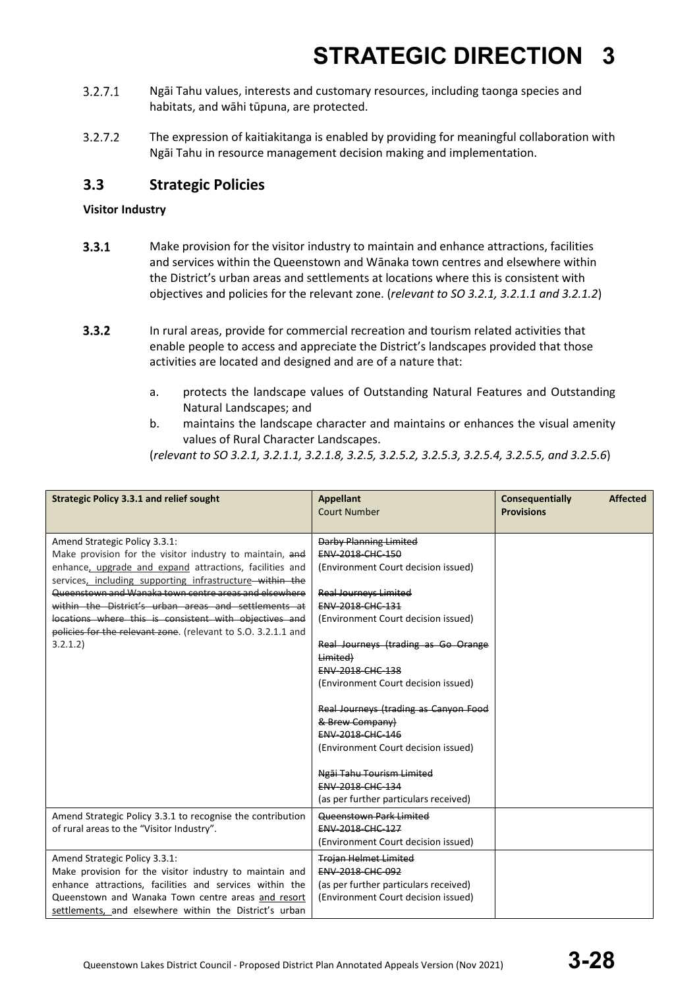- $3.2.7.1$ Ngāi Tahu values, interests and customary resources, including taonga species and habitats, and wāhi tūpuna, are protected.
- $3.2.7.2$ The expression of kaitiakitanga is enabled by providing for meaningful collaboration with Ngāi Tahu in resource management decision making and implementation.

### **3.3 Strategic Policies**

### **Visitor Industry**

- $3.3.1$ Make provision for the visitor industry to maintain and enhance attractions, facilities and services within the Queenstown and Wānaka town centres and elsewhere within the District's urban areas and settlements at locations where this is consistent with objectives and policies for the relevant zone. (*relevant to SO 3.2.1, 3.2.1.1 and 3.2.1.2*)
- $3.3.2$ In rural areas, provide for commercial recreation and tourism related activities that enable people to access and appreciate the District's landscapes provided that those activities are located and designed and are of a nature that:
	- a. protects the landscape values of Outstanding Natural Features and Outstanding Natural Landscapes; and
	- b. maintains the landscape character and maintains or enhances the visual amenity values of Rural Character Landscapes.

(*relevant to SO 3.2.1, 3.2.1.1, 3.2.1.8, 3.2.5, 3.2.5.2, 3.2.5.3, 3.2.5.4, 3.2.5.5, and 3.2.5.6*)

| <b>Strategic Policy 3.3.1 and relief sought</b>                                                                                                                                                                                                                                                                                                                                                                                                                          | Appellant<br><b>Court Number</b>                                                                                                                                                                                                                                                                                                                                                                                                                                                                                                 | Consequentially<br><b>Affected</b><br><b>Provisions</b> |  |
|--------------------------------------------------------------------------------------------------------------------------------------------------------------------------------------------------------------------------------------------------------------------------------------------------------------------------------------------------------------------------------------------------------------------------------------------------------------------------|----------------------------------------------------------------------------------------------------------------------------------------------------------------------------------------------------------------------------------------------------------------------------------------------------------------------------------------------------------------------------------------------------------------------------------------------------------------------------------------------------------------------------------|---------------------------------------------------------|--|
| Amend Strategic Policy 3.3.1:<br>Make provision for the visitor industry to maintain, and<br>enhance, upgrade and expand attractions, facilities and<br>services, including supporting infrastructure within the<br>Queenstown and Wanaka town centre areas and elsewhere<br>within the District's urban areas and settlements at<br>locations where this is consistent with objectives and<br>policies for the relevant zone. (relevant to S.O. 3.2.1.1 and<br>3.2.1.2) | <b>Darby Planning Limited</b><br>ENV-2018-CHC-150<br>(Environment Court decision issued)<br><b>Real Journeys Limited</b><br>ENV-2018-CHC-131<br>(Environment Court decision issued)<br>Real Journeys (trading as Go Orange<br>Limited)<br>ENV-2018-CHC-138<br>(Environment Court decision issued)<br>Real Journeys (trading as Canyon Food<br>& Brew Company)<br><b>ENV-2018-CHC-146</b><br>(Environment Court decision issued)<br>Ngāi Tahu Tourism Limited<br><b>FNV 2018 CHC 134</b><br>(as per further particulars received) |                                                         |  |
| Amend Strategic Policy 3.3.1 to recognise the contribution<br>of rural areas to the "Visitor Industry".                                                                                                                                                                                                                                                                                                                                                                  | Queenstown Park Limited<br>ENV-2018-CHC-127<br>(Environment Court decision issued)                                                                                                                                                                                                                                                                                                                                                                                                                                               |                                                         |  |
| Amend Strategic Policy 3.3.1:<br>Make provision for the visitor industry to maintain and<br>enhance attractions, facilities and services within the<br>Queenstown and Wanaka Town centre areas and resort<br>settlements, and elsewhere within the District's urban                                                                                                                                                                                                      | <b>Trojan Helmet Limited</b><br>ENV-2018-CHC-092<br>(as per further particulars received)<br>(Environment Court decision issued)                                                                                                                                                                                                                                                                                                                                                                                                 |                                                         |  |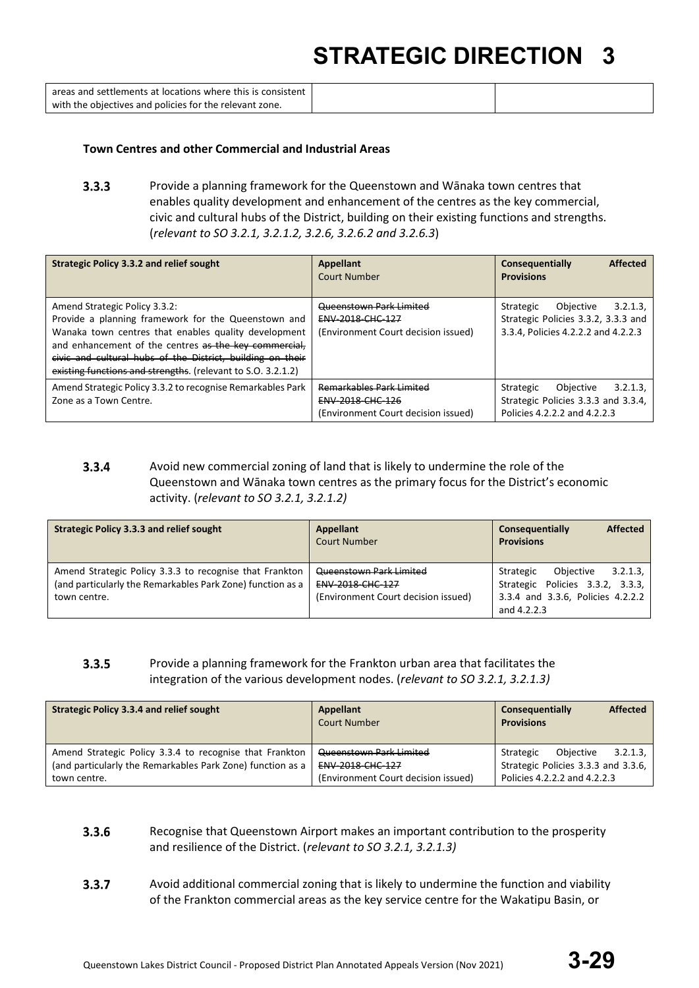| areas and settlements at locations where this is consistent |  |
|-------------------------------------------------------------|--|
| with the objectives and policies for the relevant zone.     |  |

#### **Town Centres and other Commercial and Industrial Areas**

 $3.3.3$ Provide a planning framework for the Queenstown and Wānaka town centres that enables quality development and enhancement of the centres as the key commercial, civic and cultural hubs of the District, building on their existing functions and strengths. (*relevant to SO 3.2.1, 3.2.1.2, 3.2.6, 3.2.6.2 and 3.2.6.3*)

| <b>Strategic Policy 3.3.2 and relief sought</b>                                                                                                                                                                                                                                                                                     | <b>Appellant</b><br>Court Number                                                                  | <b>Affected</b><br>Consequentially<br><b>Provisions</b>                                                         |
|-------------------------------------------------------------------------------------------------------------------------------------------------------------------------------------------------------------------------------------------------------------------------------------------------------------------------------------|---------------------------------------------------------------------------------------------------|-----------------------------------------------------------------------------------------------------------------|
| Amend Strategic Policy 3.3.2:<br>Provide a planning framework for the Queenstown and<br>Wanaka town centres that enables quality development<br>and enhancement of the centres as the key commercial,<br>civic and cultural hubs of the District, building on their<br>existing functions and strengths. (relevant to S.O. 3.2.1.2) | <b>Queenstown Park Limited</b><br>ENV-2018-CHC-127<br>(Environment Court decision issued)         | Strategic<br>Objective<br>3.2.1.3<br>Strategic Policies 3.3.2, 3.3.3 and<br>3.3.4, Policies 4.2.2.2 and 4.2.2.3 |
| Amend Strategic Policy 3.3.2 to recognise Remarkables Park<br>Zone as a Town Centre.                                                                                                                                                                                                                                                | <b>Remarkables Park Limited</b><br><b>ENV-2018-CHC-126</b><br>(Environment Court decision issued) | 3.2.1.3<br>Strategic<br>Objective<br>Strategic Policies 3.3.3 and 3.3.4,<br>Policies 4.2.2.2 and 4.2.2.3        |

#### $3.3.4$ Avoid new commercial zoning of land that is likely to undermine the role of the Queenstown and Wānaka town centres as the primary focus for the District's economic activity. (*relevant to SO 3.2.1, 3.2.1.2)*

| <b>Strategic Policy 3.3.3 and relief sought</b>                                                                                       | Appellant<br><b>Court Number</b>                                                   | <b>Affected</b><br>Consequentially<br><b>Provisions</b>                                                                   |
|---------------------------------------------------------------------------------------------------------------------------------------|------------------------------------------------------------------------------------|---------------------------------------------------------------------------------------------------------------------------|
| Amend Strategic Policy 3.3.3 to recognise that Frankton<br>(and particularly the Remarkables Park Zone) function as a<br>town centre. | Queenstown Park Limited<br>ENV-2018-CHC-127<br>(Environment Court decision issued) | 3.2.1.3<br>Obiective<br>Strategic<br>Strategic Policies 3.3.2, 3.3.3,<br>3.3.4 and 3.3.6, Policies 4.2.2.2<br>and 4.2.2.3 |

#### $3.3.5$ Provide a planning framework for the Frankton urban area that facilitates the integration of the various development nodes. (*relevant to SO 3.2.1, 3.2.1.3)*

| <b>Strategic Policy 3.3.4 and relief sought</b>            | <b>Appellant</b><br>Court Number    | <b>Affected</b><br>Consequentially<br><b>Provisions</b> |
|------------------------------------------------------------|-------------------------------------|---------------------------------------------------------|
| Amend Strategic Policy 3.3.4 to recognise that Frankton    | Queenstown Park Limited             | Obiective<br>3.2.1.3<br>Strategic                       |
| (and particularly the Remarkables Park Zone) function as a | <b>ENV 2018 CHC 127</b>             | Strategic Policies 3.3.3 and 3.3.6,                     |
| town centre.                                               | (Environment Court decision issued) | Policies 4.2.2.2 and 4.2.2.3                            |

#### $3.3.6$ Recognise that Queenstown Airport makes an important contribution to the prosperity and resilience of the District. (*relevant to SO 3.2.1, 3.2.1.3)*

 $3.3.7$ Avoid additional commercial zoning that is likely to undermine the function and viability of the Frankton commercial areas as the key service centre for the Wakatipu Basin, or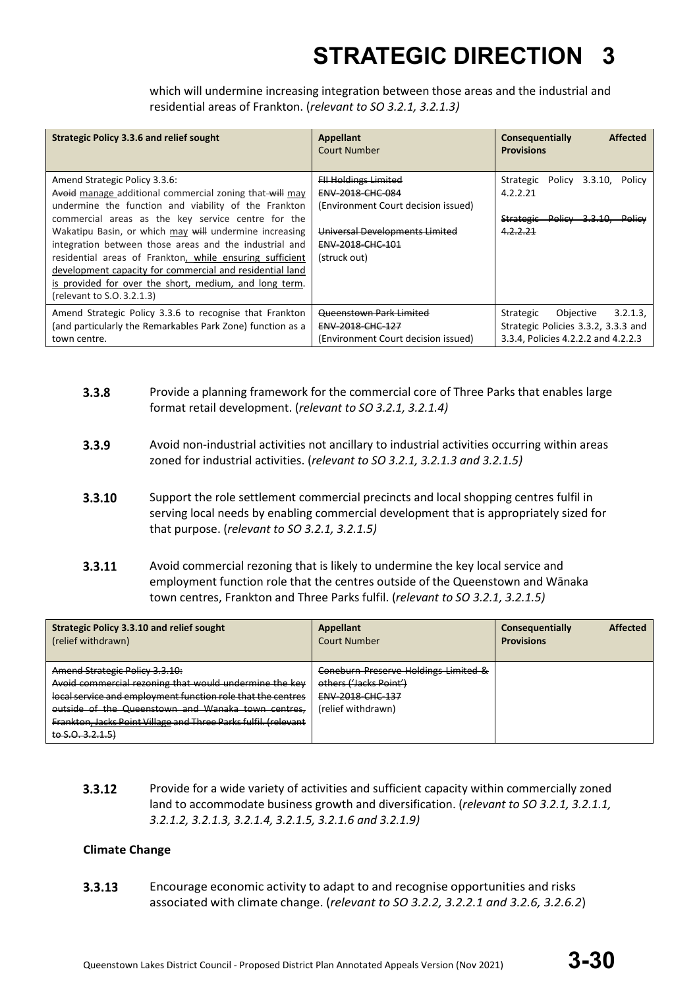which will undermine increasing integration between those areas and the industrial and residential areas of Frankton. (*relevant to SO 3.2.1, 3.2.1.3)*

| <b>Strategic Policy 3.3.6 and relief sought</b>                                                                                                                                                                                                                                                                                                                                                                                                                                                                                            | Appellant<br>Court Number                                                                                                                                    | <b>Affected</b><br>Consequentially<br><b>Provisions</b>                                                          |
|--------------------------------------------------------------------------------------------------------------------------------------------------------------------------------------------------------------------------------------------------------------------------------------------------------------------------------------------------------------------------------------------------------------------------------------------------------------------------------------------------------------------------------------------|--------------------------------------------------------------------------------------------------------------------------------------------------------------|------------------------------------------------------------------------------------------------------------------|
| Amend Strategic Policy 3.3.6:<br>Avoid manage additional commercial zoning that will may<br>undermine the function and viability of the Frankton<br>commercial areas as the key service centre for the<br>Wakatipu Basin, or which may will undermine increasing<br>integration between those areas and the industrial and<br>residential areas of Frankton, while ensuring sufficient<br>development capacity for commercial and residential land<br>is provided for over the short, medium, and long term.<br>(relevant to S.O. 3.2.1.3) | <b>FII Holdings Limited</b><br>ENV-2018-CHC-084<br>(Environment Court decision issued)<br>Universal Developments Limited<br>ENV-2018-CHC-101<br>(struck out) | Strategic<br>Policy 3.3.10,<br>Policy<br>4.2.2.21<br>Strategic Policy 3.3.10,<br><del>– Policv</del><br>4.2.2.21 |
| Amend Strategic Policy 3.3.6 to recognise that Frankton<br>(and particularly the Remarkables Park Zone) function as a<br>town centre.                                                                                                                                                                                                                                                                                                                                                                                                      | <b>Queenstown Park Limited</b><br><b>ENV 2018 CHC 127</b><br>(Environment Court decision issued)                                                             | 3.2.1.3<br>Objective<br>Strategic<br>Strategic Policies 3.3.2, 3.3.3 and<br>3.3.4, Policies 4.2.2.2 and 4.2.2.3  |

- $3.3.8$ Provide a planning framework for the commercial core of Three Parks that enables large format retail development. (*relevant to SO 3.2.1, 3.2.1.4)*
- $3.3.9$ Avoid non-industrial activities not ancillary to industrial activities occurring within areas zoned for industrial activities. (*relevant to SO 3.2.1, 3.2.1.3 and 3.2.1.5)*
- 3.3.10 Support the role settlement commercial precincts and local shopping centres fulfil in serving local needs by enabling commercial development that is appropriately sized for that purpose. (*relevant to SO 3.2.1, 3.2.1.5)*
- $3.3.11$ Avoid commercial rezoning that is likely to undermine the key local service and employment function role that the centres outside of the Queenstown and Wānaka town centres, Frankton and Three Parks fulfil. (*relevant to SO 3.2.1, 3.2.1.5)*

| Strategic Policy 3.3.10 and relief sought<br>(relief withdrawn)                                                                                                                                                                                                                                             | Appellant<br>Court Number                                                                                | <b>Affected</b><br>Consequentially<br><b>Provisions</b> |
|-------------------------------------------------------------------------------------------------------------------------------------------------------------------------------------------------------------------------------------------------------------------------------------------------------------|----------------------------------------------------------------------------------------------------------|---------------------------------------------------------|
| Amend Strategic Policy 3.3.10:<br>Avoid commercial rezoning that would undermine the key<br>local service and employment function role that the centres<br>outside of the Queenstown and Wanaka town centres,<br><b>Frankton, Jacks Point Village and Three Parks fulfil. (relevant</b><br>to $S.0.3.2.1.5$ | Coneburn Preserve Holdings Limited &<br>others ('Jacks Point')<br>ENV-2018-CHC-137<br>(relief withdrawn) |                                                         |

 $3.3.12$ Provide for a wide variety of activities and sufficient capacity within commercially zoned land to accommodate business growth and diversification. (*relevant to SO 3.2.1, 3.2.1.1, 3.2.1.2, 3.2.1.3, 3.2.1.4, 3.2.1.5, 3.2.1.6 and 3.2.1.9)*

### **Climate Change**

 $3.3.13$ Encourage economic activity to adapt to and recognise opportunities and risks associated with climate change. (*relevant to SO 3.2.2, 3.2.2.1 and 3.2.6, 3.2.6.2*)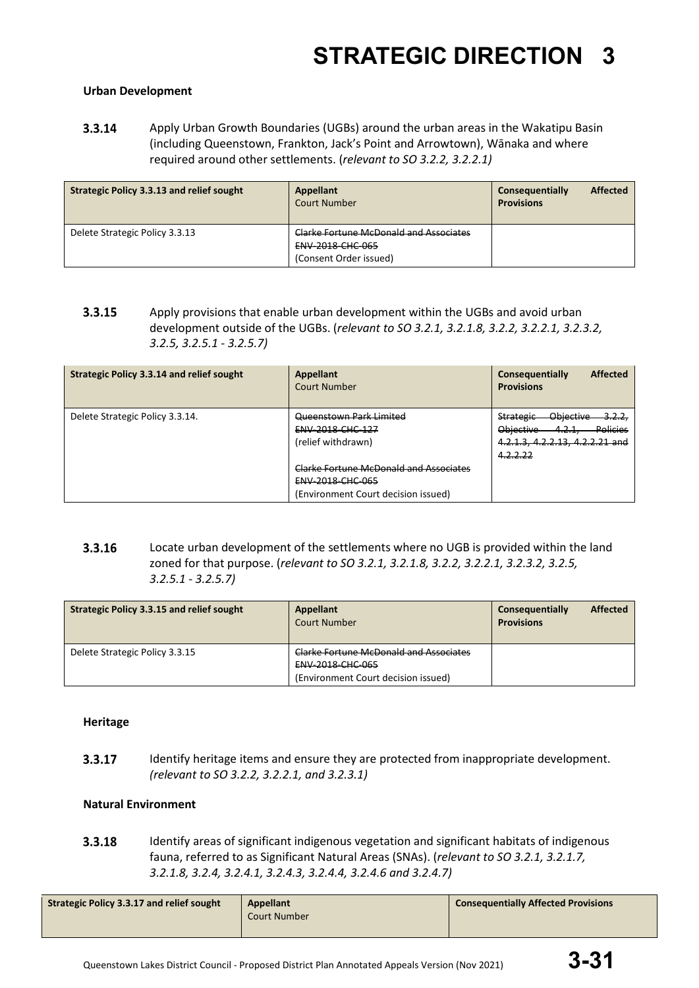### **Urban Development**

3.3.14 Apply Urban Growth Boundaries (UGBs) around the urban areas in the Wakatipu Basin (including Queenstown, Frankton, Jack's Point and Arrowtown), Wānaka and where required around other settlements. (*relevant to SO 3.2.2, 3.2.2.1)*

| <b>Strategic Policy 3.3.13 and relief sought</b> | Appellant<br><b>Court Number</b>                                                                   | <b>Affected</b><br>Consequentially<br><b>Provisions</b> |
|--------------------------------------------------|----------------------------------------------------------------------------------------------------|---------------------------------------------------------|
| Delete Strategic Policy 3.3.13                   | <b>Clarke Fortune McDonald and Associates</b><br><b>ENV 2018 CHC 065</b><br>(Consent Order issued) |                                                         |

3.3.15 Apply provisions that enable urban development within the UGBs and avoid urban development outside of the UGBs. (*relevant to SO 3.2.1, 3.2.1.8, 3.2.2, 3.2.2.1, 3.2.3.2, 3.2.5, 3.2.5.1 - 3.2.5.7)*

| <b>Strategic Policy 3.3.14 and relief sought</b> | Appellant<br>Court Number                                                                                       | <b>Affected</b><br>Consequentially<br><b>Provisions</b>                                                                                          |
|--------------------------------------------------|-----------------------------------------------------------------------------------------------------------------|--------------------------------------------------------------------------------------------------------------------------------------------------|
| Delete Strategic Policy 3.3.14.                  | Queenstown Park Limited<br><b>ENV 2018 CHC 127</b><br>(relief withdrawn)                                        | Objective<br><u>3.2.2,</u><br><b>Strategic</b><br><b>Policies</b><br>Objective<br>1 7 1<br>4.Z.I.<br>4.2.1.3, 4.2.2.13, 4.2.2.21 and<br>4.2.2.22 |
|                                                  | <b>Clarke Fortune McDonald and Associates</b><br><b>ENV 2018 CHC 065</b><br>(Environment Court decision issued) |                                                                                                                                                  |

3.3.16 Locate urban development of the settlements where no UGB is provided within the land zoned for that purpose. (*relevant to SO 3.2.1, 3.2.1.8, 3.2.2, 3.2.2.1, 3.2.3.2, 3.2.5, 3.2.5.1 - 3.2.5.7)*

| <b>Strategic Policy 3.3.15 and relief sought</b> | Appellant<br><b>Court Number</b>                                                                                | <b>Affected</b><br>Consequentially<br><b>Provisions</b> |
|--------------------------------------------------|-----------------------------------------------------------------------------------------------------------------|---------------------------------------------------------|
| Delete Strategic Policy 3.3.15                   | <b>Clarke Fortune McDonald and Associates</b><br><b>ENV 2018 CHC 065</b><br>(Environment Court decision issued) |                                                         |

### **Heritage**

3.3.17 Identify heritage items and ensure they are protected from inappropriate development. *(relevant to SO 3.2.2, 3.2.2.1, and 3.2.3.1)*

### **Natural Environment**

3.3.18 Identify areas of significant indigenous vegetation and significant habitats of indigenous fauna, referred to as Significant Natural Areas (SNAs). (*relevant to SO 3.2.1, 3.2.1.7, 3.2.1.8, 3.2.4, 3.2.4.1, 3.2.4.3, 3.2.4.4, 3.2.4.6 and 3.2.4.7)*

|--|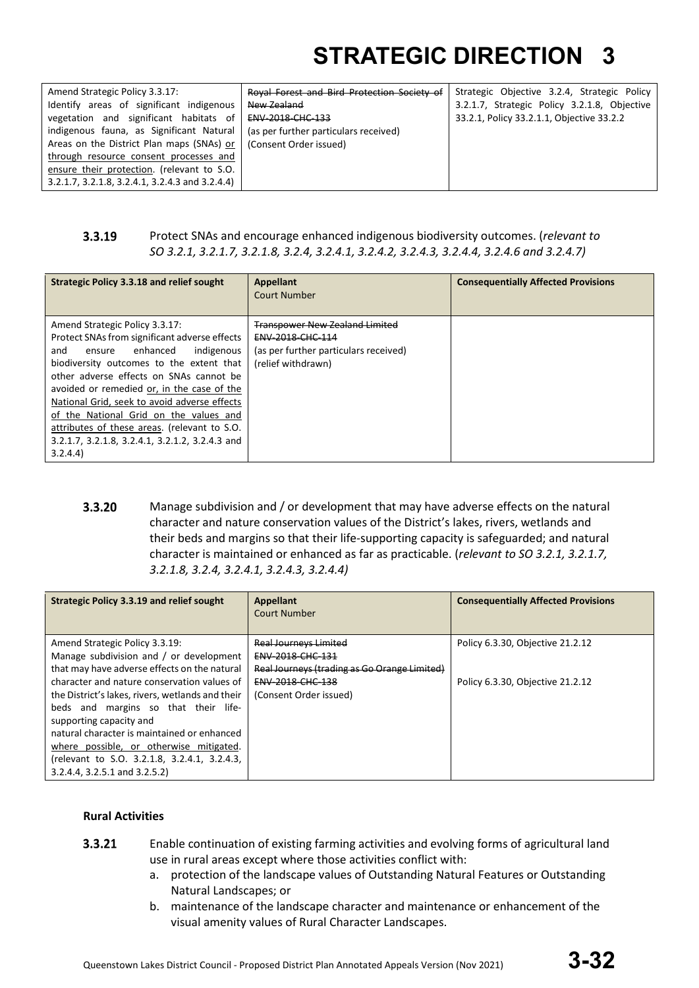| Amend Strategic Policy 3.3.17:                  | Roval Forest and Bird Protection Society of | Strategic Objective 3.2.4, Strategic Policy  |
|-------------------------------------------------|---------------------------------------------|----------------------------------------------|
| Identify areas of significant indigenous        | New Zealand                                 | 3.2.1.7, Strategic Policy 3.2.1.8, Objective |
| vegetation and significant habitats of          | <b>ENV 2018 CHC 133</b>                     | 33.2.1, Policy 33.2.1.1, Objective 33.2.2    |
| indigenous fauna, as Significant Natural        | (as per further particulars received)       |                                              |
| Areas on the District Plan maps (SNAs) or       | (Consent Order issued)                      |                                              |
| through resource consent processes and          |                                             |                                              |
| ensure their protection. (relevant to S.O.      |                                             |                                              |
| 3.2.1.7, 3.2.1.8, 3.2.4.1, 3.2.4.3 and 3.2.4.4) |                                             |                                              |

#### $3.3.19$ Protect SNAs and encourage enhanced indigenous biodiversity outcomes. (*relevant to SO 3.2.1, 3.2.1.7, 3.2.1.8, 3.2.4, 3.2.4.1, 3.2.4.2, 3.2.4.3, 3.2.4.4, 3.2.4.6 and 3.2.4.7)*

| <b>Strategic Policy 3.3.18 and relief sought</b>                                                                                                                                                                                                                                                                                                                                                                                                                         | Appellant<br><b>Court Number</b>                                                                                         | <b>Consequentially Affected Provisions</b> |
|--------------------------------------------------------------------------------------------------------------------------------------------------------------------------------------------------------------------------------------------------------------------------------------------------------------------------------------------------------------------------------------------------------------------------------------------------------------------------|--------------------------------------------------------------------------------------------------------------------------|--------------------------------------------|
| Amend Strategic Policy 3.3.17:<br>Protect SNAs from significant adverse effects<br>indigenous<br>enhanced<br>and<br>ensure<br>biodiversity outcomes to the extent that<br>other adverse effects on SNAs cannot be<br>avoided or remedied or, in the case of the<br>National Grid, seek to avoid adverse effects<br>of the National Grid on the values and<br>attributes of these areas. (relevant to S.O.<br>3.2.1.7, 3.2.1.8, 3.2.4.1, 3.2.1.2, 3.2.4.3 and<br>3.2.4.4) | <b>Transpower New Zealand Limited</b><br>ENV-2018-CHC-114<br>(as per further particulars received)<br>(relief withdrawn) |                                            |

 $3.3.20$ Manage subdivision and / or development that may have adverse effects on the natural character and nature conservation values of the District's lakes, rivers, wetlands and their beds and margins so that their life-supporting capacity is safeguarded; and natural character is maintained or enhanced as far as practicable. (*relevant to SO 3.2.1, 3.2.1.7, 3.2.1.8, 3.2.4, 3.2.4.1, 3.2.4.3, 3.2.4.4)*

| <b>Strategic Policy 3.3.19 and relief sought</b>                                                                                                                                                                                                                                                                                                                                                                                                                                   | Appellant<br><b>Court Number</b>                                                                                                               | <b>Consequentially Affected Provisions</b>                           |
|------------------------------------------------------------------------------------------------------------------------------------------------------------------------------------------------------------------------------------------------------------------------------------------------------------------------------------------------------------------------------------------------------------------------------------------------------------------------------------|------------------------------------------------------------------------------------------------------------------------------------------------|----------------------------------------------------------------------|
| Amend Strategic Policy 3.3.19:<br>Manage subdivision and / or development<br>that may have adverse effects on the natural<br>character and nature conservation values of<br>the District's lakes, rivers, wetlands and their<br>beds and margins so that their life-<br>supporting capacity and<br>natural character is maintained or enhanced<br>where possible, or otherwise mitigated.<br>(relevant to S.O. 3.2.1.8, 3.2.4.1, 3.2.4.3,<br>$3.2.4.4$ , $3.2.5.1$ and $3.2.5.2$ ) | <b>Real Journeys Limited</b><br>ENV-2018-CHC-131<br>Real Journeys (trading as Go Orange Limited)<br>ENV-2018-CHC-138<br>(Consent Order issued) | Policy 6.3.30, Objective 21.2.12<br>Policy 6.3.30, Objective 21.2.12 |

### **Rural Activities**

- $3.3.21$ Enable continuation of existing farming activities and evolving forms of agricultural land use in rural areas except where those activities conflict with:
	- a. protection of the landscape values of Outstanding Natural Features or Outstanding Natural Landscapes; or
	- b. maintenance of the landscape character and maintenance or enhancement of the visual amenity values of Rural Character Landscapes.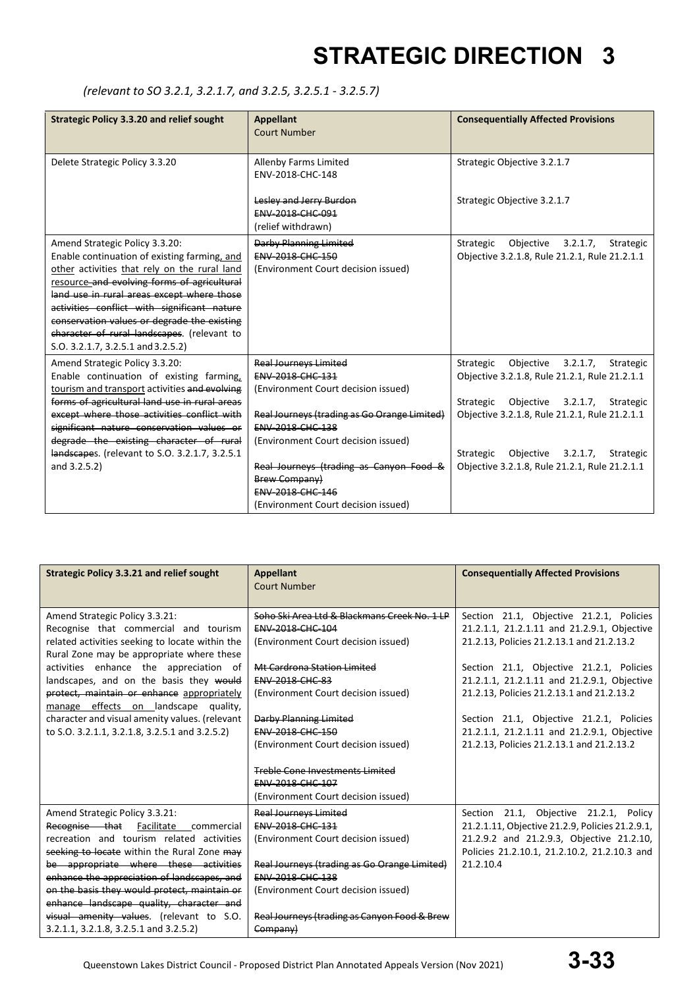### *(relevant to SO 3.2.1, 3.2.1.7, and 3.2.5, 3.2.5.1 - 3.2.5.7)*

| <b>Strategic Policy 3.3.20 and relief sought</b>                                                                                                                                                                                                                                                                                                                                                               | <b>Appellant</b><br><b>Court Number</b>                                                                                                                                                                                                                                                                                                               | <b>Consequentially Affected Provisions</b>                                                                                                                                                                                                                                             |
|----------------------------------------------------------------------------------------------------------------------------------------------------------------------------------------------------------------------------------------------------------------------------------------------------------------------------------------------------------------------------------------------------------------|-------------------------------------------------------------------------------------------------------------------------------------------------------------------------------------------------------------------------------------------------------------------------------------------------------------------------------------------------------|----------------------------------------------------------------------------------------------------------------------------------------------------------------------------------------------------------------------------------------------------------------------------------------|
| Delete Strategic Policy 3.3.20                                                                                                                                                                                                                                                                                                                                                                                 | Allenby Farms Limited<br>ENV-2018-CHC-148                                                                                                                                                                                                                                                                                                             | Strategic Objective 3.2.1.7                                                                                                                                                                                                                                                            |
|                                                                                                                                                                                                                                                                                                                                                                                                                | Lesley and Jerry Burdon<br><b>ENV 2018 CHC 091</b><br>(relief withdrawn)                                                                                                                                                                                                                                                                              | Strategic Objective 3.2.1.7                                                                                                                                                                                                                                                            |
| Amend Strategic Policy 3.3.20:<br>Enable continuation of existing farming, and<br>other activities that rely on the rural land<br>resource and evolving forms of agricultural<br>land use in rural areas except where those<br>activities conflict with significant nature<br>conservation values or degrade the existing<br>character of rural landscapes. (relevant to<br>S.O. 3.2.1.7, 3.2.5.1 and 3.2.5.2) | <b>Darby Planning Limited</b><br><b>ENV-2018-CHC-150</b><br>(Environment Court decision issued)                                                                                                                                                                                                                                                       | Strategic<br>Objective $3.2.1.7$ ,<br>Strategic<br>Objective 3.2.1.8, Rule 21.2.1, Rule 21.2.1.1                                                                                                                                                                                       |
| Amend Strategic Policy 3.3.20:<br>Enable continuation of existing farming,<br>tourism and transport activities and evolving<br>forms of agricultural land use in rural areas<br>except where those activities conflict with<br>significant nature conservation values or<br>degrade the existing character of rural<br>landscapes. (relevant to S.O. 3.2.1.7, 3.2.5.1<br>and 3.2.5.2)                          | <b>Real Journeys Limited</b><br><b>ENV 2018 CHC 131</b><br>(Environment Court decision issued)<br>Real Journeys (trading as Go Orange Limited)<br><b>ENV-2018-CHC-138</b><br>(Environment Court decision issued)<br>Real Journeys (trading as Canyon Food &<br><b>Brew Company)</b><br><b>ENV-2018-CHC-146</b><br>(Environment Court decision issued) | Objective 3.2.1.7,<br>Strategic<br>Strategic<br>Objective 3.2.1.8, Rule 21.2.1, Rule 21.2.1.1<br>Strategic Objective 3.2.1.7, Strategic<br>Objective 3.2.1.8, Rule 21.2.1, Rule 21.2.1.1<br>Strategic Objective 3.2.1.7,<br>Strategic<br>Objective 3.2.1.8, Rule 21.2.1, Rule 21.2.1.1 |

| <b>Strategic Policy 3.3.21 and relief sought</b>                                                                                                                                                                                                                                                                                                                                                                                                       | <b>Appellant</b><br><b>Court Number</b>                                                                                                                                                                                                                                                                                                       | <b>Consequentially Affected Provisions</b>                                                                                                                                                                                                                                                                                                                                                                           |
|--------------------------------------------------------------------------------------------------------------------------------------------------------------------------------------------------------------------------------------------------------------------------------------------------------------------------------------------------------------------------------------------------------------------------------------------------------|-----------------------------------------------------------------------------------------------------------------------------------------------------------------------------------------------------------------------------------------------------------------------------------------------------------------------------------------------|----------------------------------------------------------------------------------------------------------------------------------------------------------------------------------------------------------------------------------------------------------------------------------------------------------------------------------------------------------------------------------------------------------------------|
| Amend Strategic Policy 3.3.21:<br>Recognise that commercial and tourism<br>related activities seeking to locate within the<br>Rural Zone may be appropriate where these<br>activities enhance the appreciation of<br>landscapes, and on the basis they would<br>protect, maintain or enhance appropriately<br>manage effects on landscape quality,<br>character and visual amenity values. (relevant<br>to S.O. 3.2.1.1, 3.2.1.8, 3.2.5.1 and 3.2.5.2) | Sobo Ski Area Ltd & Blackmans Creek No. 1 LP<br><b>ENV-2018-CHC-104</b><br>(Environment Court decision issued)<br>Mt Cardrona Station Limited<br><b>ENV-2018-CHC-83</b><br>(Environment Court decision issued)<br>Darby Planning Limited<br>ENV-2018-CHC-150<br>(Environment Court decision issued)<br><b>Treble Cone Investments Limited</b> | Section 21.1, Objective 21.2.1, Policies<br>21.2.1.1, 21.2.1.11 and 21.2.9.1, Objective<br>21.2.13, Policies 21.2.13.1 and 21.2.13.2<br>Section 21.1, Objective 21.2.1, Policies<br>21.2.1.1, 21.2.1.11 and 21.2.9.1, Objective<br>21.2.13, Policies 21.2.13.1 and 21.2.13.2<br>Section 21.1, Objective 21.2.1, Policies<br>21.2.1.1, 21.2.1.11 and 21.2.9.1, Objective<br>21.2.13, Policies 21.2.13.1 and 21.2.13.2 |
|                                                                                                                                                                                                                                                                                                                                                                                                                                                        | <b>ENV 2018 CHC 107</b><br>(Environment Court decision issued)                                                                                                                                                                                                                                                                                |                                                                                                                                                                                                                                                                                                                                                                                                                      |
| Amend Strategic Policy 3.3.21:<br>Recognise that Facilitate commercial<br>recreation and tourism related activities<br>seeking to locate within the Rural Zone may<br>be appropriate where these activities<br>enhance the appreciation of landscapes, and<br>on the basis they would protect, maintain or<br>enhance landscape quality, character and<br>visual amenity values. (relevant to S.O.<br>3.2.1.1, 3.2.1.8, 3.2.5.1 and 3.2.5.2)           | <b>Real Journeys Limited</b><br><b>ENV 2018 CHC 131</b><br>(Environment Court decision issued)<br>Real Journeys (trading as Go Orange Limited)<br><b>ENV 2018 CHC 138</b><br>(Environment Court decision issued)<br>Real Journeys (trading as Canyon Food & Brew<br>Company)                                                                  | Section 21.1, Objective 21.2.1, Policy<br>21.2.1.11, Objective 21.2.9, Policies 21.2.9.1,<br>21.2.9.2 and 21.2.9.3, Objective 21.2.10,<br>Policies 21.2.10.1, 21.2.10.2, 21.2.10.3 and<br>21.2.10.4                                                                                                                                                                                                                  |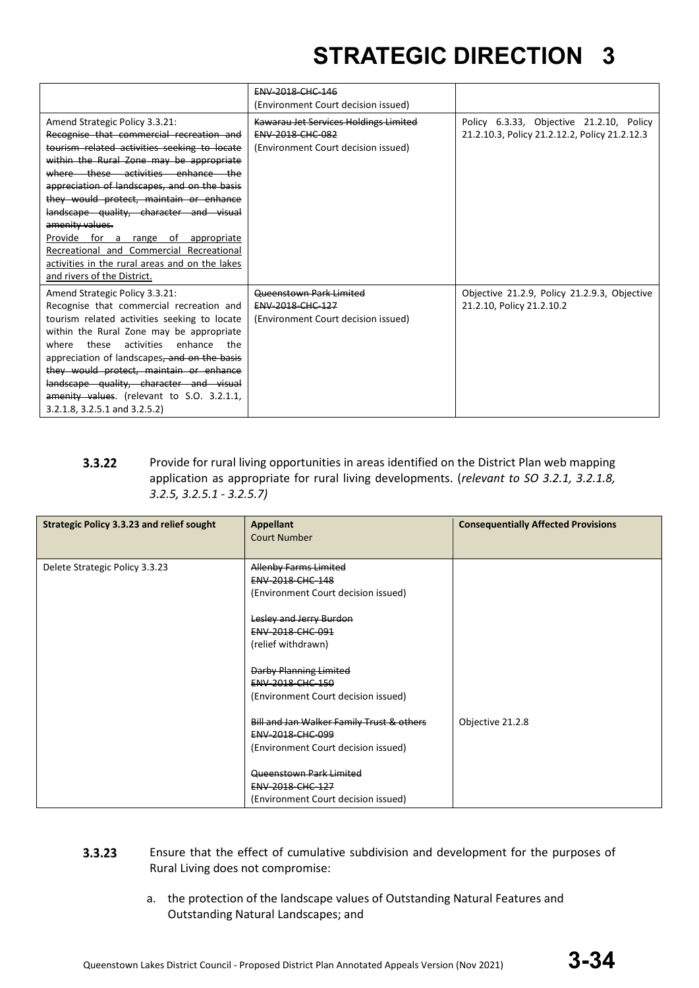|                                                                                                                                                                                                                                                                                                                                                                                                                                                                                                                                          | <b>ENV-2018-CHC-146</b>                                                                                        |                                                                                           |
|------------------------------------------------------------------------------------------------------------------------------------------------------------------------------------------------------------------------------------------------------------------------------------------------------------------------------------------------------------------------------------------------------------------------------------------------------------------------------------------------------------------------------------------|----------------------------------------------------------------------------------------------------------------|-------------------------------------------------------------------------------------------|
|                                                                                                                                                                                                                                                                                                                                                                                                                                                                                                                                          | (Environment Court decision issued)                                                                            |                                                                                           |
| Amend Strategic Policy 3.3.21:<br>Recognise that commercial recreation and<br>tourism related activities seeking to locate<br>within the Rural Zone may be appropriate<br>where these activities enhance the<br>appreciation of landscapes, and on the basis<br>they would protect, maintain or enhance<br>landscape quality, character and visual<br>amenity values.<br>Provide for a range of appropriate<br>Recreational and Commercial Recreational<br>activities in the rural areas and on the lakes<br>and rivers of the District. | <b>Kawarau Jet Services Holdings Limited</b><br><b>ENV 2018 CHC 082</b><br>(Environment Court decision issued) | Policy 6.3.33, Objective 21.2.10, Policy<br>21.2.10.3, Policy 21.2.12.2, Policy 21.2.12.3 |
| Amend Strategic Policy 3.3.21:<br>Recognise that commercial recreation and<br>tourism related activities seeking to locate<br>within the Rural Zone may be appropriate<br>activities<br>enhance<br>these<br>where<br>the<br>appreciation of landscapes, and on the basis<br>they would protect, maintain or enhance<br>landscape quality, character and visual<br>amenity values. (relevant to S.O. 3.2.1.1,<br>3.2.1.8, 3.2.5.1 and 3.2.5.2)                                                                                            | <b>Queenstown Park Limited</b><br><b>ENV 2018 CHC 127</b><br>(Environment Court decision issued)               | Objective 21.2.9, Policy 21.2.9.3, Objective<br>21.2.10, Policy 21.2.10.2                 |

#### $3.3.22$ Provide for rural living opportunities in areas identified on the District Plan web mapping application as appropriate for rural living developments. (*relevant to SO 3.2.1, 3.2.1.8, 3.2.5, 3.2.5.1 - 3.2.5.7)*

| <b>Strategic Policy 3.3.23 and relief sought</b> | <b>Appellant</b><br><b>Court Number</b>                                                              | <b>Consequentially Affected Provisions</b> |
|--------------------------------------------------|------------------------------------------------------------------------------------------------------|--------------------------------------------|
| Delete Strategic Policy 3.3.23                   | <b>Allenby Farms Limited</b><br><b>ENV 2018 CHC 148</b><br>(Environment Court decision issued)       |                                            |
|                                                  | Lesley and Jerry Burdon<br>ENV-2018-CHC-091<br>(relief withdrawn)                                    |                                            |
|                                                  | <b>Darby Planning Limited</b><br>ENV-2018-CHC-150<br>(Environment Court decision issued)             |                                            |
|                                                  | Bill and Jan Walker Family Trust & others<br>ENV-2018-CHC-099<br>(Environment Court decision issued) | Objective 21.2.8                           |
|                                                  | Queenstown Park Limited<br><b>ENV 2018 CHC 127</b><br>(Environment Court decision issued)            |                                            |

- $3.3.23$ Ensure that the effect of cumulative subdivision and development for the purposes of Rural Living does not compromise:
	- a. the protection of the landscape values of Outstanding Natural Features and Outstanding Natural Landscapes; and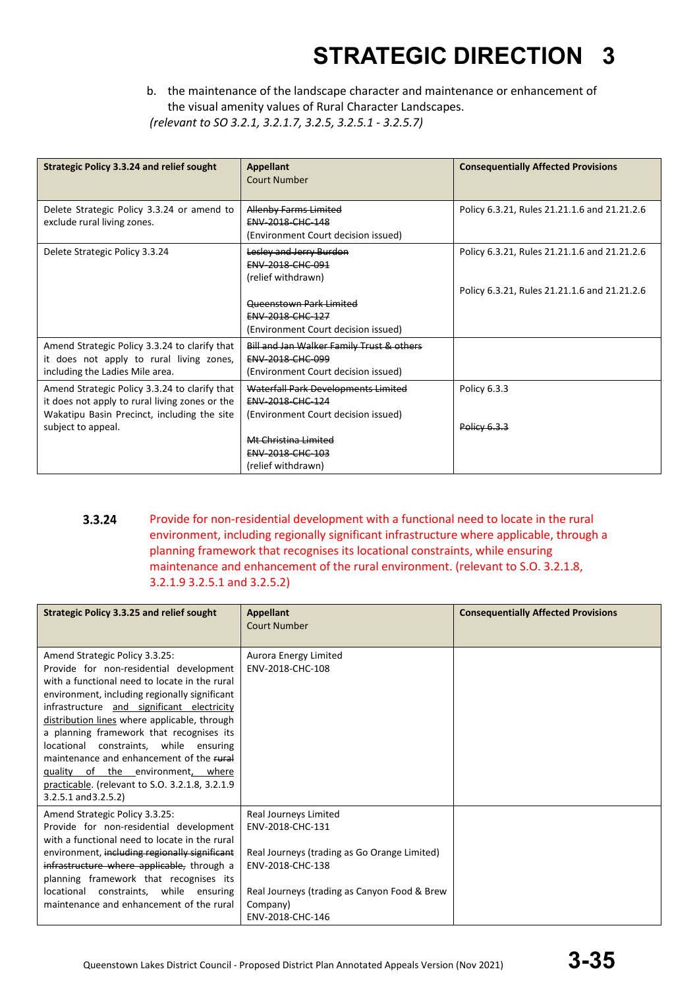b. the maintenance of the landscape character and maintenance or enhancement of the visual amenity values of Rural Character Landscapes.

*(relevant to SO 3.2.1, 3.2.1.7, 3.2.5, 3.2.5.1 - 3.2.5.7)*

| <b>Strategic Policy 3.3.24 and relief sought</b>                                                                                                                     | <b>Appellant</b><br>Court Number                                                                                       | <b>Consequentially Affected Provisions</b>   |
|----------------------------------------------------------------------------------------------------------------------------------------------------------------------|------------------------------------------------------------------------------------------------------------------------|----------------------------------------------|
| Delete Strategic Policy 3.3.24 or amend to<br>exclude rural living zones.                                                                                            | <b>Allenby Farms Limited</b><br>ENV-2018-CHC-148<br>(Environment Court decision issued)                                | Policy 6.3.21, Rules 21.21.1.6 and 21.21.2.6 |
| Delete Strategic Policy 3.3.24                                                                                                                                       | Lesley and Jerry Burdon<br><b>ENV 2018 CHC 091</b><br>(relief withdrawn)                                               | Policy 6.3.21, Rules 21.21.1.6 and 21.21.2.6 |
|                                                                                                                                                                      | <b>Oucenstown Park Limited</b><br>ENV-2018-CHC-127<br>(Environment Court decision issued)                              | Policy 6.3.21, Rules 21.21.1.6 and 21.21.2.6 |
| Amend Strategic Policy 3.3.24 to clarify that<br>it does not apply to rural living zones,<br>including the Ladies Mile area.                                         | <b>Bill and Jan Walker Family Trust &amp; others</b><br><b>ENV 2018 CHC 099</b><br>(Environment Court decision issued) |                                              |
| Amend Strategic Policy 3.3.24 to clarify that<br>it does not apply to rural living zones or the<br>Wakatipu Basin Precinct, including the site<br>subject to appeal. | Waterfall Park Developments Limited<br><b>ENV 2018 CHC 124</b><br>(Environment Court decision issued)                  | Policy 6.3.3<br>Policy 6.3.3                 |
|                                                                                                                                                                      | Mt Christina Limited<br><b>ENV 2018 CHC 103</b><br>(relief withdrawn)                                                  |                                              |

3.3.24 Provide for non-residential development with a functional need to locate in the rural environment, including regionally significant infrastructure where applicable, through a planning framework that recognises its locational constraints, while ensuring maintenance and enhancement of the rural environment. (relevant to S.O. 3.2.1.8, 3.2.1.9 3.2.5.1 and 3.2.5.2)

| <b>Strategic Policy 3.3.25 and relief sought</b>                                                                                                                                                                                                                                                                                                                                                                                                                                                                                 | <b>Appellant</b><br><b>Court Number</b>                                                                                                                                                       | <b>Consequentially Affected Provisions</b> |
|----------------------------------------------------------------------------------------------------------------------------------------------------------------------------------------------------------------------------------------------------------------------------------------------------------------------------------------------------------------------------------------------------------------------------------------------------------------------------------------------------------------------------------|-----------------------------------------------------------------------------------------------------------------------------------------------------------------------------------------------|--------------------------------------------|
| Amend Strategic Policy 3.3.25:<br>Provide for non-residential development<br>with a functional need to locate in the rural<br>environment, including regionally significant<br>infrastructure and significant electricity<br>distribution lines where applicable, through<br>a planning framework that recognises its<br>locational constraints, while ensuring<br>maintenance and enhancement of the rural<br>quality of the environment, where<br>practicable. (relevant to S.O. 3.2.1.8, 3.2.1.9<br>$3.2.5.1$ and $3.2.5.2$ ) | Aurora Energy Limited<br>ENV-2018-CHC-108                                                                                                                                                     |                                            |
| Amend Strategic Policy 3.3.25:<br>Provide for non-residential development<br>with a functional need to locate in the rural<br>environment, including regionally significant<br>infrastructure where applicable, through a<br>planning framework that recognises its<br>locational constraints, while ensuring<br>maintenance and enhancement of the rural                                                                                                                                                                        | Real Journeys Limited<br>ENV-2018-CHC-131<br>Real Journeys (trading as Go Orange Limited)<br>ENV-2018-CHC-138<br>Real Journeys (trading as Canyon Food & Brew<br>Company)<br>ENV-2018-CHC-146 |                                            |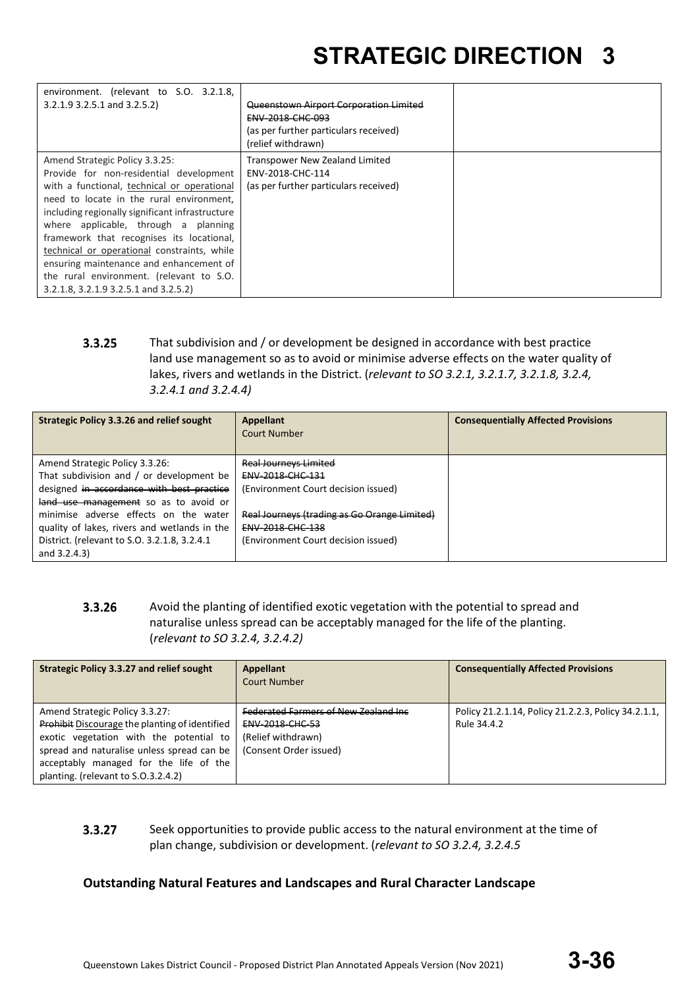| environment. (relevant to S.O. 3.2.1.8,<br>$3.2.1.9$ 3.2.5.1 and 3.2.5.2)                                                                                                                                                                                                                                                                                                                                                                                                                   | Queenstown Airport Corporation Limited<br><b>ENV 2018 CHC 093</b><br>(as per further particulars received)<br>(relief withdrawn) |  |
|---------------------------------------------------------------------------------------------------------------------------------------------------------------------------------------------------------------------------------------------------------------------------------------------------------------------------------------------------------------------------------------------------------------------------------------------------------------------------------------------|----------------------------------------------------------------------------------------------------------------------------------|--|
| Amend Strategic Policy 3.3.25:<br>Provide for non-residential development<br>with a functional, technical or operational<br>need to locate in the rural environment,<br>including regionally significant infrastructure<br>where applicable, through a planning<br>framework that recognises its locational,<br>technical or operational constraints, while<br>ensuring maintenance and enhancement of<br>the rural environment. (relevant to S.O.<br>3.2.1.8, 3.2.1.9 3.2.5.1 and 3.2.5.2) | Transpower New Zealand Limited<br>ENV-2018-CHC-114<br>(as per further particulars received)                                      |  |

 $3.3.25$ That subdivision and / or development be designed in accordance with best practice land use management so as to avoid or minimise adverse effects on the water quality of lakes, rivers and wetlands in the District. (*relevant to SO 3.2.1, 3.2.1.7, 3.2.1.8, 3.2.4, 3.2.4.1 and 3.2.4.4)*

| <b>Strategic Policy 3.3.26 and relief sought</b>                                                                                                                                                                                                                                                                              | <b>Appellant</b><br>Court Number                                                                                                                                                                   | <b>Consequentially Affected Provisions</b> |
|-------------------------------------------------------------------------------------------------------------------------------------------------------------------------------------------------------------------------------------------------------------------------------------------------------------------------------|----------------------------------------------------------------------------------------------------------------------------------------------------------------------------------------------------|--------------------------------------------|
| Amend Strategic Policy 3.3.26:<br>That subdivision and / or development be<br>designed in accordance with best practice<br>land use management so as to avoid or<br>minimise adverse effects on the water<br>quality of lakes, rivers and wetlands in the<br>District. (relevant to S.O. 3.2.1.8, 3.2.4.1)<br>and $3.2.4.3$ ) | <b>Real Journeys Limited</b><br>ENV-2018-CHC-131<br>(Environment Court decision issued)<br>Real Journeys (trading as Go Orange Limited)<br>ENV-2018-CHC-138<br>(Environment Court decision issued) |                                            |

 $3.3.26$ Avoid the planting of identified exotic vegetation with the potential to spread and naturalise unless spread can be acceptably managed for the life of the planting. (*relevant to SO 3.2.4, 3.2.4.2)*

| <b>Strategic Policy 3.3.27 and relief sought</b>                                                                                                                                                                                                                  | <b>Appellant</b><br>Court Number                                                                                | <b>Consequentially Affected Provisions</b>                         |
|-------------------------------------------------------------------------------------------------------------------------------------------------------------------------------------------------------------------------------------------------------------------|-----------------------------------------------------------------------------------------------------------------|--------------------------------------------------------------------|
| Amend Strategic Policy 3.3.27:<br><b>Prohibit</b> Discourage the planting of identified<br>exotic vegetation with the potential to<br>spread and naturalise unless spread can be<br>acceptably managed for the life of the<br>planting. (relevant to S.O.3.2.4.2) | <b>Federated Farmers of New Zealand Inc.</b><br>ENV-2018-CHC-53<br>(Relief withdrawn)<br>(Consent Order issued) | Policy 21.2.1.14, Policy 21.2.2.3, Policy 34.2.1.1,<br>Rule 34.4.2 |

 $3.3.27$ Seek opportunities to provide public access to the natural environment at the time of plan change, subdivision or development. (*relevant to SO 3.2.4, 3.2.4.5*

### **Outstanding Natural Features and Landscapes and Rural Character Landscape**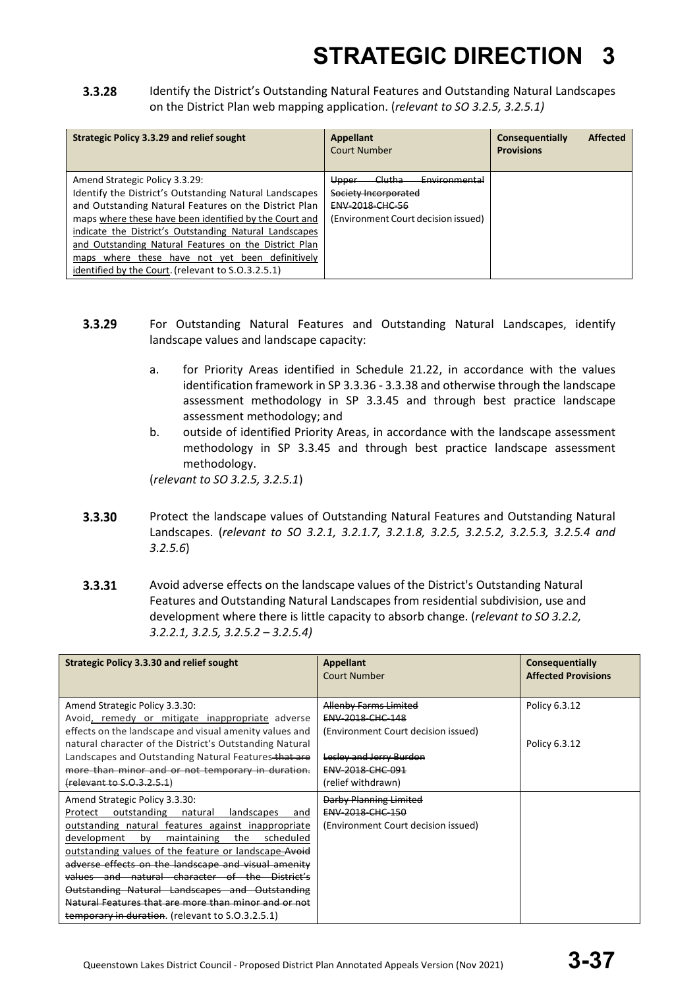3.3.28 Identify the District's Outstanding Natural Features and Outstanding Natural Landscapes on the District Plan web mapping application. (*relevant to SO 3.2.5, 3.2.5.1)*

| <b>Strategic Policy 3.3.29 and relief sought</b>                                                                                                                                                                                                                                                                                                                                                                                        | <b>Appellant</b><br><b>Court Number</b>                                                                                              | <b>Affected</b><br>Consequentially<br><b>Provisions</b> |
|-----------------------------------------------------------------------------------------------------------------------------------------------------------------------------------------------------------------------------------------------------------------------------------------------------------------------------------------------------------------------------------------------------------------------------------------|--------------------------------------------------------------------------------------------------------------------------------------|---------------------------------------------------------|
| Amend Strategic Policy 3.3.29:<br>Identify the District's Outstanding Natural Landscapes<br>and Outstanding Natural Features on the District Plan<br>maps where these have been identified by the Court and<br>indicate the District's Outstanding Natural Landscapes<br>and Outstanding Natural Features on the District Plan<br>maps where these have not yet been definitively<br>identified by the Court. (relevant to S.O.3.2.5.1) | <del>Clutha</del><br>Environmental<br>Upper<br>Society Incorporated<br><b>ENV-2018-CHC-56</b><br>(Environment Court decision issued) |                                                         |

- 3.3.29 For Outstanding Natural Features and Outstanding Natural Landscapes, identify landscape values and landscape capacity:
	- a. for Priority Areas identified in Schedule 21.22, in accordance with the values identification framework in SP 3.3.36 - 3.3.38 and otherwise through the landscape assessment methodology in SP 3.3.45 and through best practice landscape assessment methodology; and
	- b. outside of identified Priority Areas, in accordance with the landscape assessment methodology in SP 3.3.45 and through best practice landscape assessment methodology.

(*relevant to SO 3.2.5, 3.2.5.1*)

- 3.3.30 Protect the landscape values of Outstanding Natural Features and Outstanding Natural Landscapes. (*relevant to SO 3.2.1, 3.2.1.7, 3.2.1.8, 3.2.5, 3.2.5.2, 3.2.5.3, 3.2.5.4 and 3.2.5.6*)
- $3.3.31$ Avoid adverse effects on the landscape values of the District's Outstanding Natural Features and Outstanding Natural Landscapes from residential subdivision, use and development where there is little capacity to absorb change. (*relevant to SO 3.2.2, 3.2.2.1, 3.2.5, 3.2.5.2 – 3.2.5.4)*

| Strategic Policy 3.3.30 and relief sought                                                                                                                                                                                                                                                                                                                                                                                                                                                                                                    | Appellant<br><b>Court Number</b>                                                               | Consequentially<br><b>Affected Provisions</b> |
|----------------------------------------------------------------------------------------------------------------------------------------------------------------------------------------------------------------------------------------------------------------------------------------------------------------------------------------------------------------------------------------------------------------------------------------------------------------------------------------------------------------------------------------------|------------------------------------------------------------------------------------------------|-----------------------------------------------|
| Amend Strategic Policy 3.3.30:<br>Avoid, remedy or mitigate inappropriate adverse<br>effects on the landscape and visual amenity values and                                                                                                                                                                                                                                                                                                                                                                                                  | <b>Allenby Farms Limited</b><br><b>ENV 2018 CHC 148</b><br>(Environment Court decision issued) | Policy 6.3.12                                 |
| natural character of the District's Outstanding Natural<br>Landscapes and Outstanding Natural Features that are<br>more than minor and or not temporary in duration.<br>(relevant to S.O.3.2.5.1)                                                                                                                                                                                                                                                                                                                                            | Lesley and Jerry Burdon<br>ENV-2018-CHC-091<br>(relief withdrawn)                              | Policy 6.3.12                                 |
| Amend Strategic Policy 3.3.30:<br>outstanding<br>natural<br>landscapes<br>Protect<br>and<br><u>outstanding natural features against inappropriate</u><br>development<br>maintaining<br>the<br>scheduled<br>bv<br>outstanding values of the feature or landscape Avoid<br>adverse effects on the landscape and visual amenity<br>values and natural character of the District's<br>Outstanding Natural Landscapes and Outstanding<br>Natural Features that are more than minor and or not<br>temporary in duration. (relevant to S.O.3.2.5.1) | Darby Planning Limited<br><b>ENV 2018 CHC 150</b><br>(Environment Court decision issued)       |                                               |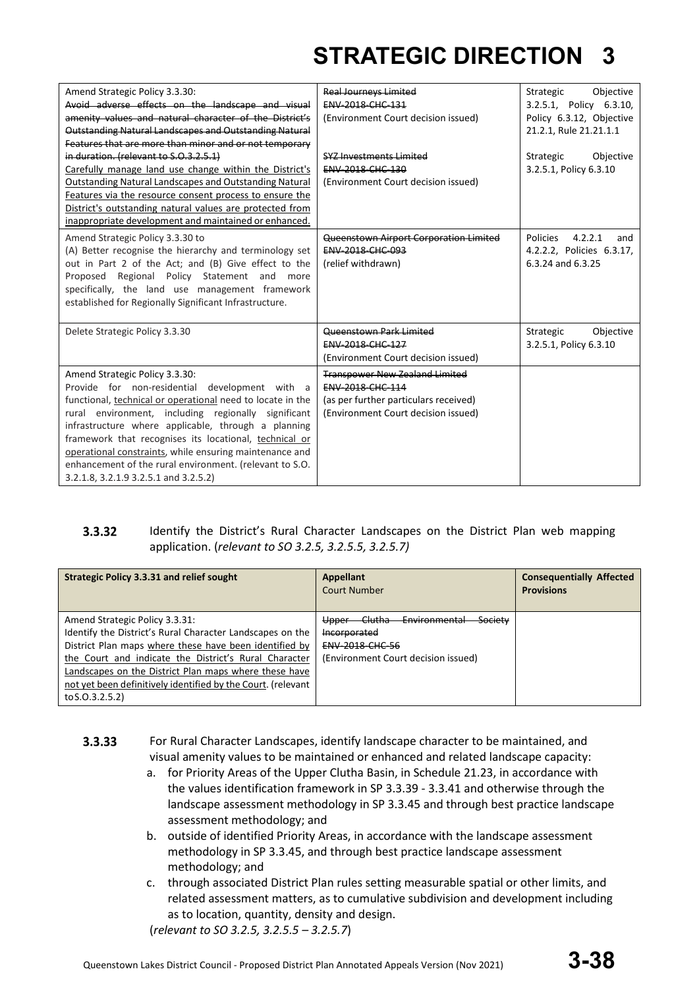| Amend Strategic Policy 3.3.30:                                | <b>Real Journeys Limited</b>           | Objective<br>Strategic     |
|---------------------------------------------------------------|----------------------------------------|----------------------------|
| Avoid adverse effects on the landscape and visual             | <b>ENV-2018-CHC-131</b>                | 3.2.5.1, Policy 6.3.10,    |
| amenity values and natural character of the District's        | (Environment Court decision issued)    | Policy 6.3.12, Objective   |
| Outstanding Natural Landscapes and Outstanding Natural        |                                        | 21.2.1, Rule 21.21.1.1     |
| Features that are more than minor and or not temporary        |                                        |                            |
| in duration. (relevant to S.O.3.2.5.1)                        | <b>SYZ Investments Limited</b>         | Strategic<br>Objective     |
| Carefully manage land use change within the District's        | ENV-2018-CHC-130                       | 3.2.5.1, Policy 6.3.10     |
| <b>Outstanding Natural Landscapes and Outstanding Natural</b> | (Environment Court decision issued)    |                            |
| Features via the resource consent process to ensure the       |                                        |                            |
| District's outstanding natural values are protected from      |                                        |                            |
| inappropriate development and maintained or enhanced.         |                                        |                            |
| Amend Strategic Policy 3.3.30 to                              | Queenstown Airport Corporation Limited | Policies<br>4.2.2.1<br>and |
| (A) Better recognise the hierarchy and terminology set        | ENV-2018-CHC-093                       | 4.2.2.2, Policies 6.3.17,  |
| out in Part 2 of the Act; and (B) Give effect to the          | (relief withdrawn)                     | 6.3.24 and 6.3.25          |
| Proposed Regional Policy Statement and more                   |                                        |                            |
| specifically, the land use management framework               |                                        |                            |
| established for Regionally Significant Infrastructure.        |                                        |                            |
|                                                               |                                        |                            |
| Delete Strategic Policy 3.3.30                                | Queenstown Park Limited                | Strategic<br>Objective     |
|                                                               | <b>ENV 2018 CHC 127</b>                | 3.2.5.1, Policy 6.3.10     |
|                                                               | (Environment Court decision issued)    |                            |
| Amend Strategic Policy 3.3.30:                                | <b>Transpower New Zealand Limited</b>  |                            |
| Provide for non-residential development with a                | <b>ENV-2018-CHC-114</b>                |                            |
| functional, technical or operational need to locate in the    | (as per further particulars received)  |                            |
| rural environment, including regionally significant           | (Environment Court decision issued)    |                            |
| infrastructure where applicable, through a planning           |                                        |                            |
| framework that recognises its locational, technical or        |                                        |                            |
| operational constraints, while ensuring maintenance and       |                                        |                            |
| enhancement of the rural environment. (relevant to S.O.       |                                        |                            |
| 3.2.1.8, 3.2.1.9 3.2.5.1 and 3.2.5.2)                         |                                        |                            |
|                                                               |                                        |                            |

#### 3.3.32 Identify the District's Rural Character Landscapes on the District Plan web mapping application. (*relevant to SO 3.2.5, 3.2.5.5, 3.2.5.7)*

| <b>Strategic Policy 3.3.31 and relief sought</b>                                                                                                                                                                                                                                                                                                           | <b>Appellant</b><br><b>Court Number</b>                                                                                                            | <b>Consequentially Affected</b><br><b>Provisions</b> |
|------------------------------------------------------------------------------------------------------------------------------------------------------------------------------------------------------------------------------------------------------------------------------------------------------------------------------------------------------------|----------------------------------------------------------------------------------------------------------------------------------------------------|------------------------------------------------------|
| Amend Strategic Policy 3.3.31:<br>Identify the District's Rural Character Landscapes on the<br>District Plan maps where these have been identified by<br>the Court and indicate the District's Rural Character<br>Landscapes on the District Plan maps where these have<br>not yet been definitively identified by the Court. (relevant<br>to S.O.3.2.5.2) | <del>Clutha</del><br>Society<br><del>Environmental</del><br>Upper<br>Incorporated<br><b>ENV 2018 CHC 56</b><br>(Environment Court decision issued) |                                                      |

- $3.3.33$ For Rural Character Landscapes, identify landscape character to be maintained, and visual amenity values to be maintained or enhanced and related landscape capacity:
	- a. for Priority Areas of the Upper Clutha Basin, in Schedule 21.23, in accordance with the values identification framework in SP 3.3.39 - 3.3.41 and otherwise through the landscape assessment methodology in SP 3.3.45 and through best practice landscape assessment methodology; and
	- b. outside of identified Priority Areas, in accordance with the landscape assessment methodology in SP 3.3.45, and through best practice landscape assessment methodology; and
	- c. through associated District Plan rules setting measurable spatial or other limits, and related assessment matters, as to cumulative subdivision and development including as to location, quantity, density and design.

(*relevant to SO 3.2.5, 3.2.5.5 – 3.2.5.7*)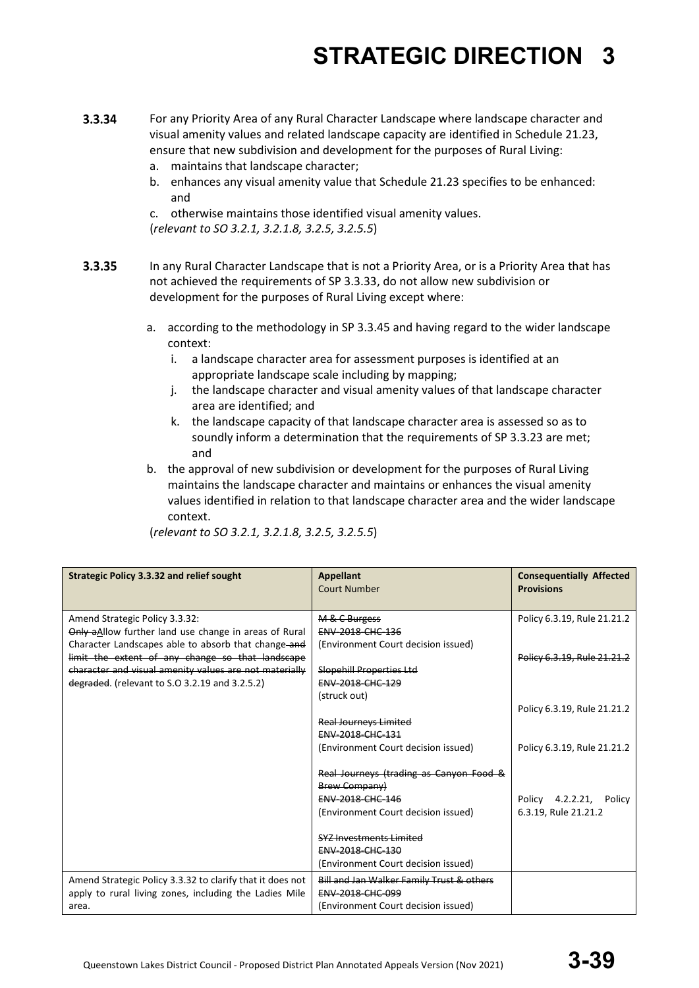- 3.3.34 For any Priority Area of any Rural Character Landscape where landscape character and visual amenity values and related landscape capacity are identified in Schedule 21.23, ensure that new subdivision and development for the purposes of Rural Living:
	- a. maintains that landscape character;
	- b. enhances any visual amenity value that Schedule 21.23 specifies to be enhanced: and
	- c. otherwise maintains those identified visual amenity values.

(*relevant to SO 3.2.1, 3.2.1.8, 3.2.5, 3.2.5.5*)

- 3.3.35 In any Rural Character Landscape that is not a Priority Area, or is a Priority Area that has not achieved the requirements of SP 3.3.33, do not allow new subdivision or development for the purposes of Rural Living except where:
	- a. according to the methodology in SP 3.3.45 and having regard to the wider landscape context:
		- i. a landscape character area for assessment purposes is identified at an appropriate landscape scale including by mapping;
		- j. the landscape character and visual amenity values of that landscape character area are identified; and
		- k. the landscape capacity of that landscape character area is assessed so as to soundly inform a determination that the requirements of SP 3.3.23 are met; and
	- b. the approval of new subdivision or development for the purposes of Rural Living maintains the landscape character and maintains or enhances the visual amenity values identified in relation to that landscape character area and the wider landscape context.

| <b>Strategic Policy 3.3.32 and relief sought</b>                                                                                                                                                                                                             | <b>Appellant</b><br><b>Court Number</b>                                                                                                                                                                                 | <b>Consequentially Affected</b><br><b>Provisions</b>       |
|--------------------------------------------------------------------------------------------------------------------------------------------------------------------------------------------------------------------------------------------------------------|-------------------------------------------------------------------------------------------------------------------------------------------------------------------------------------------------------------------------|------------------------------------------------------------|
| Amend Strategic Policy 3.3.32:<br>Only aAllow further land use change in areas of Rural<br>Character Landscapes able to absorb that change-and<br>limit the extent of any change so that landscape<br>character and visual amenity values are not materially | M & C Burgess<br><b>ENV 2018 CHC 136</b><br>(Environment Court decision issued)<br>Slopehill Properties Ltd                                                                                                             | Policy 6.3.19, Rule 21.21.2<br>Policy 6.3.19. Rule 21.21.2 |
| degraded. (relevant to S.O 3.2.19 and 3.2.5.2)                                                                                                                                                                                                               | <b>ENV 2018 CHC 129</b><br>(struck out)<br><b>Real Journeys Limited</b><br>ENV-2018-CHC-131<br>(Environment Court decision issued)                                                                                      | Policy 6.3.19, Rule 21.21.2<br>Policy 6.3.19, Rule 21.21.2 |
|                                                                                                                                                                                                                                                              | Real Journeys (trading as Canyon Food &<br><b>Brew Company)</b><br>ENV-2018-CHC-146<br>(Environment Court decision issued)<br>SYZ Investments Limited<br><b>ENV 2018 CHC 130</b><br>(Environment Court decision issued) | Policy 4.2.2.21, Policy<br>6.3.19, Rule 21.21.2            |
| Amend Strategic Policy 3.3.32 to clarify that it does not<br>apply to rural living zones, including the Ladies Mile<br>area.                                                                                                                                 | Bill and Jan Walker Family Trust & others<br>ENV-2018-CHC-099<br>(Environment Court decision issued)                                                                                                                    |                                                            |

(*relevant to SO 3.2.1, 3.2.1.8, 3.2.5, 3.2.5.5*)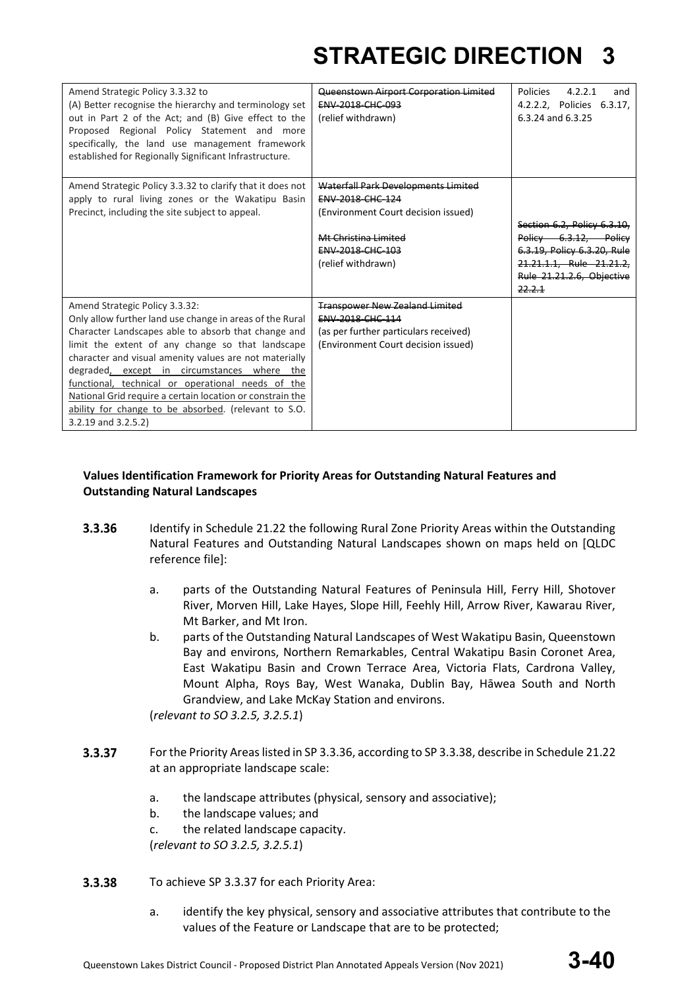| Amend Strategic Policy 3.3.32 to<br>(A) Better recognise the hierarchy and terminology set<br>out in Part 2 of the Act; and (B) Give effect to the<br>Proposed Regional Policy Statement and more<br>specifically, the land use management framework<br>established for Regionally Significant Infrastructure.                                                                                                                                                                                                       | Queenstown Airport Corporation Limited<br>ENV-2018-CHC-093<br>(relief withdrawn)                                                                                        | <b>Policies</b><br>4.2.2.1<br>and<br>4.2.2.2, Policies 6.3.17,<br>6.3.24 and 6.3.25                                                                    |
|----------------------------------------------------------------------------------------------------------------------------------------------------------------------------------------------------------------------------------------------------------------------------------------------------------------------------------------------------------------------------------------------------------------------------------------------------------------------------------------------------------------------|-------------------------------------------------------------------------------------------------------------------------------------------------------------------------|--------------------------------------------------------------------------------------------------------------------------------------------------------|
| Amend Strategic Policy 3.3.32 to clarify that it does not<br>apply to rural living zones or the Wakatipu Basin<br>Precinct, including the site subject to appeal.                                                                                                                                                                                                                                                                                                                                                    | Waterfall Park Developments Limited<br><b>ENV-2018-CHC-124</b><br>(Environment Court decision issued)<br>Mt Christina Limited<br>ENV-2018-CHC-103<br>(relief withdrawn) | Section 6.2, Policy 6.3.10.<br>Policy 6.3.12, Policy<br>6.3.19, Policy 6.3.20, Rule<br>21.21.1.1. Rule 21.21.2.<br>Rule 21.21.2.6. Objective<br>22.2.1 |
| Amend Strategic Policy 3.3.32:<br>Only allow further land use change in areas of the Rural<br>Character Landscapes able to absorb that change and<br>limit the extent of any change so that landscape<br>character and visual amenity values are not materially<br>degraded, except in circumstances where the<br>functional, technical or operational needs of the<br>National Grid require a certain location or constrain the<br>ability for change to be absorbed. (relevant to S.O.<br>$3.2.19$ and $3.2.5.2$ ) | <b>Transpower New Zealand Limited</b><br>ENV-2018-CHC-114<br>(as per further particulars received)<br>(Environment Court decision issued)                               |                                                                                                                                                        |

### **Values Identification Framework for Priority Areas for Outstanding Natural Features and Outstanding Natural Landscapes**

- 3.3.36 Identify in Schedule 21.22 the following Rural Zone Priority Areas within the Outstanding Natural Features and Outstanding Natural Landscapes shown on maps held on [QLDC reference file]:
	- a. parts of the Outstanding Natural Features of Peninsula Hill, Ferry Hill, Shotover River, Morven Hill, Lake Hayes, Slope Hill, Feehly Hill, Arrow River, Kawarau River, Mt Barker, and Mt Iron.
	- b. parts of the Outstanding Natural Landscapes of West Wakatipu Basin, Queenstown Bay and environs, Northern Remarkables, Central Wakatipu Basin Coronet Area, East Wakatipu Basin and Crown Terrace Area, Victoria Flats, Cardrona Valley, Mount Alpha, Roys Bay, West Wanaka, Dublin Bay, Hāwea South and North Grandview, and Lake McKay Station and environs.

(*relevant to SO 3.2.5, 3.2.5.1*)

- 3.3.37 For the Priority Areas listed in SP 3.3.36, according to SP 3.3.38, describe in Schedule 21.22 at an appropriate landscape scale:
	- a. the landscape attributes (physical, sensory and associative);
	- b. the landscape values; and
	- c. the related landscape capacity.

(*relevant to SO 3.2.5, 3.2.5.1*)

- 3.3.38 To achieve SP 3.3.37 for each Priority Area:
	- a. identify the key physical, sensory and associative attributes that contribute to the values of the Feature or Landscape that are to be protected;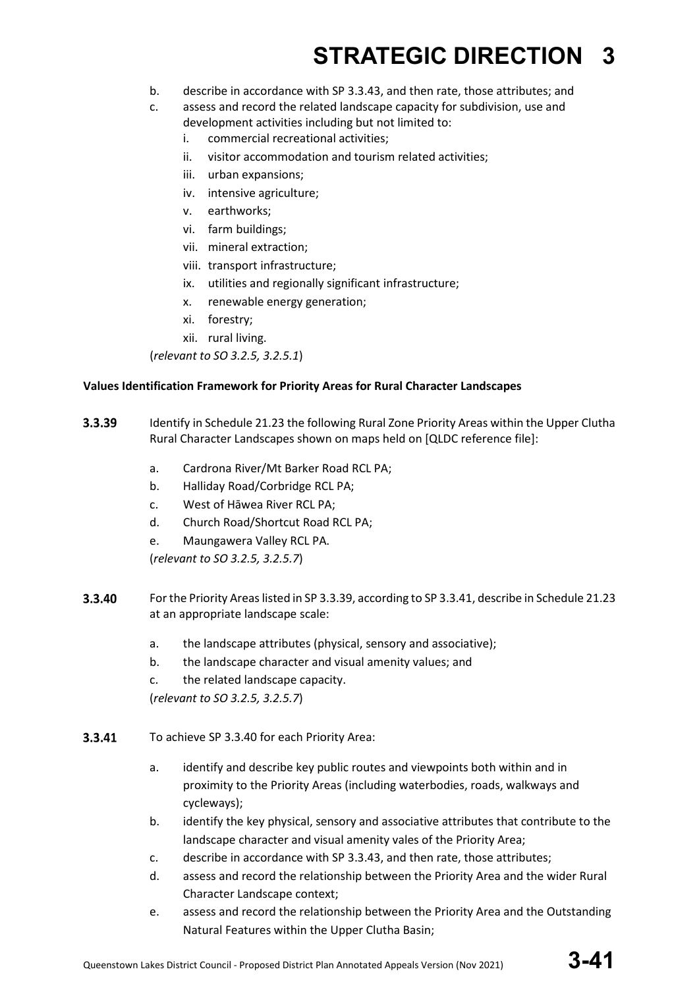- b. describe in accordance with SP 3.3.43, and then rate, those attributes; and
- c. assess and record the related landscape capacity for subdivision, use and development activities including but not limited to:
	- i. commercial recreational activities;
	- ii. visitor accommodation and tourism related activities;
	- iii. urban expansions;
	- iv. intensive agriculture;
	- v. earthworks;
	- vi. farm buildings;
	- vii. mineral extraction;
	- viii. transport infrastructure;
	- ix. utilities and regionally significant infrastructure;
	- x. renewable energy generation;
	- xi. forestry;
	- xii. rural living.

(*relevant to SO 3.2.5, 3.2.5.1*)

### **Values Identification Framework for Priority Areas for Rural Character Landscapes**

- 3.3.39 Identify in Schedule 21.23 the following Rural Zone Priority Areas within the Upper Clutha Rural Character Landscapes shown on maps held on [QLDC reference file]:
	- a. Cardrona River/Mt Barker Road RCL PA;
	- b. Halliday Road/Corbridge RCL PA;
	- c. West of Hāwea River RCL PA;
	- d. Church Road/Shortcut Road RCL PA;
	- e. Maungawera Valley RCL PA.

(*relevant to SO 3.2.5, 3.2.5.7*)

- 3.3.40 For the Priority Areas listed in SP 3.3.39, according to SP 3.3.41, describe in Schedule 21.23 at an appropriate landscape scale:
	- a. the landscape attributes (physical, sensory and associative);
	- b. the landscape character and visual amenity values; and
	- c. the related landscape capacity.

(*relevant to SO 3.2.5, 3.2.5.7*)

- 3.3.41 To achieve SP 3.3.40 for each Priority Area:
	- a. identify and describe key public routes and viewpoints both within and in proximity to the Priority Areas (including waterbodies, roads, walkways and cycleways);
	- b. identify the key physical, sensory and associative attributes that contribute to the landscape character and visual amenity vales of the Priority Area;
	- c. describe in accordance with SP 3.3.43, and then rate, those attributes;
	- d. assess and record the relationship between the Priority Area and the wider Rural Character Landscape context;
	- e. assess and record the relationship between the Priority Area and the Outstanding Natural Features within the Upper Clutha Basin;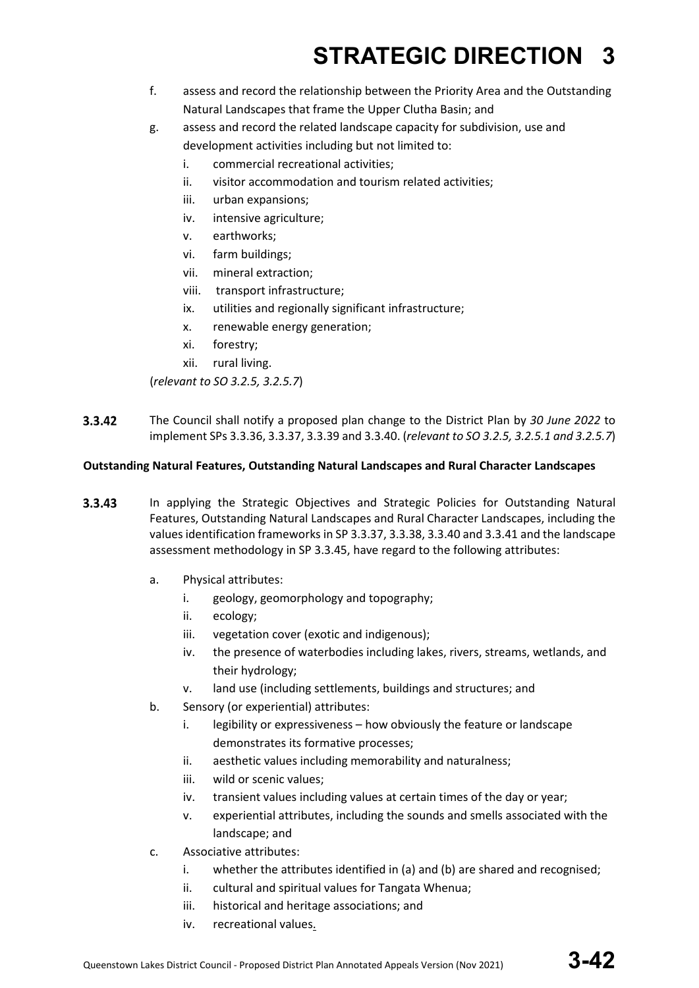- f. assess and record the relationship between the Priority Area and the Outstanding Natural Landscapes that frame the Upper Clutha Basin; and
- g. assess and record the related landscape capacity for subdivision, use and development activities including but not limited to:
	- i. commercial recreational activities;
	- ii. visitor accommodation and tourism related activities;
	- iii. urban expansions;
	- iv. intensive agriculture;
	- v. earthworks;
	- vi. farm buildings;
	- vii. mineral extraction;
	- viii. transport infrastructure;
	- ix. utilities and regionally significant infrastructure;
	- x. renewable energy generation;
	- xi. forestry;
	- xii. rural living.

(*relevant to SO 3.2.5, 3.2.5.7*)

 $3.3.42$ The Council shall notify a proposed plan change to the District Plan by *30 June 2022* to implement SPs 3.3.36, 3.3.37, 3.3.39 and 3.3.40. (*relevant to SO 3.2.5, 3.2.5.1 and 3.2.5.7*)

### **Outstanding Natural Features, Outstanding Natural Landscapes and Rural Character Landscapes**

- $3.3.43$ In applying the Strategic Objectives and Strategic Policies for Outstanding Natural Features, Outstanding Natural Landscapes and Rural Character Landscapes, including the values identification frameworks in SP 3.3.37, 3.3.38, 3.3.40 and 3.3.41 and the landscape assessment methodology in SP 3.3.45, have regard to the following attributes:
	- a. Physical attributes:
		- i. geology, geomorphology and topography;
		- ii. ecology;
		- iii. vegetation cover (exotic and indigenous);
		- iv. the presence of waterbodies including lakes, rivers, streams, wetlands, and their hydrology;
		- v. land use (including settlements, buildings and structures; and
	- b. Sensory (or experiential) attributes:
		- i. legibility or expressiveness how obviously the feature or landscape demonstrates its formative processes;
		- ii. aesthetic values including memorability and naturalness;
		- iii. wild or scenic values;
		- iv. transient values including values at certain times of the day or year;
		- v. experiential attributes, including the sounds and smells associated with the landscape; and
	- c. Associative attributes:
		- i. whether the attributes identified in (a) and (b) are shared and recognised;
		- ii. cultural and spiritual values for Tangata Whenua;
		- iii. historical and heritage associations; and
		- iv. recreational values.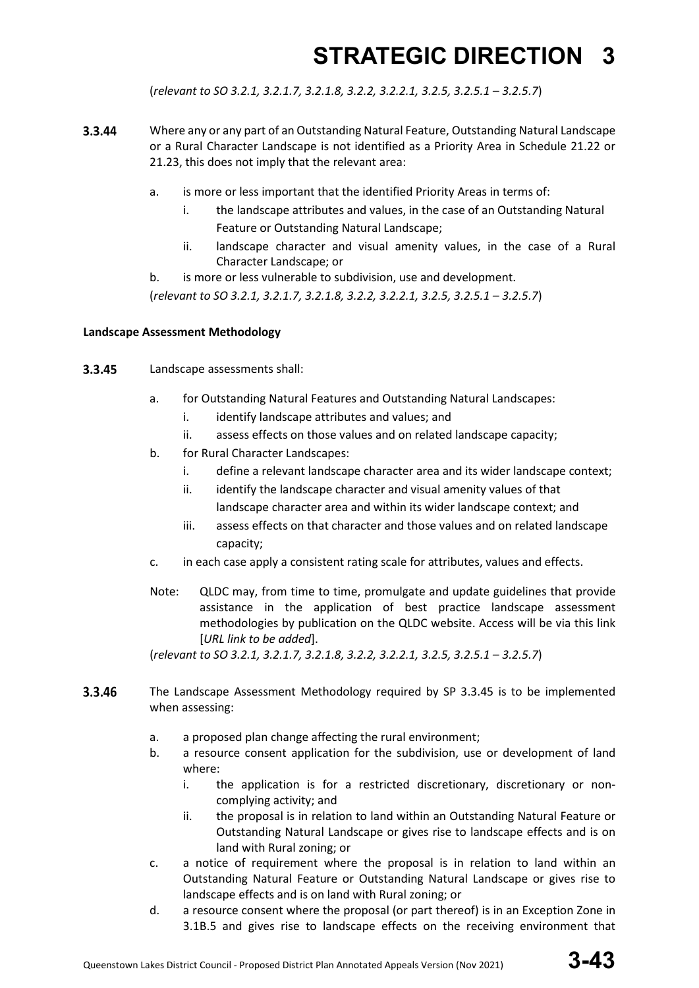(*relevant to SO 3.2.1, 3.2.1.7, 3.2.1.8, 3.2.2, 3.2.2.1, 3.2.5, 3.2.5.1 – 3.2.5.7*)

- 3.3.44 Where any or any part of an Outstanding Natural Feature, Outstanding Natural Landscape or a Rural Character Landscape is not identified as a Priority Area in Schedule 21.22 or 21.23, this does not imply that the relevant area:
	- a. is more or less important that the identified Priority Areas in terms of:
		- i. the landscape attributes and values, in the case of an Outstanding Natural Feature or Outstanding Natural Landscape;
		- ii. landscape character and visual amenity values, in the case of a Rural Character Landscape; or
	- b. is more or less vulnerable to subdivision, use and development.

(*relevant to SO 3.2.1, 3.2.1.7, 3.2.1.8, 3.2.2, 3.2.2.1, 3.2.5, 3.2.5.1 – 3.2.5.7*)

#### **Landscape Assessment Methodology**

- 3.3.45 Landscape assessments shall:
	- a. for Outstanding Natural Features and Outstanding Natural Landscapes:
		- i. identify landscape attributes and values; and
		- ii. assess effects on those values and on related landscape capacity;
	- b. for Rural Character Landscapes:
		- i. define a relevant landscape character area and its wider landscape context;
		- ii. identify the landscape character and visual amenity values of that landscape character area and within its wider landscape context; and
		- iii. assess effects on that character and those values and on related landscape capacity;
	- c. in each case apply a consistent rating scale for attributes, values and effects.
	- Note: QLDC may, from time to time, promulgate and update guidelines that provide assistance in the application of best practice landscape assessment methodologies by publication on the QLDC website. Access will be via this link [*URL link to be added*].

(*relevant to SO 3.2.1, 3.2.1.7, 3.2.1.8, 3.2.2, 3.2.2.1, 3.2.5, 3.2.5.1 – 3.2.5.7*)

- 3.3.46 The Landscape Assessment Methodology required by SP 3.3.45 is to be implemented when assessing:
	- a. a proposed plan change affecting the rural environment;
	- b. a resource consent application for the subdivision, use or development of land where:
		- i. the application is for a restricted discretionary, discretionary or noncomplying activity; and
		- ii. the proposal is in relation to land within an Outstanding Natural Feature or Outstanding Natural Landscape or gives rise to landscape effects and is on land with Rural zoning; or
	- c. a notice of requirement where the proposal is in relation to land within an Outstanding Natural Feature or Outstanding Natural Landscape or gives rise to landscape effects and is on land with Rural zoning; or
	- d. a resource consent where the proposal (or part thereof) is in an Exception Zone in 3.1B.5 and gives rise to landscape effects on the receiving environment that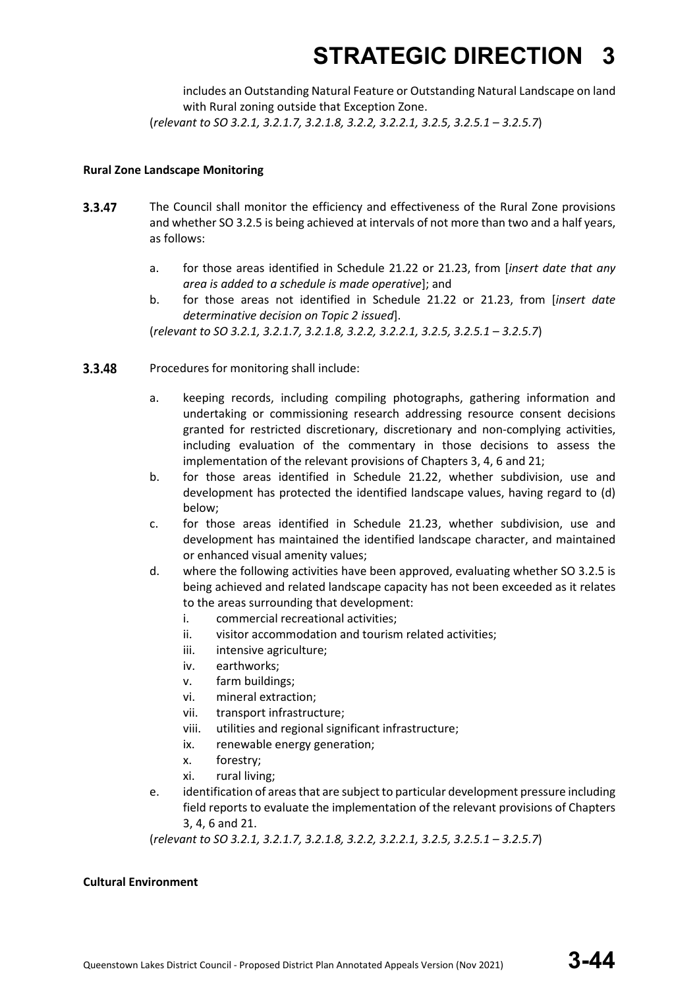includes an Outstanding Natural Feature or Outstanding Natural Landscape on land with Rural zoning outside that Exception Zone. (*relevant to SO 3.2.1, 3.2.1.7, 3.2.1.8, 3.2.2, 3.2.2.1, 3.2.5, 3.2.5.1 – 3.2.5.7*)

#### **Rural Zone Landscape Monitoring**

- 3.3.47 The Council shall monitor the efficiency and effectiveness of the Rural Zone provisions and whether SO 3.2.5 is being achieved at intervals of not more than two and a half years, as follows:
	- a. for those areas identified in Schedule 21.22 or 21.23, from [*insert date that any area is added to a schedule is made operative*]; and
	- b. for those areas not identified in Schedule 21.22 or 21.23, from [*insert date determinative decision on Topic 2 issued*].

(*relevant to SO 3.2.1, 3.2.1.7, 3.2.1.8, 3.2.2, 3.2.2.1, 3.2.5, 3.2.5.1 – 3.2.5.7*)

- 3.3.48 Procedures for monitoring shall include:
	- a. keeping records, including compiling photographs, gathering information and undertaking or commissioning research addressing resource consent decisions granted for restricted discretionary, discretionary and non-complying activities, including evaluation of the commentary in those decisions to assess the implementation of the relevant provisions of Chapters 3, 4, 6 and 21;
	- b. for those areas identified in Schedule 21.22, whether subdivision, use and development has protected the identified landscape values, having regard to (d) below;
	- c. for those areas identified in Schedule 21.23, whether subdivision, use and development has maintained the identified landscape character, and maintained or enhanced visual amenity values;
	- d. where the following activities have been approved, evaluating whether SO 3.2.5 is being achieved and related landscape capacity has not been exceeded as it relates to the areas surrounding that development:
		- i. commercial recreational activities;
		- ii. visitor accommodation and tourism related activities;
		- iii. intensive agriculture;
		- iv. earthworks;
		- v. farm buildings;
		- vi. mineral extraction;
		- vii. transport infrastructure;
		- viii. utilities and regional significant infrastructure;
		- ix. renewable energy generation;
		- x. forestry;
		- xi. rural living;
	- e. identification of areas that are subject to particular development pressure including field reports to evaluate the implementation of the relevant provisions of Chapters 3, 4, 6 and 21.

(*relevant to SO 3.2.1, 3.2.1.7, 3.2.1.8, 3.2.2, 3.2.2.1, 3.2.5, 3.2.5.1 – 3.2.5.7*)

### **Cultural Environment**